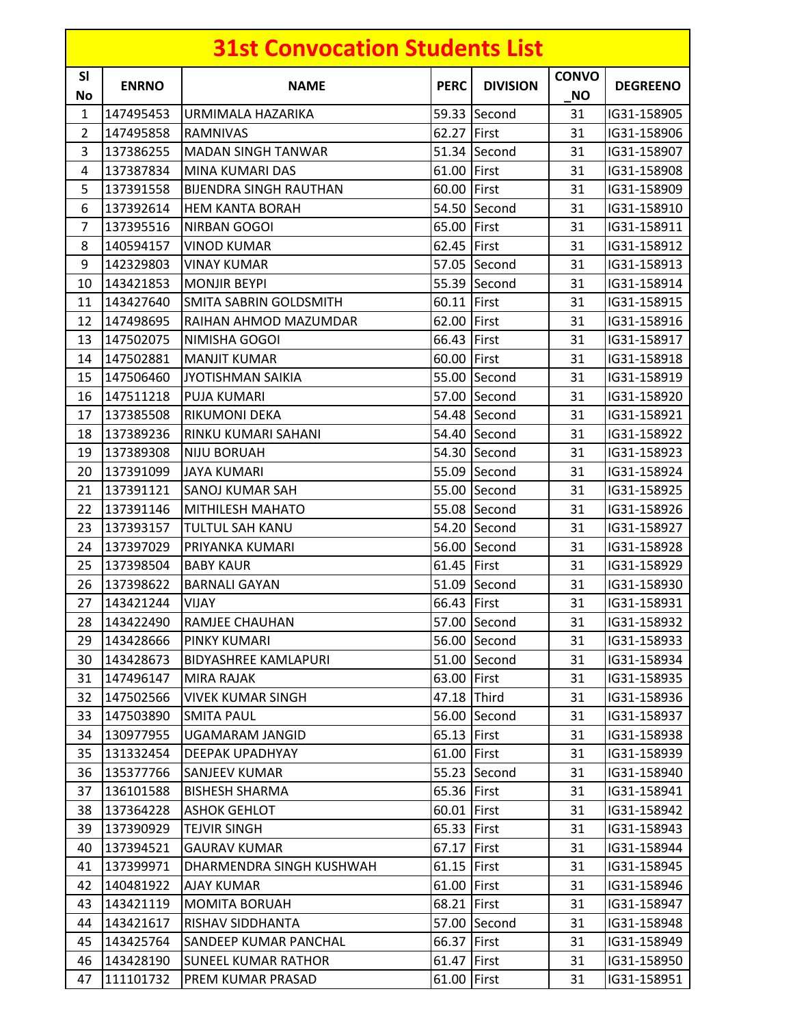|                 |              | <b>31st Convocation Students List</b> |             |                 |                           |                 |
|-----------------|--------------|---------------------------------------|-------------|-----------------|---------------------------|-----------------|
| <b>SI</b><br>No | <b>ENRNO</b> | <b>NAME</b>                           | <b>PERC</b> | <b>DIVISION</b> | <b>CONVO</b><br><b>NO</b> | <b>DEGREENO</b> |
| $\mathbf{1}$    | 147495453    | URMIMALA HAZARIKA                     |             | 59.33 Second    | 31                        | IG31-158905     |
| $\overline{2}$  | 147495858    | <b>RAMNIVAS</b>                       | 62.27 First |                 | 31                        | IG31-158906     |
| 3               | 137386255    | <b>MADAN SINGH TANWAR</b>             |             | 51.34 Second    | 31                        | IG31-158907     |
| 4               | 137387834    | MINA KUMARI DAS                       | 61.00       | First           | 31                        | IG31-158908     |
| 5               | 137391558    | <b>BIJENDRA SINGH RAUTHAN</b>         | 60.00       | First           | 31                        | IG31-158909     |
| 6               | 137392614    | <b>HEM KANTA BORAH</b>                |             | 54.50 Second    | 31                        | IG31-158910     |
| $\overline{7}$  | 137395516    | NIRBAN GOGOI                          | 65.00 First |                 | 31                        | IG31-158911     |
| 8               | 140594157    | <b>VINOD KUMAR</b>                    | 62.45 First |                 | 31                        | IG31-158912     |
| 9               | 142329803    | <b>VINAY KUMAR</b>                    |             | 57.05 Second    | 31                        | IG31-158913     |
| 10              | 143421853    | <b>MONJIR BEYPI</b>                   |             | 55.39 Second    | 31                        | IG31-158914     |
| 11              | 143427640    | SMITA SABRIN GOLDSMITH                | 60.11 First |                 | 31                        | IG31-158915     |
| 12              | 147498695    | RAIHAN AHMOD MAZUMDAR                 | 62.00 First |                 | 31                        | IG31-158916     |
| 13              | 147502075    | NIMISHA GOGOI                         | 66.43 First |                 | 31                        | IG31-158917     |
| 14              | 147502881    | <b>MANJIT KUMAR</b>                   | 60.00 First |                 | 31                        | IG31-158918     |
| 15              | 147506460    | <b>JYOTISHMAN SAIKIA</b>              |             | 55.00 Second    | 31                        | IG31-158919     |
| 16              | 147511218    | <b>PUJA KUMARI</b>                    |             | 57.00 Second    | 31                        | IG31-158920     |
| 17              | 137385508    | RIKUMONI DEKA                         |             | 54.48 Second    | 31                        | IG31-158921     |
| 18              | 137389236    | RINKU KUMARI SAHANI                   |             | 54.40 Second    | 31                        | IG31-158922     |
| 19              | 137389308    | <b>NIJU BORUAH</b>                    |             | 54.30 Second    | 31                        | IG31-158923     |
| 20              | 137391099    | <b>JAYA KUMARI</b>                    |             | 55.09 Second    | 31                        | IG31-158924     |
| 21              | 137391121    | SANOJ KUMAR SAH                       |             | 55.00 Second    | 31                        | IG31-158925     |
| 22              | 137391146    | <b>MITHILESH MAHATO</b>               |             | 55.08 Second    | 31                        | IG31-158926     |
| 23              | 137393157    | <b>TULTUL SAH KANU</b>                |             | 54.20 Second    | 31                        | IG31-158927     |
| 24              | 137397029    | PRIYANKA KUMARI                       |             | 56.00 Second    | 31                        | IG31-158928     |
| 25              | 137398504    | <b>BABY KAUR</b>                      | 61.45 First |                 | 31                        | IG31-158929     |
| 26              | 137398622    | <b>BARNALI GAYAN</b>                  |             | 51.09 Second    | 31                        | IG31-158930     |
|                 | 27 143421244 | VIJAY                                 | 66.43 First |                 | 31                        | IG31-158931     |
| 28              | 143422490    | RAMJEE CHAUHAN                        |             | 57.00 Second    | 31                        | IG31-158932     |
| 29              | 143428666    | PINKY KUMARI                          |             | 56.00 Second    | 31                        | IG31-158933     |
| 30              | 143428673    | <b>BIDYASHREE KAMLAPURI</b>           |             | 51.00 Second    | 31                        | IG31-158934     |
| 31              | 147496147    | MIRA RAJAK                            | 63.00 First |                 | 31                        | IG31-158935     |
| 32              | 147502566    | <b>VIVEK KUMAR SINGH</b>              | 47.18 Third |                 | 31                        | IG31-158936     |
| 33              | 147503890    | <b>SMITA PAUL</b>                     |             | 56.00 Second    | 31                        | IG31-158937     |
| 34              | 130977955    | UGAMARAM JANGID                       | 65.13 First |                 | 31                        | IG31-158938     |
| 35              | 131332454    | DEEPAK UPADHYAY                       | 61.00 First |                 | 31                        | IG31-158939     |
| 36              | 135377766    | SANJEEV KUMAR                         |             | 55.23 Second    | 31                        | IG31-158940     |
| 37              | 136101588    | <b>BISHESH SHARMA</b>                 | 65.36 First |                 | 31                        | IG31-158941     |
| 38              | 137364228    | <b>ASHOK GEHLOT</b>                   | 60.01 First |                 | 31                        | IG31-158942     |
| 39              | 137390929    | <b>TEJVIR SINGH</b>                   | 65.33 First |                 | 31                        | IG31-158943     |
| 40              | 137394521    | <b>GAURAV KUMAR</b>                   | 67.17 First |                 | 31                        | IG31-158944     |
| 41              | 137399971    | DHARMENDRA SINGH KUSHWAH              | 61.15 First |                 | 31                        | IG31-158945     |
| 42              | 140481922    | AJAY KUMAR                            | 61.00 First |                 | 31                        | IG31-158946     |
| 43              | 143421119    | <b>MOMITA BORUAH</b>                  | 68.21 First |                 | 31                        | IG31-158947     |
| 44              | 143421617    | RISHAV SIDDHANTA                      |             | 57.00 Second    | 31                        | IG31-158948     |
| 45              | 143425764    | SANDEEP KUMAR PANCHAL                 | 66.37 First |                 | 31                        | IG31-158949     |
| 46              | 143428190    | <b>SUNEEL KUMAR RATHOR</b>            | 61.47 First |                 | 31                        | IG31-158950     |
| 47              | 111101732    | PREM KUMAR PRASAD                     | 61.00 First |                 | 31                        | IG31-158951     |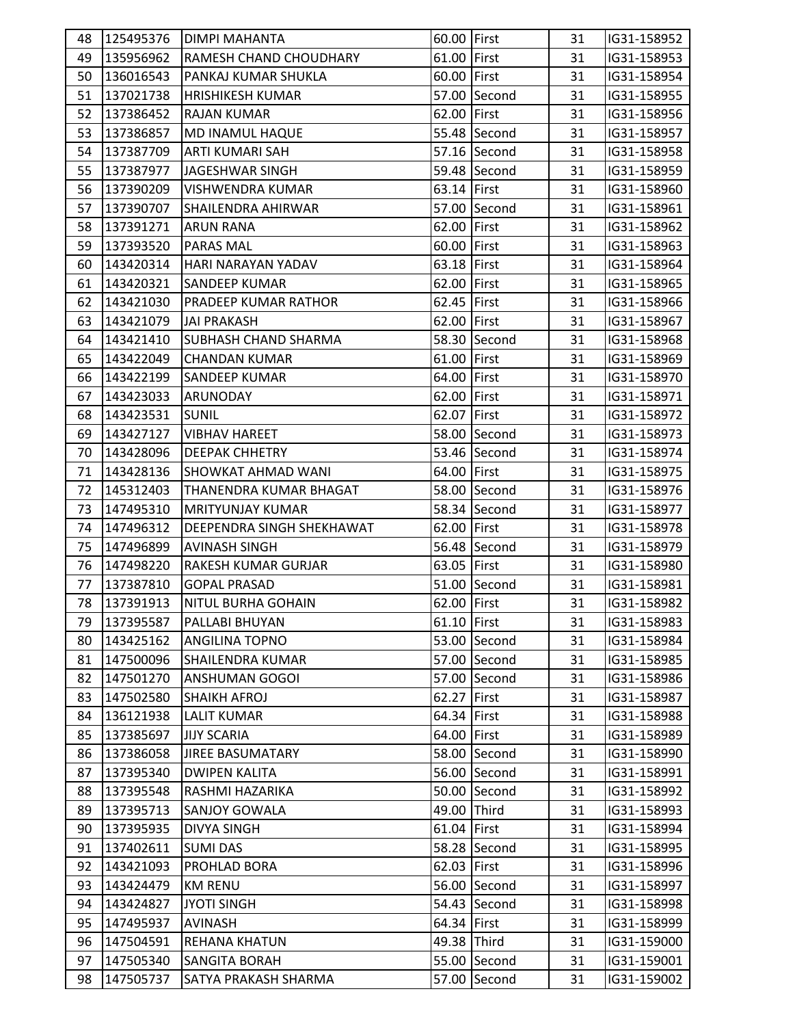| 48 |           | 125495376   DIMPI MAHANTA     | 60.00 First |              | 31 | IG31-158952 |  |
|----|-----------|-------------------------------|-------------|--------------|----|-------------|--|
| 49 | 135956962 | <b>RAMESH CHAND CHOUDHARY</b> | 61.00 First |              | 31 | IG31-158953 |  |
| 50 | 136016543 | PANKAJ KUMAR SHUKLA           | 60.00 First |              | 31 | IG31-158954 |  |
| 51 | 137021738 | <b>HRISHIKESH KUMAR</b>       |             | 57.00 Second | 31 | IG31-158955 |  |
| 52 | 137386452 | <b>RAJAN KUMAR</b>            | 62.00 First |              | 31 | IG31-158956 |  |
| 53 | 137386857 | <b>MD INAMUL HAQUE</b>        |             | 55.48 Second | 31 | IG31-158957 |  |
| 54 | 137387709 | ARTI KUMARI SAH               |             | 57.16 Second | 31 | IG31-158958 |  |
| 55 | 137387977 | JAGESHWAR SINGH               |             | 59.48 Second | 31 | IG31-158959 |  |
| 56 | 137390209 | <b>VISHWENDRA KUMAR</b>       | 63.14 First |              | 31 | IG31-158960 |  |
| 57 | 137390707 | SHAILENDRA AHIRWAR            |             | 57.00 Second | 31 | IG31-158961 |  |
| 58 | 137391271 | <b>ARUN RANA</b>              | 62.00 First |              | 31 | IG31-158962 |  |
| 59 | 137393520 | <b>PARAS MAL</b>              | 60.00 First |              | 31 | IG31-158963 |  |
| 60 | 143420314 | HARI NARAYAN YADAV            | 63.18 First |              | 31 | IG31-158964 |  |
| 61 | 143420321 | <b>SANDEEP KUMAR</b>          | 62.00 First |              | 31 | IG31-158965 |  |
| 62 | 143421030 | <b>PRADEEP KUMAR RATHOR</b>   | 62.45 First |              | 31 | IG31-158966 |  |
| 63 | 143421079 | <b>JAI PRAKASH</b>            | 62.00 First |              | 31 | IG31-158967 |  |
| 64 | 143421410 | <b>SUBHASH CHAND SHARMA</b>   |             | 58.30 Second | 31 | IG31-158968 |  |
| 65 | 143422049 | <b>CHANDAN KUMAR</b>          | 61.00 First |              | 31 | IG31-158969 |  |
| 66 | 143422199 | <b>SANDEEP KUMAR</b>          | 64.00 First |              | 31 | IG31-158970 |  |
| 67 | 143423033 | ARUNODAY                      | 62.00 First |              | 31 | IG31-158971 |  |
| 68 | 143423531 | <b>SUNIL</b>                  | 62.07 First |              | 31 | IG31-158972 |  |
| 69 | 143427127 | <b>VIBHAV HAREET</b>          |             | 58.00 Second | 31 | IG31-158973 |  |
| 70 | 143428096 | <b>DEEPAK CHHETRY</b>         |             | 53.46 Second | 31 | IG31-158974 |  |
| 71 | 143428136 | <b>SHOWKAT AHMAD WANI</b>     | 64.00 First |              | 31 | IG31-158975 |  |
| 72 | 145312403 | THANENDRA KUMAR BHAGAT        |             | 58.00 Second | 31 | IG31-158976 |  |
| 73 | 147495310 | <b>MRITYUNJAY KUMAR</b>       |             | 58.34 Second | 31 | IG31-158977 |  |
| 74 | 147496312 | DEEPENDRA SINGH SHEKHAWAT     | 62.00 First |              | 31 | IG31-158978 |  |
| 75 | 147496899 | <b>AVINASH SINGH</b>          |             | 56.48 Second | 31 | IG31-158979 |  |
| 76 | 147498220 | RAKESH KUMAR GURJAR           | 63.05 First |              | 31 | IG31-158980 |  |
| 77 | 137387810 | <b>GOPAL PRASAD</b>           |             | 51.00 Second | 31 | IG31-158981 |  |
| 78 | 137391913 | <b>NITUL BURHA GOHAIN</b>     | 62.00 First |              | 31 | IG31-158982 |  |
| 79 | 137395587 | PALLABI BHUYAN                | 61.10 First |              | 31 | IG31-158983 |  |
| 80 | 143425162 | <b>ANGILINA TOPNO</b>         |             | 53.00 Second | 31 | IG31-158984 |  |
| 81 | 147500096 | <b>SHAILENDRA KUMAR</b>       |             | 57.00 Second | 31 | IG31-158985 |  |
| 82 | 147501270 | <b>ANSHUMAN GOGOI</b>         |             | 57.00 Second | 31 | IG31-158986 |  |
| 83 | 147502580 | <b>SHAIKH AFROJ</b>           | 62.27 First |              | 31 | IG31-158987 |  |
| 84 | 136121938 | <b>LALIT KUMAR</b>            | 64.34 First |              | 31 | IG31-158988 |  |
| 85 | 137385697 | <b>JIJY SCARIA</b>            | 64.00 First |              | 31 | IG31-158989 |  |
| 86 | 137386058 | <b>JIREE BASUMATARY</b>       |             | 58.00 Second | 31 | IG31-158990 |  |
| 87 | 137395340 | <b>DWIPEN KALITA</b>          |             | 56.00 Second | 31 | IG31-158991 |  |
| 88 | 137395548 | RASHMI HAZARIKA               |             | 50.00 Second | 31 | IG31-158992 |  |
| 89 | 137395713 | <b>SANJOY GOWALA</b>          | 49.00 Third |              | 31 | IG31-158993 |  |
| 90 | 137395935 | <b>DIVYA SINGH</b>            | 61.04 First |              | 31 | IG31-158994 |  |
| 91 | 137402611 | <b>SUMI DAS</b>               |             | 58.28 Second | 31 | IG31-158995 |  |
| 92 | 143421093 | PROHLAD BORA                  | 62.03 First |              | 31 | IG31-158996 |  |
| 93 | 143424479 | <b>KM RENU</b>                |             | 56.00 Second | 31 | IG31-158997 |  |
| 94 | 143424827 | <b>JYOTI SINGH</b>            |             | 54.43 Second | 31 | IG31-158998 |  |
| 95 | 147495937 | <b>AVINASH</b>                | 64.34 First |              | 31 | IG31-158999 |  |
| 96 | 147504591 | <b>REHANA KHATUN</b>          | 49.38 Third |              | 31 | IG31-159000 |  |
| 97 | 147505340 | <b>SANGITA BORAH</b>          |             | 55.00 Second | 31 | IG31-159001 |  |
| 98 | 147505737 | SATYA PRAKASH SHARMA          |             | 57.00 Second | 31 | IG31-159002 |  |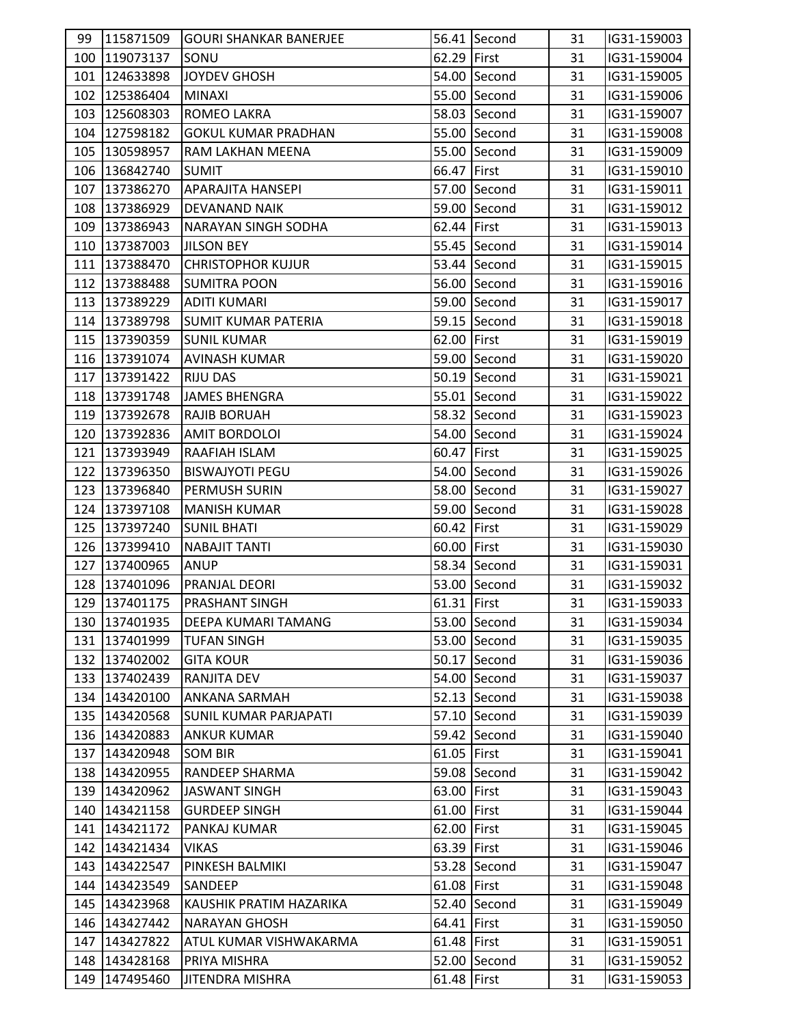| 99  | 115871509     | <b>GOURI SHANKAR BANERJEE</b> |             | 56.41 Second | 31 | IG31-159003 |  |
|-----|---------------|-------------------------------|-------------|--------------|----|-------------|--|
|     | 100 119073137 | SONU                          | 62.29 First |              | 31 | IG31-159004 |  |
|     | 101 124633898 | JOYDEV GHOSH                  |             | 54.00 Second | 31 | IG31-159005 |  |
|     | 102 125386404 | <b>MINAXI</b>                 |             | 55.00 Second | 31 | IG31-159006 |  |
|     | 103 125608303 | ROMEO LAKRA                   |             | 58.03 Second | 31 | IG31-159007 |  |
|     | 104 127598182 | <b>GOKUL KUMAR PRADHAN</b>    |             | 55.00 Second | 31 | IG31-159008 |  |
|     | 105 130598957 | RAM LAKHAN MEENA              |             | 55.00 Second | 31 | IG31-159009 |  |
|     | 106 136842740 | <b>SUMIT</b>                  | 66.47 First |              | 31 | IG31-159010 |  |
|     | 107 137386270 | APARAJITA HANSEPI             |             | 57.00 Second | 31 | IG31-159011 |  |
|     | 108 137386929 | DEVANAND NAIK                 |             | 59.00 Second | 31 | IG31-159012 |  |
|     | 109 137386943 | <b>NARAYAN SINGH SODHA</b>    | 62.44 First |              | 31 | IG31-159013 |  |
|     | 110 137387003 | <b>JILSON BEY</b>             |             | 55.45 Second | 31 | IG31-159014 |  |
|     | 111 137388470 | <b>CHRISTOPHOR KUJUR</b>      |             | 53.44 Second | 31 | IG31-159015 |  |
|     | 112 137388488 | <b>SUMITRA POON</b>           |             | 56.00 Second | 31 | IG31-159016 |  |
|     | 113 137389229 | <b>ADITI KUMARI</b>           |             | 59.00 Second | 31 | IG31-159017 |  |
|     | 114 137389798 | <b>SUMIT KUMAR PATERIA</b>    |             | 59.15 Second | 31 | IG31-159018 |  |
|     | 115 137390359 | <b>SUNIL KUMAR</b>            | 62.00 First |              | 31 | IG31-159019 |  |
|     | 116 137391074 | <b>AVINASH KUMAR</b>          |             | 59.00 Second | 31 | IG31-159020 |  |
|     | 117 137391422 | <b>RIJU DAS</b>               |             | 50.19 Second | 31 | IG31-159021 |  |
|     | 118 137391748 | <b>JAMES BHENGRA</b>          |             | 55.01 Second | 31 | IG31-159022 |  |
|     | 119 137392678 | <b>RAJIB BORUAH</b>           |             | 58.32 Second | 31 | IG31-159023 |  |
|     | 120 137392836 | <b>AMIT BORDOLOI</b>          |             | 54.00 Second | 31 | IG31-159024 |  |
|     | 121 137393949 | RAAFIAH ISLAM                 | 60.47 First |              | 31 | IG31-159025 |  |
|     | 122 137396350 | <b>BISWAJYOTI PEGU</b>        |             | 54.00 Second | 31 | IG31-159026 |  |
|     | 123 137396840 | <b>PERMUSH SURIN</b>          |             | 58.00 Second | 31 | IG31-159027 |  |
|     | 124 137397108 | <b>MANISH KUMAR</b>           |             | 59.00 Second | 31 | IG31-159028 |  |
|     | 125 137397240 | <b>SUNIL BHATI</b>            | 60.42 First |              | 31 | IG31-159029 |  |
|     | 126 137399410 | <b>NABAJIT TANTI</b>          | 60.00 First |              | 31 | IG31-159030 |  |
|     | 127 137400965 | <b>ANUP</b>                   |             | 58.34 Second | 31 | IG31-159031 |  |
|     | 128 137401096 | <b>PRANJAL DEORI</b>          |             | 53.00 Second | 31 | IG31-159032 |  |
|     | 129 137401175 | <b>PRASHANT SINGH</b>         | 61.31 First |              | 31 | IG31-159033 |  |
|     | 130 137401935 | <b>DEEPA KUMARI TAMANG</b>    |             | 53.00 Second | 31 | IG31-159034 |  |
|     | 131 137401999 | <b>TUFAN SINGH</b>            |             | 53.00 Second | 31 | IG31-159035 |  |
|     | 132 137402002 | <b>GITA KOUR</b>              |             | 50.17 Second | 31 | IG31-159036 |  |
|     | 133 137402439 | RANJITA DEV                   |             | 54.00 Second | 31 | IG31-159037 |  |
|     | 134 143420100 | <b>ANKANA SARMAH</b>          |             | 52.13 Second | 31 | IG31-159038 |  |
|     | 135 143420568 | <b>SUNIL KUMAR PARJAPATI</b>  |             | 57.10 Second | 31 | IG31-159039 |  |
|     | 136 143420883 | <b>ANKUR KUMAR</b>            |             | 59.42 Second | 31 | IG31-159040 |  |
|     | 137 143420948 | <b>SOM BIR</b>                | 61.05 First |              | 31 | IG31-159041 |  |
| 138 | 143420955     | <b>RANDEEP SHARMA</b>         |             | 59.08 Second | 31 | IG31-159042 |  |
|     | 139 143420962 | JASWANT SINGH                 | 63.00 First |              | 31 | IG31-159043 |  |
|     | 140 143421158 | <b>GURDEEP SINGH</b>          | 61.00 First |              | 31 | IG31-159044 |  |
|     | 141 143421172 | PANKAJ KUMAR                  | 62.00 First |              | 31 | IG31-159045 |  |
|     | 142 143421434 | <b>VIKAS</b>                  | 63.39 First |              | 31 | IG31-159046 |  |
| 143 | 143422547     | PINKESH BALMIKI               |             | 53.28 Second | 31 | IG31-159047 |  |
|     | 144 143423549 | <b>SANDEEP</b>                | 61.08 First |              | 31 | IG31-159048 |  |
|     | 145 143423968 | KAUSHIK PRATIM HAZARIKA       |             | 52.40 Second | 31 | IG31-159049 |  |
| 146 | 143427442     | <b>NARAYAN GHOSH</b>          | 64.41 First |              | 31 | IG31-159050 |  |
|     | 147 143427822 | ATUL KUMAR VISHWAKARMA        | 61.48 First |              | 31 | IG31-159051 |  |
| 148 | 143428168     | PRIYA MISHRA                  |             | 52.00 Second | 31 | IG31-159052 |  |
|     | 149 147495460 | <b>JITENDRA MISHRA</b>        | 61.48 First |              | 31 | IG31-159053 |  |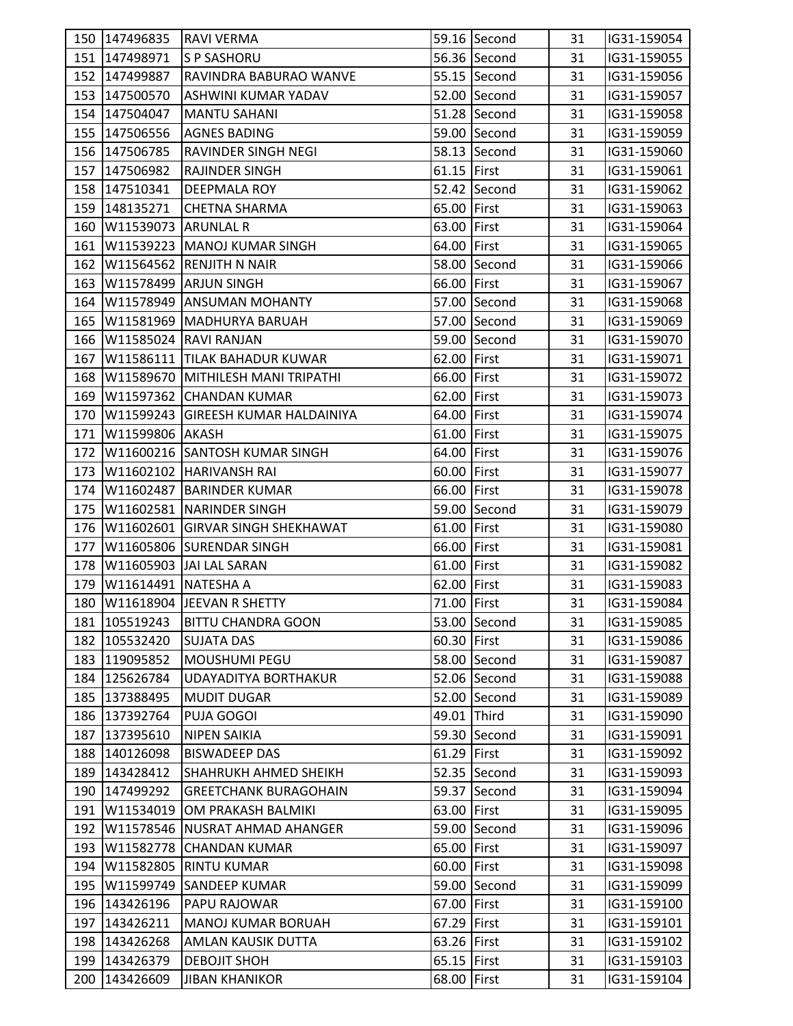|     | 150 147496835              | <b>RAVI VERMA</b>                  |             | 59.16 Second | 31 | IG31-159054 |
|-----|----------------------------|------------------------------------|-------------|--------------|----|-------------|
|     | 151 147498971              | <b>S P SASHORU</b>                 |             | 56.36 Second | 31 | IG31-159055 |
|     | 152 147499887              | RAVINDRA BABURAO WANVE             |             | 55.15 Second | 31 | IG31-159056 |
|     | 153 147500570              | ASHWINI KUMAR YADAV                |             | 52.00 Second | 31 | IG31-159057 |
|     | 154 147504047              | <b>MANTU SAHANI</b>                |             | 51.28 Second | 31 | IG31-159058 |
|     | 155 147506556              | <b>AGNES BADING</b>                |             | 59.00 Second | 31 | IG31-159059 |
|     | 156 147506785              | RAVINDER SINGH NEGI                |             | 58.13 Second | 31 | IG31-159060 |
|     | 157 147506982              | <b>RAJINDER SINGH</b>              | 61.15 First |              | 31 | IG31-159061 |
|     | 158 147510341              | DEEPMALA ROY                       |             | 52.42 Second | 31 | IG31-159062 |
|     | 159 148135271              | CHETNA SHARMA                      | 65.00 First |              | 31 | IG31-159063 |
| 160 | <b>W11539073 ARUNLAL R</b> |                                    | 63.00 First |              | 31 | IG31-159064 |
| 161 |                            | W11539223 MANOJ KUMAR SINGH        | 64.00 First |              | 31 | IG31-159065 |
| 162 |                            | W11564562 RENJITH N NAIR           |             | 58.00 Second | 31 | IG31-159066 |
| 163 |                            | W11578499 ARJUN SINGH              | 66.00 First |              | 31 | IG31-159067 |
| 164 |                            | W11578949 ANSUMAN MOHANTY          |             | 57.00 Second | 31 | IG31-159068 |
| 165 |                            | W11581969 MADHURYA BARUAH          |             | 57.00 Second | 31 | IG31-159069 |
| 166 |                            | W11585024 RAVI RANJAN              |             | 59.00 Second | 31 | IG31-159070 |
| 167 |                            | W11586111 TILAK BAHADUR KUWAR      | 62.00 First |              | 31 | IG31-159071 |
| 168 |                            | W11589670 MITHILESH MANI TRIPATHI  | 66.00 First |              | 31 | IG31-159072 |
| 169 |                            | W11597362 CHANDAN KUMAR            | 62.00 First |              | 31 | IG31-159073 |
| 170 |                            | W11599243 GIREESH KUMAR HALDAINIYA | 64.00 First |              | 31 | IG31-159074 |
| 171 | W11599806 AKASH            |                                    | 61.00 First |              | 31 | IG31-159075 |
| 172 |                            | W11600216 SANTOSH KUMAR SINGH      | 64.00 First |              | 31 | IG31-159076 |
| 173 |                            | W11602102 HARIVANSH RAI            | 60.00 First |              | 31 | IG31-159077 |
| 174 |                            | W11602487 BARINDER KUMAR           | 66.00 First |              | 31 | IG31-159078 |
| 175 |                            | W11602581 NARINDER SINGH           |             | 59.00 Second | 31 | IG31-159079 |
| 176 |                            | W11602601 GIRVAR SINGH SHEKHAWAT   | 61.00 First |              | 31 | IG31-159080 |
| 177 |                            | W11605806 SURENDAR SINGH           | 66.00 First |              | 31 | IG31-159081 |
| 178 |                            | W11605903 JJAI LAL SARAN           | 61.00 First |              | 31 | IG31-159082 |
| 179 | W11614491 NATESHA A        |                                    | 62.00 First |              | 31 | IG31-159083 |
|     |                            | 180 W11618904 JEEVAN R SHETTY      | 71.00 First |              | 31 | IG31-159084 |
|     | 181 105519243              | <b>BITTU CHANDRA GOON</b>          |             | 53.00 Second | 31 | IG31-159085 |
|     | 182 105532420              | <b>SUJATA DAS</b>                  | 60.30 First |              | 31 | IG31-159086 |
|     | 183 119095852              | MOUSHUMI PEGU                      |             | 58.00 Second | 31 | IG31-159087 |
|     | 184 125626784              | <b>UDAYADITYA BORTHAKUR</b>        |             | 52.06 Second | 31 | IG31-159088 |
|     | 185 137388495              | <b>MUDIT DUGAR</b>                 |             | 52.00 Second | 31 | IG31-159089 |
|     | 186 137392764              | PUJA GOGOI                         | 49.01 Third |              | 31 | IG31-159090 |
| 187 | 137395610                  | <b>NIPEN SAIKIA</b>                |             | 59.30 Second | 31 | IG31-159091 |
|     | 188 140126098              | <b>BISWADEEP DAS</b>               | 61.29 First |              | 31 | IG31-159092 |
| 189 | 143428412                  | <b>SHAHRUKH AHMED SHEIKH</b>       |             | 52.35 Second | 31 | IG31-159093 |
| 190 | 147499292                  | <b>GREETCHANK BURAGOHAIN</b>       |             | 59.37 Second | 31 | IG31-159094 |
| 191 |                            | W11534019 OM PRAKASH BALMIKI       | 63.00 First |              | 31 | IG31-159095 |
| 192 |                            | W11578546 NUSRAT AHMAD AHANGER     |             | 59.00 Second | 31 | IG31-159096 |
| 193 |                            | W11582778 CHANDAN KUMAR            | 65.00 First |              | 31 | IG31-159097 |
| 194 |                            | W11582805 RINTU KUMAR              | 60.00 First |              | 31 | IG31-159098 |
| 195 |                            | W11599749 SANDEEP KUMAR            |             | 59.00 Second | 31 | IG31-159099 |
| 196 | 143426196                  | PAPU RAJOWAR                       | 67.00 First |              | 31 | IG31-159100 |
| 197 | 143426211                  | <b>MANOJ KUMAR BORUAH</b>          | 67.29 First |              | 31 | IG31-159101 |
| 198 | 143426268                  | AMLAN KAUSIK DUTTA                 | 63.26 First |              | 31 | IG31-159102 |
| 199 | 143426379                  | <b>DEBOJIT SHOH</b>                | 65.15 First |              | 31 | IG31-159103 |
| 200 | 143426609                  | <b>JIBAN KHANIKOR</b>              | 68.00 First |              | 31 | IG31-159104 |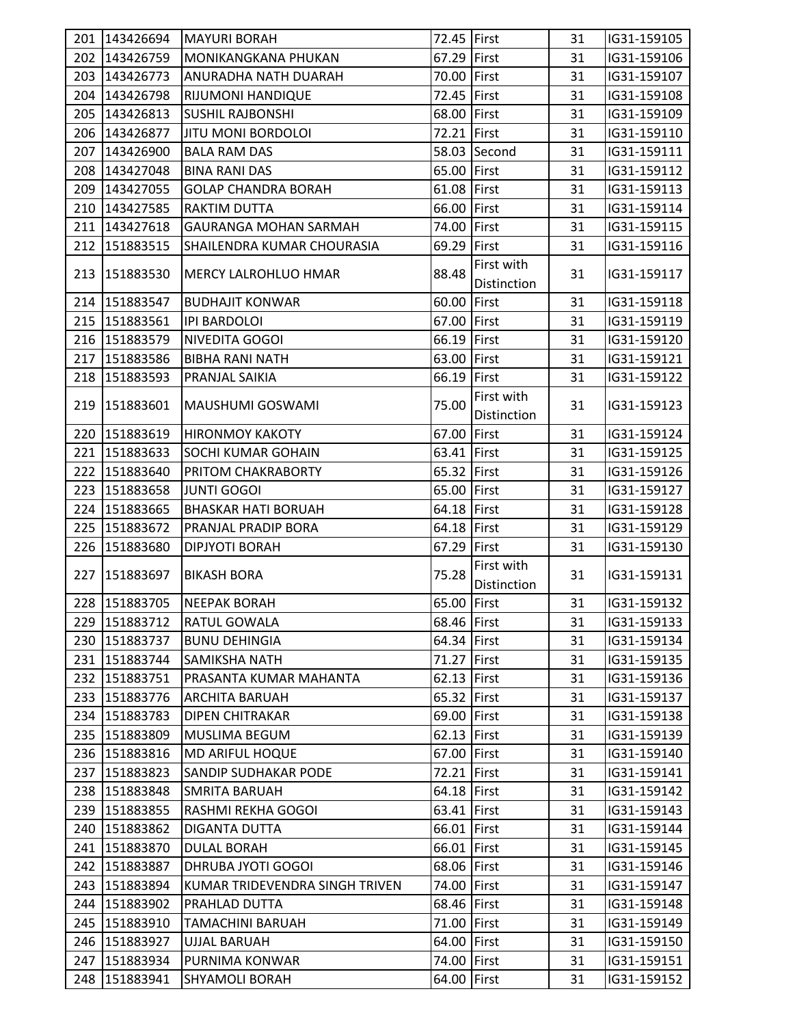|     | 201 143426694 | <b>MAYURI BORAH</b>            | 72.45 First |                                  | 31 | IG31-159105 |
|-----|---------------|--------------------------------|-------------|----------------------------------|----|-------------|
|     | 202 143426759 | MONIKANGKANA PHUKAN            | 67.29 First |                                  | 31 | IG31-159106 |
|     | 203 143426773 | ANURADHA NATH DUARAH           | 70.00 First |                                  | 31 | IG31-159107 |
|     | 204 143426798 | <b>RIJUMONI HANDIQUE</b>       | 72.45 First |                                  | 31 | IG31-159108 |
|     | 205 143426813 | <b>SUSHIL RAJBONSHI</b>        | 68.00 First |                                  | 31 | IG31-159109 |
|     | 206 143426877 | <b>JITU MONI BORDOLOI</b>      | 72.21 First |                                  | 31 | IG31-159110 |
|     | 207 143426900 | <b>BALA RAM DAS</b>            |             | 58.03 Second                     | 31 | IG31-159111 |
|     | 208 143427048 | <b>BINA RANI DAS</b>           | 65.00 First |                                  | 31 | IG31-159112 |
|     | 209 143427055 | <b>GOLAP CHANDRA BORAH</b>     | 61.08 First |                                  | 31 | IG31-159113 |
|     | 210 143427585 | <b>RAKTIM DUTTA</b>            | 66.00 First |                                  | 31 | IG31-159114 |
|     | 211 143427618 | <b>GAURANGA MOHAN SARMAH</b>   | 74.00 First |                                  | 31 | IG31-159115 |
| 212 | 151883515     | SHAILENDRA KUMAR CHOURASIA     | 69.29 First |                                  | 31 | IG31-159116 |
| 213 | 151883530     | <b>MERCY LALROHLUO HMAR</b>    | 88.48       | First with<br><b>Distinction</b> | 31 | IG31-159117 |
|     | 214 151883547 | <b>BUDHAJIT KONWAR</b>         | 60.00 First |                                  | 31 | IG31-159118 |
|     | 215 151883561 | <b>IPI BARDOLOI</b>            | 67.00 First |                                  | 31 | IG31-159119 |
|     | 216 151883579 | NIVEDITA GOGOI                 | 66.19 First |                                  | 31 | IG31-159120 |
| 217 | 151883586     | <b>BIBHA RANI NATH</b>         | 63.00 First |                                  | 31 | IG31-159121 |
|     | 218 151883593 | PRANJAL SAIKIA                 | 66.19 First |                                  | 31 | IG31-159122 |
|     | 219 151883601 | MAUSHUMI GOSWAMI               | 75.00       | First with<br>Distinction        | 31 | IG31-159123 |
|     | 220 151883619 | <b>HIRONMOY KAKOTY</b>         | 67.00 First |                                  | 31 | IG31-159124 |
|     | 221 151883633 | <b>SOCHI KUMAR GOHAIN</b>      | 63.41 First |                                  | 31 | IG31-159125 |
|     | 222 151883640 | PRITOM CHAKRABORTY             | 65.32 First |                                  | 31 | IG31-159126 |
|     | 223 151883658 | <b>JUNTI GOGOI</b>             | 65.00 First |                                  | 31 | IG31-159127 |
|     | 224 151883665 | <b>BHASKAR HATI BORUAH</b>     | 64.18 First |                                  | 31 | IG31-159128 |
|     | 225 151883672 | PRANJAL PRADIP BORA            | 64.18 First |                                  | 31 | IG31-159129 |
|     | 226 151883680 | <b>DIPJYOTI BORAH</b>          | 67.29 First |                                  | 31 | IG31-159130 |
|     | 227 151883697 | <b>BIKASH BORA</b>             | 75.28       | First with<br>Distinction        | 31 | IG31-159131 |
|     | 228 151883705 | <b>NEEPAK BORAH</b>            | 65.00 First |                                  | 31 | IG31-159132 |
|     | 229 151883712 | <b>RATUL GOWALA</b>            | 68.46 First |                                  | 31 | IG31-159133 |
|     | 230 151883737 | <b>BUNU DEHINGIA</b>           | 64.34 First |                                  | 31 | IG31-159134 |
|     | 231 151883744 | <b>SAMIKSHA NATH</b>           | 71.27 First |                                  | 31 | IG31-159135 |
|     | 232 151883751 | PRASANTA KUMAR MAHANTA         | 62.13 First |                                  | 31 | IG31-159136 |
|     | 233 151883776 | <b>ARCHITA BARUAH</b>          | 65.32 First |                                  | 31 | IG31-159137 |
| 234 | 151883783     | <b>DIPEN CHITRAKAR</b>         | 69.00 First |                                  | 31 | IG31-159138 |
|     | 235 151883809 | <b>MUSLIMA BEGUM</b>           | 62.13 First |                                  | 31 | IG31-159139 |
|     | 236 151883816 | <b>MD ARIFUL HOQUE</b>         | 67.00 First |                                  | 31 | IG31-159140 |
|     | 237 151883823 | <b>SANDIP SUDHAKAR PODE</b>    | 72.21 First |                                  | 31 | IG31-159141 |
|     | 238 151883848 | <b>SMRITA BARUAH</b>           | 64.18 First |                                  | 31 | IG31-159142 |
|     | 239 151883855 | RASHMI REKHA GOGOI             | 63.41 First |                                  | 31 | IG31-159143 |
|     | 240 151883862 | <b>DIGANTA DUTTA</b>           | 66.01 First |                                  | 31 | IG31-159144 |
| 241 | 151883870     | <b>DULAL BORAH</b>             | 66.01 First |                                  | 31 | IG31-159145 |
|     | 242 151883887 | DHRUBA JYOTI GOGOI             | 68.06 First |                                  | 31 | IG31-159146 |
|     | 243 151883894 | KUMAR TRIDEVENDRA SINGH TRIVEN | 74.00 First |                                  | 31 | IG31-159147 |
|     | 244 151883902 | PRAHLAD DUTTA                  | 68.46 First |                                  | 31 | IG31-159148 |
|     | 245 151883910 | <b>TAMACHINI BARUAH</b>        | 71.00 First |                                  | 31 | IG31-159149 |
| 246 | 151883927     | <b>UJJAL BARUAH</b>            | 64.00 First |                                  | 31 | IG31-159150 |
| 247 | 151883934     | PURNIMA KONWAR                 | 74.00 First |                                  | 31 | IG31-159151 |
|     | 248 151883941 | <b>SHYAMOLI BORAH</b>          | 64.00 First |                                  | 31 | IG31-159152 |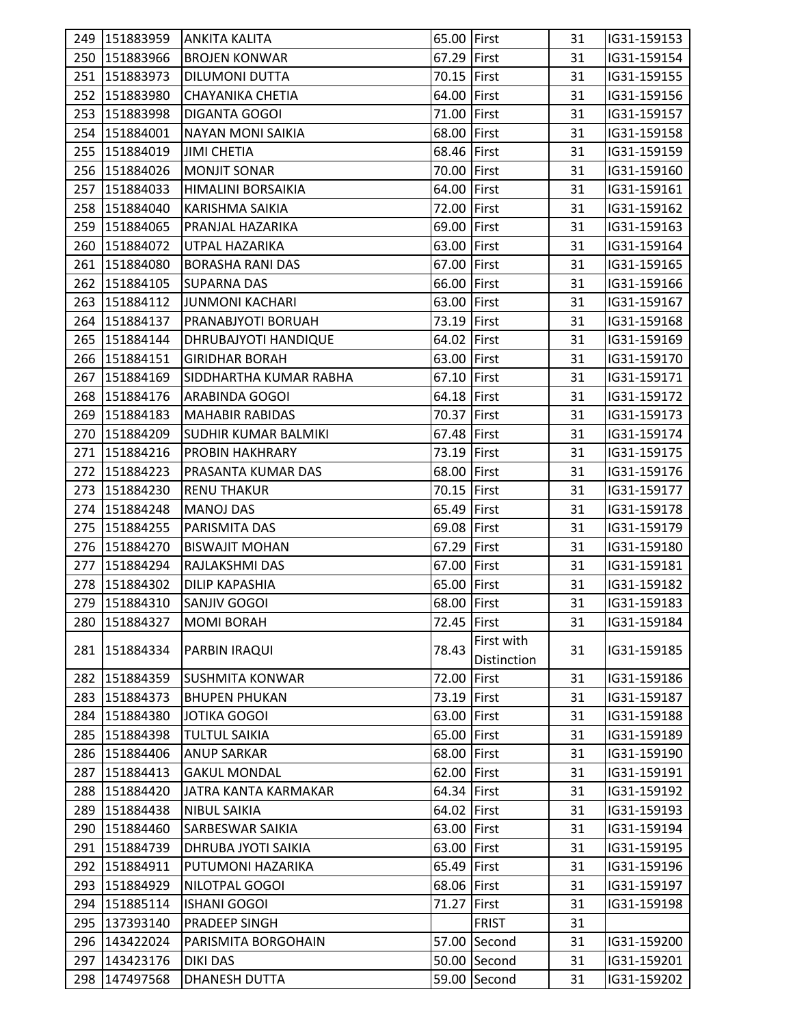|     | 249 151883959 | <b>ANKITA KALITA</b>        | 65.00 First |                    | 31 | IG31-159153 |  |
|-----|---------------|-----------------------------|-------------|--------------------|----|-------------|--|
|     | 250 151883966 | <b>BROJEN KONWAR</b>        | 67.29 First |                    | 31 | IG31-159154 |  |
|     | 251 151883973 | <b>DILUMONI DUTTA</b>       | 70.15 First |                    | 31 | IG31-159155 |  |
|     | 252 151883980 | <b>CHAYANIKA CHETIA</b>     | 64.00 First |                    | 31 | IG31-159156 |  |
|     | 253 151883998 | <b>DIGANTA GOGOI</b>        | 71.00 First |                    | 31 | IG31-159157 |  |
|     | 254 151884001 | <b>NAYAN MONI SAIKIA</b>    | 68.00 First |                    | 31 | IG31-159158 |  |
|     | 255 151884019 | <b>JIMI CHETIA</b>          | 68.46 First |                    | 31 | IG31-159159 |  |
|     | 256 151884026 | <b>MONJIT SONAR</b>         | 70.00 First |                    | 31 | IG31-159160 |  |
|     | 257 151884033 | HIMALINI BORSAIKIA          | 64.00 First |                    | 31 | IG31-159161 |  |
|     | 258 151884040 | KARISHMA SAIKIA             | 72.00 First |                    | 31 | IG31-159162 |  |
|     | 259 151884065 | PRANJAL HAZARIKA            | 69.00 First |                    | 31 | IG31-159163 |  |
|     | 260 151884072 | UTPAL HAZARIKA              | 63.00 First |                    | 31 | IG31-159164 |  |
|     | 261 151884080 | <b>BORASHA RANI DAS</b>     | 67.00 First |                    | 31 | IG31-159165 |  |
|     | 262 151884105 | <b>SUPARNA DAS</b>          | 66.00 First |                    | 31 | IG31-159166 |  |
|     | 263 151884112 | JUNMONI KACHARI             | 63.00 First |                    | 31 | IG31-159167 |  |
|     | 264 151884137 | PRANABJYOTI BORUAH          | 73.19 First |                    | 31 | IG31-159168 |  |
|     | 265 151884144 | DHRUBAJYOTI HANDIQUE        | 64.02 First |                    | 31 | IG31-159169 |  |
|     | 266 151884151 | <b>GIRIDHAR BORAH</b>       | 63.00 First |                    | 31 | IG31-159170 |  |
|     | 267 151884169 | SIDDHARTHA KUMAR RABHA      | 67.10 First |                    | 31 | IG31-159171 |  |
|     | 268 151884176 | <b>ARABINDA GOGOI</b>       | 64.18 First |                    | 31 | IG31-159172 |  |
|     | 269 151884183 | <b>MAHABIR RABIDAS</b>      | 70.37 First |                    | 31 | IG31-159173 |  |
|     | 270 151884209 | <b>SUDHIR KUMAR BALMIKI</b> | 67.48 First |                    | 31 | IG31-159174 |  |
|     | 271 151884216 | <b>PROBIN HAKHRARY</b>      | 73.19 First |                    | 31 | IG31-159175 |  |
|     | 272 151884223 | <b>PRASANTA KUMAR DAS</b>   | 68.00 First |                    | 31 | IG31-159176 |  |
|     | 273 151884230 | RENU THAKUR                 | 70.15 First |                    | 31 | IG31-159177 |  |
|     | 274 151884248 | <b>MANOJ DAS</b>            | 65.49 First |                    | 31 | IG31-159178 |  |
|     | 275 151884255 | PARISMITA DAS               | 69.08 First |                    | 31 | IG31-159179 |  |
|     | 276 151884270 | <b>BISWAJIT MOHAN</b>       | 67.29 First |                    | 31 | IG31-159180 |  |
|     | 277 151884294 | RAJLAKSHMI DAS              | 67.00 First |                    | 31 | IG31-159181 |  |
|     | 278 151884302 | <b>DILIP KAPASHIA</b>       | 65.00 First |                    | 31 | IG31-159182 |  |
|     | 279 151884310 | <b>SANJIV GOGOI</b>         | 68.00 First |                    | 31 | IG31-159183 |  |
|     | 280 151884327 | <b>MOMI BORAH</b>           | 72.45 First |                    | 31 | IG31-159184 |  |
|     |               |                             |             | First with         |    |             |  |
|     | 281 151884334 | PARBIN IRAQUI               | 78.43       | <b>Distinction</b> | 31 | IG31-159185 |  |
|     | 282 151884359 | <b>SUSHMITA KONWAR</b>      | 72.00 First |                    | 31 | IG31-159186 |  |
| 283 | 151884373     | <b>BHUPEN PHUKAN</b>        | 73.19 First |                    | 31 | IG31-159187 |  |
|     | 284 151884380 | JOTIKA GOGOI                | 63.00 First |                    | 31 | IG31-159188 |  |
| 285 | 151884398     | <b>TULTUL SAIKIA</b>        | 65.00 First |                    | 31 | IG31-159189 |  |
|     | 286 151884406 | <b>ANUP SARKAR</b>          | 68.00 First |                    | 31 | IG31-159190 |  |
|     | 287 151884413 | <b>GAKUL MONDAL</b>         | 62.00 First |                    | 31 | IG31-159191 |  |
| 288 | 151884420     | JATRA KANTA KARMAKAR        | 64.34 First |                    | 31 | IG31-159192 |  |
|     | 289 151884438 | <b>NIBUL SAIKIA</b>         | 64.02 First |                    | 31 | IG31-159193 |  |
|     | 290 151884460 | <b>SARBESWAR SAIKIA</b>     | 63.00 First |                    | 31 | IG31-159194 |  |
|     | 291 151884739 | DHRUBA JYOTI SAIKIA         | 63.00 First |                    | 31 | IG31-159195 |  |
|     | 292 151884911 | PUTUMONI HAZARIKA           | 65.49 First |                    | 31 | IG31-159196 |  |
|     | 293 151884929 | NILOTPAL GOGOI              | 68.06 First |                    | 31 | IG31-159197 |  |
|     | 294 151885114 | <b>ISHANI GOGOI</b>         | 71.27 First |                    | 31 | IG31-159198 |  |
|     | 295 137393140 | PRADEEP SINGH               |             | <b>FRIST</b>       | 31 |             |  |
| 296 | 143422024     | PARISMITA BORGOHAIN         |             | 57.00 Second       | 31 | IG31-159200 |  |
| 297 | 143423176     | <b>DIKI DAS</b>             |             | 50.00 Second       | 31 | IG31-159201 |  |
| 298 | 147497568     | <b>DHANESH DUTTA</b>        |             | 59.00 Second       | 31 | IG31-159202 |  |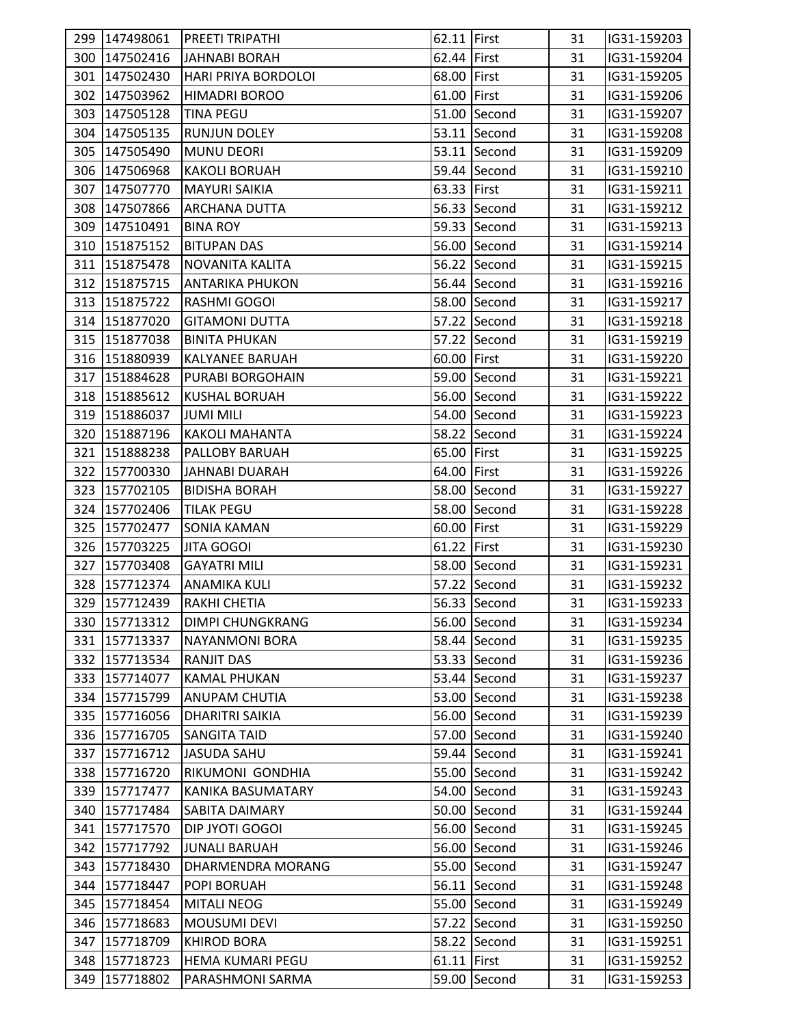| 300 147502416<br>62.44 First<br>31<br>IG31-159204<br>JAHNABI BORAH<br>301 147502430<br>68.00 First<br>IG31-159205<br>HARI PRIYA BORDOLOI<br>31<br>61.00 First<br>302 147503962<br><b>HIMADRI BOROO</b><br>31<br>IG31-159206<br>51.00 Second<br>303 147505128<br><b>TINA PEGU</b><br>31<br>IG31-159207<br>53.11 Second<br>304 147505135<br><b>RUNJUN DOLEY</b><br>IG31-159208<br>31<br>53.11 Second<br>305 147505490<br>MUNU DEORI<br>31<br>IG31-159209<br>59.44 Second<br>306 147506968<br><b>KAKOLI BORUAH</b><br>31<br>IG31-159210<br>63.33 First<br>307 147507770<br><b>MAYURI SAIKIA</b><br>31<br>IG31-159211<br>308 147507866<br>56.33 Second<br>31<br>IG31-159212<br><b>ARCHANA DUTTA</b><br>309 147510491<br>59.33 Second<br>IG31-159213<br><b>BINA ROY</b><br>31<br>56.00 Second<br>310 151875152<br><b>BITUPAN DAS</b><br>31<br>IG31-159214<br>56.22 Second<br>311 151875478<br><b>NOVANITA KALITA</b><br>31<br>IG31-159215<br>56.44 Second<br>312 151875715<br><b>ANTARIKA PHUKON</b><br>31<br>IG31-159216<br>313 151875722<br><b>RASHMI GOGOI</b><br>58.00 Second<br>31<br>IG31-159217<br>314 151877020<br><b>GITAMONI DUTTA</b><br>57.22 Second<br>31<br>IG31-159218<br>315 151877038<br>57.22 Second<br><b>BINITA PHUKAN</b><br>31<br>IG31-159219<br>316 151880939<br>60.00 First<br>IG31-159220<br><b>KALYANEE BARUAH</b><br>31<br>317 151884628<br>59.00 Second<br>PURABI BORGOHAIN<br>31<br>IG31-159221<br>56.00 Second<br>318 151885612<br><b>KUSHAL BORUAH</b><br>31<br>IG31-159222<br>319 151886037<br>54.00 Second<br>IG31-159223<br><b>JUMI MILI</b><br>31<br>58.22 Second<br>320 151887196<br><b>KAKOLI MAHANTA</b><br>31<br>IG31-159224<br>321 151888238<br>PALLOBY BARUAH<br>65.00 First<br>IG31-159225<br>31<br>64.00 First<br>322 157700330<br>31<br>JAHNABI DUARAH<br>IG31-159226<br>323 157702105<br>58.00 Second<br><b>BIDISHA BORAH</b><br>31<br>IG31-159227<br>58.00 Second<br>324 157702406<br><b>TILAK PEGU</b><br>31<br>IG31-159228<br>325 157702477<br>60.00 First<br>31<br>IG31-159229<br>SONIA KAMAN<br>326 157703225<br>61.22 First<br>31<br>IG31-159230<br><b>JITA GOGOI</b><br>327 157703408<br>58.00 Second<br><b>GAYATRI MILI</b><br>31<br>IG31-159231<br>328 157712374<br>57.22 Second<br>31<br>IG31-159232<br><b>ANAMIKA KULI</b><br>56.33 Second<br>329 157712439<br>RAKHI CHETIA<br>31<br>IG31-159233<br>56.00 Second<br>330 157713312<br><b>DIMPI CHUNGKRANG</b><br>IG31-159234<br>31<br>331 157713337<br>58.44 Second<br><b>NAYANMONI BORA</b><br>31<br>IG31-159235<br>332 157713534<br><b>RANJIT DAS</b><br>53.33 Second<br>31<br>IG31-159236<br>333<br>157714077<br><b>KAMAL PHUKAN</b><br>53.44 Second<br>31<br>IG31-159237<br>53.00 Second<br>334<br>157715799<br><b>ANUPAM CHUTIA</b><br>31<br>IG31-159238<br>335 157716056<br>56.00 Second<br><b>DHARITRI SAIKIA</b><br>31<br>IG31-159239<br>336 157716705<br>57.00 Second<br>31<br>IG31-159240<br><b>SANGITA TAID</b><br>337 157716712<br>59.44 Second<br><b>JASUDA SAHU</b><br>31<br>IG31-159241<br>338<br>157716720<br>RIKUMONI GONDHIA<br>55.00 Second<br>31<br>IG31-159242<br>339<br>157717477<br><b>KANIKA BASUMATARY</b><br>54.00 Second<br>31<br>IG31-159243<br>340 157717484<br><b>SABITA DAIMARY</b><br>50.00 Second<br>31<br>IG31-159244<br>56.00 Second<br>341 157717570<br>DIP JYOTI GOGOI<br>31<br>IG31-159245<br>342<br>157717792<br><b>JUNALI BARUAH</b><br>56.00 Second<br>IG31-159246<br>31<br>343<br>157718430<br>55.00 Second<br>31<br>IG31-159247<br>DHARMENDRA MORANG<br>344 157718447<br>56.11 Second<br>IG31-159248<br><b>POPI BORUAH</b><br>31<br>55.00 Second<br>345 157718454<br><b>MITALI NEOG</b><br>31<br>IG31-159249<br>346<br>157718683<br><b>MOUSUMI DEVI</b><br>57.22 Second<br>31<br>IG31-159250<br>347 157718709<br><b>KHIROD BORA</b><br>58.22 Second<br>IG31-159251<br>31<br>348<br>61.11 First<br>157718723<br><b>HEMA KUMARI PEGU</b><br>31<br>IG31-159252<br>59.00 Second<br>349 157718802<br>PARASHMONI SARMA<br>31<br>IG31-159253 | 299 147498061 | <b>PREETI TRIPATHI</b> | 62.11 First | 31 | IG31-159203 |  |
|------------------------------------------------------------------------------------------------------------------------------------------------------------------------------------------------------------------------------------------------------------------------------------------------------------------------------------------------------------------------------------------------------------------------------------------------------------------------------------------------------------------------------------------------------------------------------------------------------------------------------------------------------------------------------------------------------------------------------------------------------------------------------------------------------------------------------------------------------------------------------------------------------------------------------------------------------------------------------------------------------------------------------------------------------------------------------------------------------------------------------------------------------------------------------------------------------------------------------------------------------------------------------------------------------------------------------------------------------------------------------------------------------------------------------------------------------------------------------------------------------------------------------------------------------------------------------------------------------------------------------------------------------------------------------------------------------------------------------------------------------------------------------------------------------------------------------------------------------------------------------------------------------------------------------------------------------------------------------------------------------------------------------------------------------------------------------------------------------------------------------------------------------------------------------------------------------------------------------------------------------------------------------------------------------------------------------------------------------------------------------------------------------------------------------------------------------------------------------------------------------------------------------------------------------------------------------------------------------------------------------------------------------------------------------------------------------------------------------------------------------------------------------------------------------------------------------------------------------------------------------------------------------------------------------------------------------------------------------------------------------------------------------------------------------------------------------------------------------------------------------------------------------------------------------------------------------------------------------------------------------------------------------------------------------------------------------------------------------------------------------------------------------------------------------------------------------------------------------------------------------------------------------------------------------------------------------------------------------------------------------------------------------------------------------------------------------------------------------------------------------------------------------------------------------------------------------------------------------------------------------------------------------------------------------------------------------------------------------------|---------------|------------------------|-------------|----|-------------|--|
|                                                                                                                                                                                                                                                                                                                                                                                                                                                                                                                                                                                                                                                                                                                                                                                                                                                                                                                                                                                                                                                                                                                                                                                                                                                                                                                                                                                                                                                                                                                                                                                                                                                                                                                                                                                                                                                                                                                                                                                                                                                                                                                                                                                                                                                                                                                                                                                                                                                                                                                                                                                                                                                                                                                                                                                                                                                                                                                                                                                                                                                                                                                                                                                                                                                                                                                                                                                                                                                                                                                                                                                                                                                                                                                                                                                                                                                                                                                                                                                    |               |                        |             |    |             |  |
|                                                                                                                                                                                                                                                                                                                                                                                                                                                                                                                                                                                                                                                                                                                                                                                                                                                                                                                                                                                                                                                                                                                                                                                                                                                                                                                                                                                                                                                                                                                                                                                                                                                                                                                                                                                                                                                                                                                                                                                                                                                                                                                                                                                                                                                                                                                                                                                                                                                                                                                                                                                                                                                                                                                                                                                                                                                                                                                                                                                                                                                                                                                                                                                                                                                                                                                                                                                                                                                                                                                                                                                                                                                                                                                                                                                                                                                                                                                                                                                    |               |                        |             |    |             |  |
|                                                                                                                                                                                                                                                                                                                                                                                                                                                                                                                                                                                                                                                                                                                                                                                                                                                                                                                                                                                                                                                                                                                                                                                                                                                                                                                                                                                                                                                                                                                                                                                                                                                                                                                                                                                                                                                                                                                                                                                                                                                                                                                                                                                                                                                                                                                                                                                                                                                                                                                                                                                                                                                                                                                                                                                                                                                                                                                                                                                                                                                                                                                                                                                                                                                                                                                                                                                                                                                                                                                                                                                                                                                                                                                                                                                                                                                                                                                                                                                    |               |                        |             |    |             |  |
|                                                                                                                                                                                                                                                                                                                                                                                                                                                                                                                                                                                                                                                                                                                                                                                                                                                                                                                                                                                                                                                                                                                                                                                                                                                                                                                                                                                                                                                                                                                                                                                                                                                                                                                                                                                                                                                                                                                                                                                                                                                                                                                                                                                                                                                                                                                                                                                                                                                                                                                                                                                                                                                                                                                                                                                                                                                                                                                                                                                                                                                                                                                                                                                                                                                                                                                                                                                                                                                                                                                                                                                                                                                                                                                                                                                                                                                                                                                                                                                    |               |                        |             |    |             |  |
|                                                                                                                                                                                                                                                                                                                                                                                                                                                                                                                                                                                                                                                                                                                                                                                                                                                                                                                                                                                                                                                                                                                                                                                                                                                                                                                                                                                                                                                                                                                                                                                                                                                                                                                                                                                                                                                                                                                                                                                                                                                                                                                                                                                                                                                                                                                                                                                                                                                                                                                                                                                                                                                                                                                                                                                                                                                                                                                                                                                                                                                                                                                                                                                                                                                                                                                                                                                                                                                                                                                                                                                                                                                                                                                                                                                                                                                                                                                                                                                    |               |                        |             |    |             |  |
|                                                                                                                                                                                                                                                                                                                                                                                                                                                                                                                                                                                                                                                                                                                                                                                                                                                                                                                                                                                                                                                                                                                                                                                                                                                                                                                                                                                                                                                                                                                                                                                                                                                                                                                                                                                                                                                                                                                                                                                                                                                                                                                                                                                                                                                                                                                                                                                                                                                                                                                                                                                                                                                                                                                                                                                                                                                                                                                                                                                                                                                                                                                                                                                                                                                                                                                                                                                                                                                                                                                                                                                                                                                                                                                                                                                                                                                                                                                                                                                    |               |                        |             |    |             |  |
|                                                                                                                                                                                                                                                                                                                                                                                                                                                                                                                                                                                                                                                                                                                                                                                                                                                                                                                                                                                                                                                                                                                                                                                                                                                                                                                                                                                                                                                                                                                                                                                                                                                                                                                                                                                                                                                                                                                                                                                                                                                                                                                                                                                                                                                                                                                                                                                                                                                                                                                                                                                                                                                                                                                                                                                                                                                                                                                                                                                                                                                                                                                                                                                                                                                                                                                                                                                                                                                                                                                                                                                                                                                                                                                                                                                                                                                                                                                                                                                    |               |                        |             |    |             |  |
|                                                                                                                                                                                                                                                                                                                                                                                                                                                                                                                                                                                                                                                                                                                                                                                                                                                                                                                                                                                                                                                                                                                                                                                                                                                                                                                                                                                                                                                                                                                                                                                                                                                                                                                                                                                                                                                                                                                                                                                                                                                                                                                                                                                                                                                                                                                                                                                                                                                                                                                                                                                                                                                                                                                                                                                                                                                                                                                                                                                                                                                                                                                                                                                                                                                                                                                                                                                                                                                                                                                                                                                                                                                                                                                                                                                                                                                                                                                                                                                    |               |                        |             |    |             |  |
|                                                                                                                                                                                                                                                                                                                                                                                                                                                                                                                                                                                                                                                                                                                                                                                                                                                                                                                                                                                                                                                                                                                                                                                                                                                                                                                                                                                                                                                                                                                                                                                                                                                                                                                                                                                                                                                                                                                                                                                                                                                                                                                                                                                                                                                                                                                                                                                                                                                                                                                                                                                                                                                                                                                                                                                                                                                                                                                                                                                                                                                                                                                                                                                                                                                                                                                                                                                                                                                                                                                                                                                                                                                                                                                                                                                                                                                                                                                                                                                    |               |                        |             |    |             |  |
|                                                                                                                                                                                                                                                                                                                                                                                                                                                                                                                                                                                                                                                                                                                                                                                                                                                                                                                                                                                                                                                                                                                                                                                                                                                                                                                                                                                                                                                                                                                                                                                                                                                                                                                                                                                                                                                                                                                                                                                                                                                                                                                                                                                                                                                                                                                                                                                                                                                                                                                                                                                                                                                                                                                                                                                                                                                                                                                                                                                                                                                                                                                                                                                                                                                                                                                                                                                                                                                                                                                                                                                                                                                                                                                                                                                                                                                                                                                                                                                    |               |                        |             |    |             |  |
|                                                                                                                                                                                                                                                                                                                                                                                                                                                                                                                                                                                                                                                                                                                                                                                                                                                                                                                                                                                                                                                                                                                                                                                                                                                                                                                                                                                                                                                                                                                                                                                                                                                                                                                                                                                                                                                                                                                                                                                                                                                                                                                                                                                                                                                                                                                                                                                                                                                                                                                                                                                                                                                                                                                                                                                                                                                                                                                                                                                                                                                                                                                                                                                                                                                                                                                                                                                                                                                                                                                                                                                                                                                                                                                                                                                                                                                                                                                                                                                    |               |                        |             |    |             |  |
|                                                                                                                                                                                                                                                                                                                                                                                                                                                                                                                                                                                                                                                                                                                                                                                                                                                                                                                                                                                                                                                                                                                                                                                                                                                                                                                                                                                                                                                                                                                                                                                                                                                                                                                                                                                                                                                                                                                                                                                                                                                                                                                                                                                                                                                                                                                                                                                                                                                                                                                                                                                                                                                                                                                                                                                                                                                                                                                                                                                                                                                                                                                                                                                                                                                                                                                                                                                                                                                                                                                                                                                                                                                                                                                                                                                                                                                                                                                                                                                    |               |                        |             |    |             |  |
|                                                                                                                                                                                                                                                                                                                                                                                                                                                                                                                                                                                                                                                                                                                                                                                                                                                                                                                                                                                                                                                                                                                                                                                                                                                                                                                                                                                                                                                                                                                                                                                                                                                                                                                                                                                                                                                                                                                                                                                                                                                                                                                                                                                                                                                                                                                                                                                                                                                                                                                                                                                                                                                                                                                                                                                                                                                                                                                                                                                                                                                                                                                                                                                                                                                                                                                                                                                                                                                                                                                                                                                                                                                                                                                                                                                                                                                                                                                                                                                    |               |                        |             |    |             |  |
|                                                                                                                                                                                                                                                                                                                                                                                                                                                                                                                                                                                                                                                                                                                                                                                                                                                                                                                                                                                                                                                                                                                                                                                                                                                                                                                                                                                                                                                                                                                                                                                                                                                                                                                                                                                                                                                                                                                                                                                                                                                                                                                                                                                                                                                                                                                                                                                                                                                                                                                                                                                                                                                                                                                                                                                                                                                                                                                                                                                                                                                                                                                                                                                                                                                                                                                                                                                                                                                                                                                                                                                                                                                                                                                                                                                                                                                                                                                                                                                    |               |                        |             |    |             |  |
|                                                                                                                                                                                                                                                                                                                                                                                                                                                                                                                                                                                                                                                                                                                                                                                                                                                                                                                                                                                                                                                                                                                                                                                                                                                                                                                                                                                                                                                                                                                                                                                                                                                                                                                                                                                                                                                                                                                                                                                                                                                                                                                                                                                                                                                                                                                                                                                                                                                                                                                                                                                                                                                                                                                                                                                                                                                                                                                                                                                                                                                                                                                                                                                                                                                                                                                                                                                                                                                                                                                                                                                                                                                                                                                                                                                                                                                                                                                                                                                    |               |                        |             |    |             |  |
|                                                                                                                                                                                                                                                                                                                                                                                                                                                                                                                                                                                                                                                                                                                                                                                                                                                                                                                                                                                                                                                                                                                                                                                                                                                                                                                                                                                                                                                                                                                                                                                                                                                                                                                                                                                                                                                                                                                                                                                                                                                                                                                                                                                                                                                                                                                                                                                                                                                                                                                                                                                                                                                                                                                                                                                                                                                                                                                                                                                                                                                                                                                                                                                                                                                                                                                                                                                                                                                                                                                                                                                                                                                                                                                                                                                                                                                                                                                                                                                    |               |                        |             |    |             |  |
|                                                                                                                                                                                                                                                                                                                                                                                                                                                                                                                                                                                                                                                                                                                                                                                                                                                                                                                                                                                                                                                                                                                                                                                                                                                                                                                                                                                                                                                                                                                                                                                                                                                                                                                                                                                                                                                                                                                                                                                                                                                                                                                                                                                                                                                                                                                                                                                                                                                                                                                                                                                                                                                                                                                                                                                                                                                                                                                                                                                                                                                                                                                                                                                                                                                                                                                                                                                                                                                                                                                                                                                                                                                                                                                                                                                                                                                                                                                                                                                    |               |                        |             |    |             |  |
|                                                                                                                                                                                                                                                                                                                                                                                                                                                                                                                                                                                                                                                                                                                                                                                                                                                                                                                                                                                                                                                                                                                                                                                                                                                                                                                                                                                                                                                                                                                                                                                                                                                                                                                                                                                                                                                                                                                                                                                                                                                                                                                                                                                                                                                                                                                                                                                                                                                                                                                                                                                                                                                                                                                                                                                                                                                                                                                                                                                                                                                                                                                                                                                                                                                                                                                                                                                                                                                                                                                                                                                                                                                                                                                                                                                                                                                                                                                                                                                    |               |                        |             |    |             |  |
|                                                                                                                                                                                                                                                                                                                                                                                                                                                                                                                                                                                                                                                                                                                                                                                                                                                                                                                                                                                                                                                                                                                                                                                                                                                                                                                                                                                                                                                                                                                                                                                                                                                                                                                                                                                                                                                                                                                                                                                                                                                                                                                                                                                                                                                                                                                                                                                                                                                                                                                                                                                                                                                                                                                                                                                                                                                                                                                                                                                                                                                                                                                                                                                                                                                                                                                                                                                                                                                                                                                                                                                                                                                                                                                                                                                                                                                                                                                                                                                    |               |                        |             |    |             |  |
|                                                                                                                                                                                                                                                                                                                                                                                                                                                                                                                                                                                                                                                                                                                                                                                                                                                                                                                                                                                                                                                                                                                                                                                                                                                                                                                                                                                                                                                                                                                                                                                                                                                                                                                                                                                                                                                                                                                                                                                                                                                                                                                                                                                                                                                                                                                                                                                                                                                                                                                                                                                                                                                                                                                                                                                                                                                                                                                                                                                                                                                                                                                                                                                                                                                                                                                                                                                                                                                                                                                                                                                                                                                                                                                                                                                                                                                                                                                                                                                    |               |                        |             |    |             |  |
|                                                                                                                                                                                                                                                                                                                                                                                                                                                                                                                                                                                                                                                                                                                                                                                                                                                                                                                                                                                                                                                                                                                                                                                                                                                                                                                                                                                                                                                                                                                                                                                                                                                                                                                                                                                                                                                                                                                                                                                                                                                                                                                                                                                                                                                                                                                                                                                                                                                                                                                                                                                                                                                                                                                                                                                                                                                                                                                                                                                                                                                                                                                                                                                                                                                                                                                                                                                                                                                                                                                                                                                                                                                                                                                                                                                                                                                                                                                                                                                    |               |                        |             |    |             |  |
|                                                                                                                                                                                                                                                                                                                                                                                                                                                                                                                                                                                                                                                                                                                                                                                                                                                                                                                                                                                                                                                                                                                                                                                                                                                                                                                                                                                                                                                                                                                                                                                                                                                                                                                                                                                                                                                                                                                                                                                                                                                                                                                                                                                                                                                                                                                                                                                                                                                                                                                                                                                                                                                                                                                                                                                                                                                                                                                                                                                                                                                                                                                                                                                                                                                                                                                                                                                                                                                                                                                                                                                                                                                                                                                                                                                                                                                                                                                                                                                    |               |                        |             |    |             |  |
|                                                                                                                                                                                                                                                                                                                                                                                                                                                                                                                                                                                                                                                                                                                                                                                                                                                                                                                                                                                                                                                                                                                                                                                                                                                                                                                                                                                                                                                                                                                                                                                                                                                                                                                                                                                                                                                                                                                                                                                                                                                                                                                                                                                                                                                                                                                                                                                                                                                                                                                                                                                                                                                                                                                                                                                                                                                                                                                                                                                                                                                                                                                                                                                                                                                                                                                                                                                                                                                                                                                                                                                                                                                                                                                                                                                                                                                                                                                                                                                    |               |                        |             |    |             |  |
|                                                                                                                                                                                                                                                                                                                                                                                                                                                                                                                                                                                                                                                                                                                                                                                                                                                                                                                                                                                                                                                                                                                                                                                                                                                                                                                                                                                                                                                                                                                                                                                                                                                                                                                                                                                                                                                                                                                                                                                                                                                                                                                                                                                                                                                                                                                                                                                                                                                                                                                                                                                                                                                                                                                                                                                                                                                                                                                                                                                                                                                                                                                                                                                                                                                                                                                                                                                                                                                                                                                                                                                                                                                                                                                                                                                                                                                                                                                                                                                    |               |                        |             |    |             |  |
|                                                                                                                                                                                                                                                                                                                                                                                                                                                                                                                                                                                                                                                                                                                                                                                                                                                                                                                                                                                                                                                                                                                                                                                                                                                                                                                                                                                                                                                                                                                                                                                                                                                                                                                                                                                                                                                                                                                                                                                                                                                                                                                                                                                                                                                                                                                                                                                                                                                                                                                                                                                                                                                                                                                                                                                                                                                                                                                                                                                                                                                                                                                                                                                                                                                                                                                                                                                                                                                                                                                                                                                                                                                                                                                                                                                                                                                                                                                                                                                    |               |                        |             |    |             |  |
|                                                                                                                                                                                                                                                                                                                                                                                                                                                                                                                                                                                                                                                                                                                                                                                                                                                                                                                                                                                                                                                                                                                                                                                                                                                                                                                                                                                                                                                                                                                                                                                                                                                                                                                                                                                                                                                                                                                                                                                                                                                                                                                                                                                                                                                                                                                                                                                                                                                                                                                                                                                                                                                                                                                                                                                                                                                                                                                                                                                                                                                                                                                                                                                                                                                                                                                                                                                                                                                                                                                                                                                                                                                                                                                                                                                                                                                                                                                                                                                    |               |                        |             |    |             |  |
|                                                                                                                                                                                                                                                                                                                                                                                                                                                                                                                                                                                                                                                                                                                                                                                                                                                                                                                                                                                                                                                                                                                                                                                                                                                                                                                                                                                                                                                                                                                                                                                                                                                                                                                                                                                                                                                                                                                                                                                                                                                                                                                                                                                                                                                                                                                                                                                                                                                                                                                                                                                                                                                                                                                                                                                                                                                                                                                                                                                                                                                                                                                                                                                                                                                                                                                                                                                                                                                                                                                                                                                                                                                                                                                                                                                                                                                                                                                                                                                    |               |                        |             |    |             |  |
|                                                                                                                                                                                                                                                                                                                                                                                                                                                                                                                                                                                                                                                                                                                                                                                                                                                                                                                                                                                                                                                                                                                                                                                                                                                                                                                                                                                                                                                                                                                                                                                                                                                                                                                                                                                                                                                                                                                                                                                                                                                                                                                                                                                                                                                                                                                                                                                                                                                                                                                                                                                                                                                                                                                                                                                                                                                                                                                                                                                                                                                                                                                                                                                                                                                                                                                                                                                                                                                                                                                                                                                                                                                                                                                                                                                                                                                                                                                                                                                    |               |                        |             |    |             |  |
|                                                                                                                                                                                                                                                                                                                                                                                                                                                                                                                                                                                                                                                                                                                                                                                                                                                                                                                                                                                                                                                                                                                                                                                                                                                                                                                                                                                                                                                                                                                                                                                                                                                                                                                                                                                                                                                                                                                                                                                                                                                                                                                                                                                                                                                                                                                                                                                                                                                                                                                                                                                                                                                                                                                                                                                                                                                                                                                                                                                                                                                                                                                                                                                                                                                                                                                                                                                                                                                                                                                                                                                                                                                                                                                                                                                                                                                                                                                                                                                    |               |                        |             |    |             |  |
|                                                                                                                                                                                                                                                                                                                                                                                                                                                                                                                                                                                                                                                                                                                                                                                                                                                                                                                                                                                                                                                                                                                                                                                                                                                                                                                                                                                                                                                                                                                                                                                                                                                                                                                                                                                                                                                                                                                                                                                                                                                                                                                                                                                                                                                                                                                                                                                                                                                                                                                                                                                                                                                                                                                                                                                                                                                                                                                                                                                                                                                                                                                                                                                                                                                                                                                                                                                                                                                                                                                                                                                                                                                                                                                                                                                                                                                                                                                                                                                    |               |                        |             |    |             |  |
|                                                                                                                                                                                                                                                                                                                                                                                                                                                                                                                                                                                                                                                                                                                                                                                                                                                                                                                                                                                                                                                                                                                                                                                                                                                                                                                                                                                                                                                                                                                                                                                                                                                                                                                                                                                                                                                                                                                                                                                                                                                                                                                                                                                                                                                                                                                                                                                                                                                                                                                                                                                                                                                                                                                                                                                                                                                                                                                                                                                                                                                                                                                                                                                                                                                                                                                                                                                                                                                                                                                                                                                                                                                                                                                                                                                                                                                                                                                                                                                    |               |                        |             |    |             |  |
|                                                                                                                                                                                                                                                                                                                                                                                                                                                                                                                                                                                                                                                                                                                                                                                                                                                                                                                                                                                                                                                                                                                                                                                                                                                                                                                                                                                                                                                                                                                                                                                                                                                                                                                                                                                                                                                                                                                                                                                                                                                                                                                                                                                                                                                                                                                                                                                                                                                                                                                                                                                                                                                                                                                                                                                                                                                                                                                                                                                                                                                                                                                                                                                                                                                                                                                                                                                                                                                                                                                                                                                                                                                                                                                                                                                                                                                                                                                                                                                    |               |                        |             |    |             |  |
|                                                                                                                                                                                                                                                                                                                                                                                                                                                                                                                                                                                                                                                                                                                                                                                                                                                                                                                                                                                                                                                                                                                                                                                                                                                                                                                                                                                                                                                                                                                                                                                                                                                                                                                                                                                                                                                                                                                                                                                                                                                                                                                                                                                                                                                                                                                                                                                                                                                                                                                                                                                                                                                                                                                                                                                                                                                                                                                                                                                                                                                                                                                                                                                                                                                                                                                                                                                                                                                                                                                                                                                                                                                                                                                                                                                                                                                                                                                                                                                    |               |                        |             |    |             |  |
|                                                                                                                                                                                                                                                                                                                                                                                                                                                                                                                                                                                                                                                                                                                                                                                                                                                                                                                                                                                                                                                                                                                                                                                                                                                                                                                                                                                                                                                                                                                                                                                                                                                                                                                                                                                                                                                                                                                                                                                                                                                                                                                                                                                                                                                                                                                                                                                                                                                                                                                                                                                                                                                                                                                                                                                                                                                                                                                                                                                                                                                                                                                                                                                                                                                                                                                                                                                                                                                                                                                                                                                                                                                                                                                                                                                                                                                                                                                                                                                    |               |                        |             |    |             |  |
|                                                                                                                                                                                                                                                                                                                                                                                                                                                                                                                                                                                                                                                                                                                                                                                                                                                                                                                                                                                                                                                                                                                                                                                                                                                                                                                                                                                                                                                                                                                                                                                                                                                                                                                                                                                                                                                                                                                                                                                                                                                                                                                                                                                                                                                                                                                                                                                                                                                                                                                                                                                                                                                                                                                                                                                                                                                                                                                                                                                                                                                                                                                                                                                                                                                                                                                                                                                                                                                                                                                                                                                                                                                                                                                                                                                                                                                                                                                                                                                    |               |                        |             |    |             |  |
|                                                                                                                                                                                                                                                                                                                                                                                                                                                                                                                                                                                                                                                                                                                                                                                                                                                                                                                                                                                                                                                                                                                                                                                                                                                                                                                                                                                                                                                                                                                                                                                                                                                                                                                                                                                                                                                                                                                                                                                                                                                                                                                                                                                                                                                                                                                                                                                                                                                                                                                                                                                                                                                                                                                                                                                                                                                                                                                                                                                                                                                                                                                                                                                                                                                                                                                                                                                                                                                                                                                                                                                                                                                                                                                                                                                                                                                                                                                                                                                    |               |                        |             |    |             |  |
|                                                                                                                                                                                                                                                                                                                                                                                                                                                                                                                                                                                                                                                                                                                                                                                                                                                                                                                                                                                                                                                                                                                                                                                                                                                                                                                                                                                                                                                                                                                                                                                                                                                                                                                                                                                                                                                                                                                                                                                                                                                                                                                                                                                                                                                                                                                                                                                                                                                                                                                                                                                                                                                                                                                                                                                                                                                                                                                                                                                                                                                                                                                                                                                                                                                                                                                                                                                                                                                                                                                                                                                                                                                                                                                                                                                                                                                                                                                                                                                    |               |                        |             |    |             |  |
|                                                                                                                                                                                                                                                                                                                                                                                                                                                                                                                                                                                                                                                                                                                                                                                                                                                                                                                                                                                                                                                                                                                                                                                                                                                                                                                                                                                                                                                                                                                                                                                                                                                                                                                                                                                                                                                                                                                                                                                                                                                                                                                                                                                                                                                                                                                                                                                                                                                                                                                                                                                                                                                                                                                                                                                                                                                                                                                                                                                                                                                                                                                                                                                                                                                                                                                                                                                                                                                                                                                                                                                                                                                                                                                                                                                                                                                                                                                                                                                    |               |                        |             |    |             |  |
|                                                                                                                                                                                                                                                                                                                                                                                                                                                                                                                                                                                                                                                                                                                                                                                                                                                                                                                                                                                                                                                                                                                                                                                                                                                                                                                                                                                                                                                                                                                                                                                                                                                                                                                                                                                                                                                                                                                                                                                                                                                                                                                                                                                                                                                                                                                                                                                                                                                                                                                                                                                                                                                                                                                                                                                                                                                                                                                                                                                                                                                                                                                                                                                                                                                                                                                                                                                                                                                                                                                                                                                                                                                                                                                                                                                                                                                                                                                                                                                    |               |                        |             |    |             |  |
|                                                                                                                                                                                                                                                                                                                                                                                                                                                                                                                                                                                                                                                                                                                                                                                                                                                                                                                                                                                                                                                                                                                                                                                                                                                                                                                                                                                                                                                                                                                                                                                                                                                                                                                                                                                                                                                                                                                                                                                                                                                                                                                                                                                                                                                                                                                                                                                                                                                                                                                                                                                                                                                                                                                                                                                                                                                                                                                                                                                                                                                                                                                                                                                                                                                                                                                                                                                                                                                                                                                                                                                                                                                                                                                                                                                                                                                                                                                                                                                    |               |                        |             |    |             |  |
|                                                                                                                                                                                                                                                                                                                                                                                                                                                                                                                                                                                                                                                                                                                                                                                                                                                                                                                                                                                                                                                                                                                                                                                                                                                                                                                                                                                                                                                                                                                                                                                                                                                                                                                                                                                                                                                                                                                                                                                                                                                                                                                                                                                                                                                                                                                                                                                                                                                                                                                                                                                                                                                                                                                                                                                                                                                                                                                                                                                                                                                                                                                                                                                                                                                                                                                                                                                                                                                                                                                                                                                                                                                                                                                                                                                                                                                                                                                                                                                    |               |                        |             |    |             |  |
|                                                                                                                                                                                                                                                                                                                                                                                                                                                                                                                                                                                                                                                                                                                                                                                                                                                                                                                                                                                                                                                                                                                                                                                                                                                                                                                                                                                                                                                                                                                                                                                                                                                                                                                                                                                                                                                                                                                                                                                                                                                                                                                                                                                                                                                                                                                                                                                                                                                                                                                                                                                                                                                                                                                                                                                                                                                                                                                                                                                                                                                                                                                                                                                                                                                                                                                                                                                                                                                                                                                                                                                                                                                                                                                                                                                                                                                                                                                                                                                    |               |                        |             |    |             |  |
|                                                                                                                                                                                                                                                                                                                                                                                                                                                                                                                                                                                                                                                                                                                                                                                                                                                                                                                                                                                                                                                                                                                                                                                                                                                                                                                                                                                                                                                                                                                                                                                                                                                                                                                                                                                                                                                                                                                                                                                                                                                                                                                                                                                                                                                                                                                                                                                                                                                                                                                                                                                                                                                                                                                                                                                                                                                                                                                                                                                                                                                                                                                                                                                                                                                                                                                                                                                                                                                                                                                                                                                                                                                                                                                                                                                                                                                                                                                                                                                    |               |                        |             |    |             |  |
|                                                                                                                                                                                                                                                                                                                                                                                                                                                                                                                                                                                                                                                                                                                                                                                                                                                                                                                                                                                                                                                                                                                                                                                                                                                                                                                                                                                                                                                                                                                                                                                                                                                                                                                                                                                                                                                                                                                                                                                                                                                                                                                                                                                                                                                                                                                                                                                                                                                                                                                                                                                                                                                                                                                                                                                                                                                                                                                                                                                                                                                                                                                                                                                                                                                                                                                                                                                                                                                                                                                                                                                                                                                                                                                                                                                                                                                                                                                                                                                    |               |                        |             |    |             |  |
|                                                                                                                                                                                                                                                                                                                                                                                                                                                                                                                                                                                                                                                                                                                                                                                                                                                                                                                                                                                                                                                                                                                                                                                                                                                                                                                                                                                                                                                                                                                                                                                                                                                                                                                                                                                                                                                                                                                                                                                                                                                                                                                                                                                                                                                                                                                                                                                                                                                                                                                                                                                                                                                                                                                                                                                                                                                                                                                                                                                                                                                                                                                                                                                                                                                                                                                                                                                                                                                                                                                                                                                                                                                                                                                                                                                                                                                                                                                                                                                    |               |                        |             |    |             |  |
|                                                                                                                                                                                                                                                                                                                                                                                                                                                                                                                                                                                                                                                                                                                                                                                                                                                                                                                                                                                                                                                                                                                                                                                                                                                                                                                                                                                                                                                                                                                                                                                                                                                                                                                                                                                                                                                                                                                                                                                                                                                                                                                                                                                                                                                                                                                                                                                                                                                                                                                                                                                                                                                                                                                                                                                                                                                                                                                                                                                                                                                                                                                                                                                                                                                                                                                                                                                                                                                                                                                                                                                                                                                                                                                                                                                                                                                                                                                                                                                    |               |                        |             |    |             |  |
|                                                                                                                                                                                                                                                                                                                                                                                                                                                                                                                                                                                                                                                                                                                                                                                                                                                                                                                                                                                                                                                                                                                                                                                                                                                                                                                                                                                                                                                                                                                                                                                                                                                                                                                                                                                                                                                                                                                                                                                                                                                                                                                                                                                                                                                                                                                                                                                                                                                                                                                                                                                                                                                                                                                                                                                                                                                                                                                                                                                                                                                                                                                                                                                                                                                                                                                                                                                                                                                                                                                                                                                                                                                                                                                                                                                                                                                                                                                                                                                    |               |                        |             |    |             |  |
|                                                                                                                                                                                                                                                                                                                                                                                                                                                                                                                                                                                                                                                                                                                                                                                                                                                                                                                                                                                                                                                                                                                                                                                                                                                                                                                                                                                                                                                                                                                                                                                                                                                                                                                                                                                                                                                                                                                                                                                                                                                                                                                                                                                                                                                                                                                                                                                                                                                                                                                                                                                                                                                                                                                                                                                                                                                                                                                                                                                                                                                                                                                                                                                                                                                                                                                                                                                                                                                                                                                                                                                                                                                                                                                                                                                                                                                                                                                                                                                    |               |                        |             |    |             |  |
|                                                                                                                                                                                                                                                                                                                                                                                                                                                                                                                                                                                                                                                                                                                                                                                                                                                                                                                                                                                                                                                                                                                                                                                                                                                                                                                                                                                                                                                                                                                                                                                                                                                                                                                                                                                                                                                                                                                                                                                                                                                                                                                                                                                                                                                                                                                                                                                                                                                                                                                                                                                                                                                                                                                                                                                                                                                                                                                                                                                                                                                                                                                                                                                                                                                                                                                                                                                                                                                                                                                                                                                                                                                                                                                                                                                                                                                                                                                                                                                    |               |                        |             |    |             |  |
|                                                                                                                                                                                                                                                                                                                                                                                                                                                                                                                                                                                                                                                                                                                                                                                                                                                                                                                                                                                                                                                                                                                                                                                                                                                                                                                                                                                                                                                                                                                                                                                                                                                                                                                                                                                                                                                                                                                                                                                                                                                                                                                                                                                                                                                                                                                                                                                                                                                                                                                                                                                                                                                                                                                                                                                                                                                                                                                                                                                                                                                                                                                                                                                                                                                                                                                                                                                                                                                                                                                                                                                                                                                                                                                                                                                                                                                                                                                                                                                    |               |                        |             |    |             |  |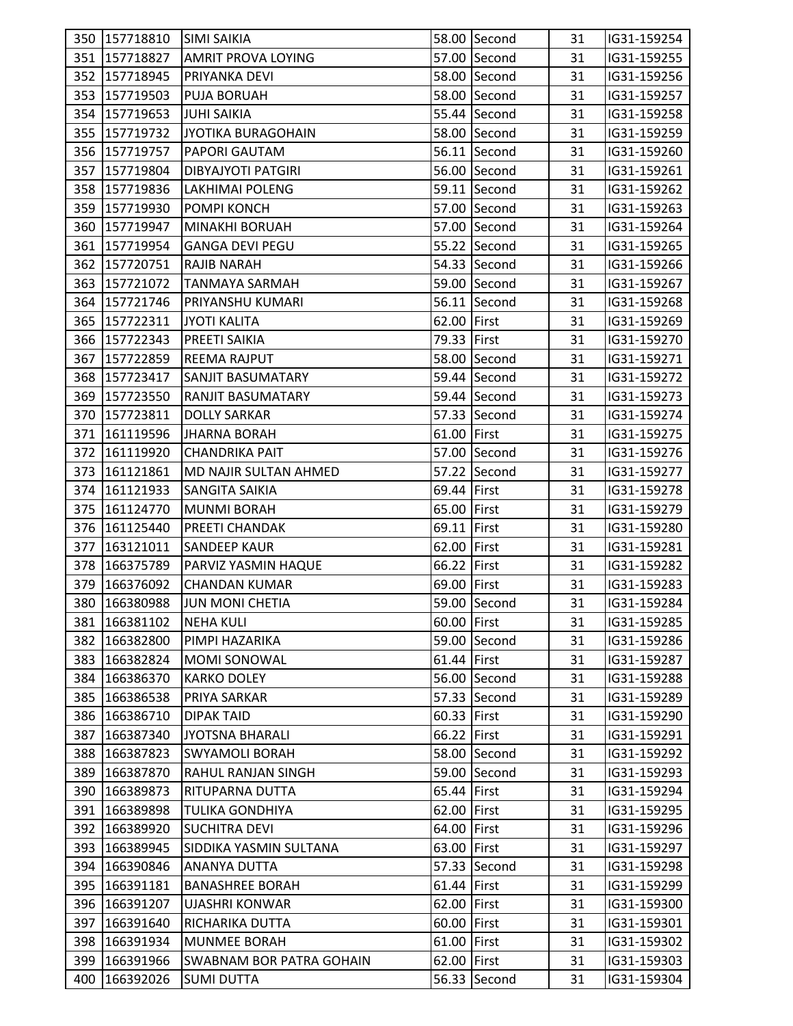| 351 157718827<br>57.00 Second<br>31<br><b>AMRIT PROVA LOYING</b><br>IG31-159255<br>352 157718945<br>58.00 Second<br>31<br>IG31-159256<br>PRIYANKA DEVI<br>353 157719503<br>58.00 Second<br>31<br>IG31-159257<br><b>PUJA BORUAH</b><br>354 157719653<br><b>JUHI SAIKIA</b><br>55.44 Second<br>31<br>IG31-159258<br>355 157719732<br>58.00 Second<br>JYOTIKA BURAGOHAIN<br>31<br>IG31-159259<br>356 157719757<br>56.11 Second<br>31<br>IG31-159260<br>PAPORI GAUTAM<br>357 157719804<br>56.00 Second<br><b>DIBYAJYOTI PATGIRI</b><br>31<br>IG31-159261<br>358 157719836<br>59.11 Second<br>31<br>IG31-159262<br>LAKHIMAI POLENG<br>359 157719930<br>POMPI KONCH<br>57.00 Second<br>31<br>IG31-159263<br>360 157719947<br>57.00 Second<br>31<br>IG31-159264<br>MINAKHI BORUAH<br>361 157719954<br>55.22 Second<br><b>GANGA DEVI PEGU</b><br>31<br>IG31-159265<br>362 157720751<br>54.33 Second<br><b>RAJIB NARAH</b><br>31<br>IG31-159266<br>363 157721072<br>59.00 Second<br>31<br>IG31-159267<br>TANMAYA SARMAH<br>56.11 Second<br>364 157721746<br>PRIYANSHU KUMARI<br>31<br>IG31-159268<br>365 157722311<br>62.00 First<br>IG31-159269<br><b>JYOTI KALITA</b><br>31<br>366 157722343<br>79.33 First<br>PREETI SAIKIA<br>31<br>IG31-159270<br>367 157722859<br>58.00 Second<br>IG31-159271<br><b>REEMA RAJPUT</b><br>31<br>368 157723417<br>59.44 Second<br>31<br><b>SANJIT BASUMATARY</b><br>IG31-159272<br>369 157723550<br><b>RANJIT BASUMATARY</b><br>59.44 Second<br>31<br>IG31-159273<br>57.33 Second<br>370 157723811<br><b>DOLLY SARKAR</b><br>31<br>IG31-159274<br>371 161119596<br>61.00 First<br>31<br>IG31-159275<br>JHARNA BORAH<br>372 161119920<br>57.00 Second<br>31<br>IG31-159276<br><b>CHANDRIKA PAIT</b><br>373 161121861<br>57.22 Second<br>MD NAJIR SULTAN AHMED<br>31<br>IG31-159277<br>69.44 First<br>374 161121933<br><b>SANGITA SAIKIA</b><br>31<br>IG31-159278<br>375 161124770<br>65.00 First<br>IG31-159279<br><b>MUNMI BORAH</b><br>31<br>69.11 First<br>376 161125440<br>PREETI CHANDAK<br>31<br>IG31-159280<br>377 163121011<br><b>SANDEEP KAUR</b><br>62.00 First<br>31<br>IG31-159281<br>66.22 First<br>378 166375789<br>PARVIZ YASMIN HAQUE<br>31<br>IG31-159282<br>379 166376092<br>69.00 First<br>31<br>IG31-159283<br><b>CHANDAN KUMAR</b><br>59.00 Second<br>JUN MONI CHETIA<br>31<br>380 166380988<br>IG31-159284<br>381 166381102<br><b>NEHA KULI</b><br>60.00 First<br>IG31-159285<br>31<br>382 166382800<br>59.00 Second<br>PIMPI HAZARIKA<br>31<br>IG31-159286<br>383<br>166382824<br><b>MOMI SONOWAL</b><br>61.44 First<br>31<br>IG31-159287<br>384 166386370<br><b>KARKO DOLEY</b><br>56.00 Second<br>31<br>IG31-159288<br>385<br>166386538<br>PRIYA SARKAR<br>57.33 Second<br>31<br>IG31-159289<br>60.33 First<br>IG31-159290<br>386 166386710<br><b>DIPAK TAID</b><br>31<br>66.22 First<br>387 166387340<br>31<br>JYOTSNA BHARALI<br>IG31-159291<br>166387823<br>58.00 Second<br>388<br><b>SWYAMOLI BORAH</b><br>31<br>IG31-159292<br>389<br>166387870<br>RAHUL RANJAN SINGH<br>59.00 Second<br>31<br>IG31-159293<br>65.44 First<br>IG31-159294<br>390   166389873<br>RITUPARNA DUTTA<br>31<br>62.00 First<br>31<br>391 166389898<br><b>TULIKA GONDHIYA</b><br>IG31-159295<br>64.00 First<br>392<br>166389920<br><b>SUCHITRA DEVI</b><br>31<br>IG31-159296<br>166389945<br>SIDDIKA YASMIN SULTANA<br>63.00 First<br>IG31-159297<br>393<br>31<br>394 166390846<br><b>ANANYA DUTTA</b><br>57.33 Second<br>31<br>IG31-159298<br>395 166391181<br><b>BANASHREE BORAH</b><br>61.44 First<br>31<br>IG31-159299<br>396 166391207<br><b>UJASHRI KONWAR</b><br>62.00 First<br>31<br>IG31-159300<br>397<br>31<br>166391640<br>RICHARIKA DUTTA<br>60.00 First<br>IG31-159301<br>166391934<br>IG31-159302<br>398<br><b>MUNMEE BORAH</b><br>61.00 First<br>31<br>62.00 First<br>399<br>166391966<br><b>SWABNAM BOR PATRA GOHAIN</b><br>31<br>IG31-159303<br>400 166392026<br>56.33 Second<br><b>SUMI DUTTA</b><br>31<br>IG31-159304 | 350 157718810 | <b>SIMI SAIKIA</b> | 58.00 Second | 31 | IG31-159254 |  |
|------------------------------------------------------------------------------------------------------------------------------------------------------------------------------------------------------------------------------------------------------------------------------------------------------------------------------------------------------------------------------------------------------------------------------------------------------------------------------------------------------------------------------------------------------------------------------------------------------------------------------------------------------------------------------------------------------------------------------------------------------------------------------------------------------------------------------------------------------------------------------------------------------------------------------------------------------------------------------------------------------------------------------------------------------------------------------------------------------------------------------------------------------------------------------------------------------------------------------------------------------------------------------------------------------------------------------------------------------------------------------------------------------------------------------------------------------------------------------------------------------------------------------------------------------------------------------------------------------------------------------------------------------------------------------------------------------------------------------------------------------------------------------------------------------------------------------------------------------------------------------------------------------------------------------------------------------------------------------------------------------------------------------------------------------------------------------------------------------------------------------------------------------------------------------------------------------------------------------------------------------------------------------------------------------------------------------------------------------------------------------------------------------------------------------------------------------------------------------------------------------------------------------------------------------------------------------------------------------------------------------------------------------------------------------------------------------------------------------------------------------------------------------------------------------------------------------------------------------------------------------------------------------------------------------------------------------------------------------------------------------------------------------------------------------------------------------------------------------------------------------------------------------------------------------------------------------------------------------------------------------------------------------------------------------------------------------------------------------------------------------------------------------------------------------------------------------------------------------------------------------------------------------------------------------------------------------------------------------------------------------------------------------------------------------------------------------------------------------------------------------------------------------------------------------------------------------------------------------------------------------------------------------------------------------------------------------------------------|---------------|--------------------|--------------|----|-------------|--|
|                                                                                                                                                                                                                                                                                                                                                                                                                                                                                                                                                                                                                                                                                                                                                                                                                                                                                                                                                                                                                                                                                                                                                                                                                                                                                                                                                                                                                                                                                                                                                                                                                                                                                                                                                                                                                                                                                                                                                                                                                                                                                                                                                                                                                                                                                                                                                                                                                                                                                                                                                                                                                                                                                                                                                                                                                                                                                                                                                                                                                                                                                                                                                                                                                                                                                                                                                                                                                                                                                                                                                                                                                                                                                                                                                                                                                                                                                                                                                                        |               |                    |              |    |             |  |
|                                                                                                                                                                                                                                                                                                                                                                                                                                                                                                                                                                                                                                                                                                                                                                                                                                                                                                                                                                                                                                                                                                                                                                                                                                                                                                                                                                                                                                                                                                                                                                                                                                                                                                                                                                                                                                                                                                                                                                                                                                                                                                                                                                                                                                                                                                                                                                                                                                                                                                                                                                                                                                                                                                                                                                                                                                                                                                                                                                                                                                                                                                                                                                                                                                                                                                                                                                                                                                                                                                                                                                                                                                                                                                                                                                                                                                                                                                                                                                        |               |                    |              |    |             |  |
|                                                                                                                                                                                                                                                                                                                                                                                                                                                                                                                                                                                                                                                                                                                                                                                                                                                                                                                                                                                                                                                                                                                                                                                                                                                                                                                                                                                                                                                                                                                                                                                                                                                                                                                                                                                                                                                                                                                                                                                                                                                                                                                                                                                                                                                                                                                                                                                                                                                                                                                                                                                                                                                                                                                                                                                                                                                                                                                                                                                                                                                                                                                                                                                                                                                                                                                                                                                                                                                                                                                                                                                                                                                                                                                                                                                                                                                                                                                                                                        |               |                    |              |    |             |  |
|                                                                                                                                                                                                                                                                                                                                                                                                                                                                                                                                                                                                                                                                                                                                                                                                                                                                                                                                                                                                                                                                                                                                                                                                                                                                                                                                                                                                                                                                                                                                                                                                                                                                                                                                                                                                                                                                                                                                                                                                                                                                                                                                                                                                                                                                                                                                                                                                                                                                                                                                                                                                                                                                                                                                                                                                                                                                                                                                                                                                                                                                                                                                                                                                                                                                                                                                                                                                                                                                                                                                                                                                                                                                                                                                                                                                                                                                                                                                                                        |               |                    |              |    |             |  |
|                                                                                                                                                                                                                                                                                                                                                                                                                                                                                                                                                                                                                                                                                                                                                                                                                                                                                                                                                                                                                                                                                                                                                                                                                                                                                                                                                                                                                                                                                                                                                                                                                                                                                                                                                                                                                                                                                                                                                                                                                                                                                                                                                                                                                                                                                                                                                                                                                                                                                                                                                                                                                                                                                                                                                                                                                                                                                                                                                                                                                                                                                                                                                                                                                                                                                                                                                                                                                                                                                                                                                                                                                                                                                                                                                                                                                                                                                                                                                                        |               |                    |              |    |             |  |
|                                                                                                                                                                                                                                                                                                                                                                                                                                                                                                                                                                                                                                                                                                                                                                                                                                                                                                                                                                                                                                                                                                                                                                                                                                                                                                                                                                                                                                                                                                                                                                                                                                                                                                                                                                                                                                                                                                                                                                                                                                                                                                                                                                                                                                                                                                                                                                                                                                                                                                                                                                                                                                                                                                                                                                                                                                                                                                                                                                                                                                                                                                                                                                                                                                                                                                                                                                                                                                                                                                                                                                                                                                                                                                                                                                                                                                                                                                                                                                        |               |                    |              |    |             |  |
|                                                                                                                                                                                                                                                                                                                                                                                                                                                                                                                                                                                                                                                                                                                                                                                                                                                                                                                                                                                                                                                                                                                                                                                                                                                                                                                                                                                                                                                                                                                                                                                                                                                                                                                                                                                                                                                                                                                                                                                                                                                                                                                                                                                                                                                                                                                                                                                                                                                                                                                                                                                                                                                                                                                                                                                                                                                                                                                                                                                                                                                                                                                                                                                                                                                                                                                                                                                                                                                                                                                                                                                                                                                                                                                                                                                                                                                                                                                                                                        |               |                    |              |    |             |  |
|                                                                                                                                                                                                                                                                                                                                                                                                                                                                                                                                                                                                                                                                                                                                                                                                                                                                                                                                                                                                                                                                                                                                                                                                                                                                                                                                                                                                                                                                                                                                                                                                                                                                                                                                                                                                                                                                                                                                                                                                                                                                                                                                                                                                                                                                                                                                                                                                                                                                                                                                                                                                                                                                                                                                                                                                                                                                                                                                                                                                                                                                                                                                                                                                                                                                                                                                                                                                                                                                                                                                                                                                                                                                                                                                                                                                                                                                                                                                                                        |               |                    |              |    |             |  |
|                                                                                                                                                                                                                                                                                                                                                                                                                                                                                                                                                                                                                                                                                                                                                                                                                                                                                                                                                                                                                                                                                                                                                                                                                                                                                                                                                                                                                                                                                                                                                                                                                                                                                                                                                                                                                                                                                                                                                                                                                                                                                                                                                                                                                                                                                                                                                                                                                                                                                                                                                                                                                                                                                                                                                                                                                                                                                                                                                                                                                                                                                                                                                                                                                                                                                                                                                                                                                                                                                                                                                                                                                                                                                                                                                                                                                                                                                                                                                                        |               |                    |              |    |             |  |
|                                                                                                                                                                                                                                                                                                                                                                                                                                                                                                                                                                                                                                                                                                                                                                                                                                                                                                                                                                                                                                                                                                                                                                                                                                                                                                                                                                                                                                                                                                                                                                                                                                                                                                                                                                                                                                                                                                                                                                                                                                                                                                                                                                                                                                                                                                                                                                                                                                                                                                                                                                                                                                                                                                                                                                                                                                                                                                                                                                                                                                                                                                                                                                                                                                                                                                                                                                                                                                                                                                                                                                                                                                                                                                                                                                                                                                                                                                                                                                        |               |                    |              |    |             |  |
|                                                                                                                                                                                                                                                                                                                                                                                                                                                                                                                                                                                                                                                                                                                                                                                                                                                                                                                                                                                                                                                                                                                                                                                                                                                                                                                                                                                                                                                                                                                                                                                                                                                                                                                                                                                                                                                                                                                                                                                                                                                                                                                                                                                                                                                                                                                                                                                                                                                                                                                                                                                                                                                                                                                                                                                                                                                                                                                                                                                                                                                                                                                                                                                                                                                                                                                                                                                                                                                                                                                                                                                                                                                                                                                                                                                                                                                                                                                                                                        |               |                    |              |    |             |  |
|                                                                                                                                                                                                                                                                                                                                                                                                                                                                                                                                                                                                                                                                                                                                                                                                                                                                                                                                                                                                                                                                                                                                                                                                                                                                                                                                                                                                                                                                                                                                                                                                                                                                                                                                                                                                                                                                                                                                                                                                                                                                                                                                                                                                                                                                                                                                                                                                                                                                                                                                                                                                                                                                                                                                                                                                                                                                                                                                                                                                                                                                                                                                                                                                                                                                                                                                                                                                                                                                                                                                                                                                                                                                                                                                                                                                                                                                                                                                                                        |               |                    |              |    |             |  |
|                                                                                                                                                                                                                                                                                                                                                                                                                                                                                                                                                                                                                                                                                                                                                                                                                                                                                                                                                                                                                                                                                                                                                                                                                                                                                                                                                                                                                                                                                                                                                                                                                                                                                                                                                                                                                                                                                                                                                                                                                                                                                                                                                                                                                                                                                                                                                                                                                                                                                                                                                                                                                                                                                                                                                                                                                                                                                                                                                                                                                                                                                                                                                                                                                                                                                                                                                                                                                                                                                                                                                                                                                                                                                                                                                                                                                                                                                                                                                                        |               |                    |              |    |             |  |
|                                                                                                                                                                                                                                                                                                                                                                                                                                                                                                                                                                                                                                                                                                                                                                                                                                                                                                                                                                                                                                                                                                                                                                                                                                                                                                                                                                                                                                                                                                                                                                                                                                                                                                                                                                                                                                                                                                                                                                                                                                                                                                                                                                                                                                                                                                                                                                                                                                                                                                                                                                                                                                                                                                                                                                                                                                                                                                                                                                                                                                                                                                                                                                                                                                                                                                                                                                                                                                                                                                                                                                                                                                                                                                                                                                                                                                                                                                                                                                        |               |                    |              |    |             |  |
|                                                                                                                                                                                                                                                                                                                                                                                                                                                                                                                                                                                                                                                                                                                                                                                                                                                                                                                                                                                                                                                                                                                                                                                                                                                                                                                                                                                                                                                                                                                                                                                                                                                                                                                                                                                                                                                                                                                                                                                                                                                                                                                                                                                                                                                                                                                                                                                                                                                                                                                                                                                                                                                                                                                                                                                                                                                                                                                                                                                                                                                                                                                                                                                                                                                                                                                                                                                                                                                                                                                                                                                                                                                                                                                                                                                                                                                                                                                                                                        |               |                    |              |    |             |  |
|                                                                                                                                                                                                                                                                                                                                                                                                                                                                                                                                                                                                                                                                                                                                                                                                                                                                                                                                                                                                                                                                                                                                                                                                                                                                                                                                                                                                                                                                                                                                                                                                                                                                                                                                                                                                                                                                                                                                                                                                                                                                                                                                                                                                                                                                                                                                                                                                                                                                                                                                                                                                                                                                                                                                                                                                                                                                                                                                                                                                                                                                                                                                                                                                                                                                                                                                                                                                                                                                                                                                                                                                                                                                                                                                                                                                                                                                                                                                                                        |               |                    |              |    |             |  |
|                                                                                                                                                                                                                                                                                                                                                                                                                                                                                                                                                                                                                                                                                                                                                                                                                                                                                                                                                                                                                                                                                                                                                                                                                                                                                                                                                                                                                                                                                                                                                                                                                                                                                                                                                                                                                                                                                                                                                                                                                                                                                                                                                                                                                                                                                                                                                                                                                                                                                                                                                                                                                                                                                                                                                                                                                                                                                                                                                                                                                                                                                                                                                                                                                                                                                                                                                                                                                                                                                                                                                                                                                                                                                                                                                                                                                                                                                                                                                                        |               |                    |              |    |             |  |
|                                                                                                                                                                                                                                                                                                                                                                                                                                                                                                                                                                                                                                                                                                                                                                                                                                                                                                                                                                                                                                                                                                                                                                                                                                                                                                                                                                                                                                                                                                                                                                                                                                                                                                                                                                                                                                                                                                                                                                                                                                                                                                                                                                                                                                                                                                                                                                                                                                                                                                                                                                                                                                                                                                                                                                                                                                                                                                                                                                                                                                                                                                                                                                                                                                                                                                                                                                                                                                                                                                                                                                                                                                                                                                                                                                                                                                                                                                                                                                        |               |                    |              |    |             |  |
|                                                                                                                                                                                                                                                                                                                                                                                                                                                                                                                                                                                                                                                                                                                                                                                                                                                                                                                                                                                                                                                                                                                                                                                                                                                                                                                                                                                                                                                                                                                                                                                                                                                                                                                                                                                                                                                                                                                                                                                                                                                                                                                                                                                                                                                                                                                                                                                                                                                                                                                                                                                                                                                                                                                                                                                                                                                                                                                                                                                                                                                                                                                                                                                                                                                                                                                                                                                                                                                                                                                                                                                                                                                                                                                                                                                                                                                                                                                                                                        |               |                    |              |    |             |  |
|                                                                                                                                                                                                                                                                                                                                                                                                                                                                                                                                                                                                                                                                                                                                                                                                                                                                                                                                                                                                                                                                                                                                                                                                                                                                                                                                                                                                                                                                                                                                                                                                                                                                                                                                                                                                                                                                                                                                                                                                                                                                                                                                                                                                                                                                                                                                                                                                                                                                                                                                                                                                                                                                                                                                                                                                                                                                                                                                                                                                                                                                                                                                                                                                                                                                                                                                                                                                                                                                                                                                                                                                                                                                                                                                                                                                                                                                                                                                                                        |               |                    |              |    |             |  |
|                                                                                                                                                                                                                                                                                                                                                                                                                                                                                                                                                                                                                                                                                                                                                                                                                                                                                                                                                                                                                                                                                                                                                                                                                                                                                                                                                                                                                                                                                                                                                                                                                                                                                                                                                                                                                                                                                                                                                                                                                                                                                                                                                                                                                                                                                                                                                                                                                                                                                                                                                                                                                                                                                                                                                                                                                                                                                                                                                                                                                                                                                                                                                                                                                                                                                                                                                                                                                                                                                                                                                                                                                                                                                                                                                                                                                                                                                                                                                                        |               |                    |              |    |             |  |
|                                                                                                                                                                                                                                                                                                                                                                                                                                                                                                                                                                                                                                                                                                                                                                                                                                                                                                                                                                                                                                                                                                                                                                                                                                                                                                                                                                                                                                                                                                                                                                                                                                                                                                                                                                                                                                                                                                                                                                                                                                                                                                                                                                                                                                                                                                                                                                                                                                                                                                                                                                                                                                                                                                                                                                                                                                                                                                                                                                                                                                                                                                                                                                                                                                                                                                                                                                                                                                                                                                                                                                                                                                                                                                                                                                                                                                                                                                                                                                        |               |                    |              |    |             |  |
|                                                                                                                                                                                                                                                                                                                                                                                                                                                                                                                                                                                                                                                                                                                                                                                                                                                                                                                                                                                                                                                                                                                                                                                                                                                                                                                                                                                                                                                                                                                                                                                                                                                                                                                                                                                                                                                                                                                                                                                                                                                                                                                                                                                                                                                                                                                                                                                                                                                                                                                                                                                                                                                                                                                                                                                                                                                                                                                                                                                                                                                                                                                                                                                                                                                                                                                                                                                                                                                                                                                                                                                                                                                                                                                                                                                                                                                                                                                                                                        |               |                    |              |    |             |  |
|                                                                                                                                                                                                                                                                                                                                                                                                                                                                                                                                                                                                                                                                                                                                                                                                                                                                                                                                                                                                                                                                                                                                                                                                                                                                                                                                                                                                                                                                                                                                                                                                                                                                                                                                                                                                                                                                                                                                                                                                                                                                                                                                                                                                                                                                                                                                                                                                                                                                                                                                                                                                                                                                                                                                                                                                                                                                                                                                                                                                                                                                                                                                                                                                                                                                                                                                                                                                                                                                                                                                                                                                                                                                                                                                                                                                                                                                                                                                                                        |               |                    |              |    |             |  |
|                                                                                                                                                                                                                                                                                                                                                                                                                                                                                                                                                                                                                                                                                                                                                                                                                                                                                                                                                                                                                                                                                                                                                                                                                                                                                                                                                                                                                                                                                                                                                                                                                                                                                                                                                                                                                                                                                                                                                                                                                                                                                                                                                                                                                                                                                                                                                                                                                                                                                                                                                                                                                                                                                                                                                                                                                                                                                                                                                                                                                                                                                                                                                                                                                                                                                                                                                                                                                                                                                                                                                                                                                                                                                                                                                                                                                                                                                                                                                                        |               |                    |              |    |             |  |
|                                                                                                                                                                                                                                                                                                                                                                                                                                                                                                                                                                                                                                                                                                                                                                                                                                                                                                                                                                                                                                                                                                                                                                                                                                                                                                                                                                                                                                                                                                                                                                                                                                                                                                                                                                                                                                                                                                                                                                                                                                                                                                                                                                                                                                                                                                                                                                                                                                                                                                                                                                                                                                                                                                                                                                                                                                                                                                                                                                                                                                                                                                                                                                                                                                                                                                                                                                                                                                                                                                                                                                                                                                                                                                                                                                                                                                                                                                                                                                        |               |                    |              |    |             |  |
|                                                                                                                                                                                                                                                                                                                                                                                                                                                                                                                                                                                                                                                                                                                                                                                                                                                                                                                                                                                                                                                                                                                                                                                                                                                                                                                                                                                                                                                                                                                                                                                                                                                                                                                                                                                                                                                                                                                                                                                                                                                                                                                                                                                                                                                                                                                                                                                                                                                                                                                                                                                                                                                                                                                                                                                                                                                                                                                                                                                                                                                                                                                                                                                                                                                                                                                                                                                                                                                                                                                                                                                                                                                                                                                                                                                                                                                                                                                                                                        |               |                    |              |    |             |  |
|                                                                                                                                                                                                                                                                                                                                                                                                                                                                                                                                                                                                                                                                                                                                                                                                                                                                                                                                                                                                                                                                                                                                                                                                                                                                                                                                                                                                                                                                                                                                                                                                                                                                                                                                                                                                                                                                                                                                                                                                                                                                                                                                                                                                                                                                                                                                                                                                                                                                                                                                                                                                                                                                                                                                                                                                                                                                                                                                                                                                                                                                                                                                                                                                                                                                                                                                                                                                                                                                                                                                                                                                                                                                                                                                                                                                                                                                                                                                                                        |               |                    |              |    |             |  |
|                                                                                                                                                                                                                                                                                                                                                                                                                                                                                                                                                                                                                                                                                                                                                                                                                                                                                                                                                                                                                                                                                                                                                                                                                                                                                                                                                                                                                                                                                                                                                                                                                                                                                                                                                                                                                                                                                                                                                                                                                                                                                                                                                                                                                                                                                                                                                                                                                                                                                                                                                                                                                                                                                                                                                                                                                                                                                                                                                                                                                                                                                                                                                                                                                                                                                                                                                                                                                                                                                                                                                                                                                                                                                                                                                                                                                                                                                                                                                                        |               |                    |              |    |             |  |
|                                                                                                                                                                                                                                                                                                                                                                                                                                                                                                                                                                                                                                                                                                                                                                                                                                                                                                                                                                                                                                                                                                                                                                                                                                                                                                                                                                                                                                                                                                                                                                                                                                                                                                                                                                                                                                                                                                                                                                                                                                                                                                                                                                                                                                                                                                                                                                                                                                                                                                                                                                                                                                                                                                                                                                                                                                                                                                                                                                                                                                                                                                                                                                                                                                                                                                                                                                                                                                                                                                                                                                                                                                                                                                                                                                                                                                                                                                                                                                        |               |                    |              |    |             |  |
|                                                                                                                                                                                                                                                                                                                                                                                                                                                                                                                                                                                                                                                                                                                                                                                                                                                                                                                                                                                                                                                                                                                                                                                                                                                                                                                                                                                                                                                                                                                                                                                                                                                                                                                                                                                                                                                                                                                                                                                                                                                                                                                                                                                                                                                                                                                                                                                                                                                                                                                                                                                                                                                                                                                                                                                                                                                                                                                                                                                                                                                                                                                                                                                                                                                                                                                                                                                                                                                                                                                                                                                                                                                                                                                                                                                                                                                                                                                                                                        |               |                    |              |    |             |  |
|                                                                                                                                                                                                                                                                                                                                                                                                                                                                                                                                                                                                                                                                                                                                                                                                                                                                                                                                                                                                                                                                                                                                                                                                                                                                                                                                                                                                                                                                                                                                                                                                                                                                                                                                                                                                                                                                                                                                                                                                                                                                                                                                                                                                                                                                                                                                                                                                                                                                                                                                                                                                                                                                                                                                                                                                                                                                                                                                                                                                                                                                                                                                                                                                                                                                                                                                                                                                                                                                                                                                                                                                                                                                                                                                                                                                                                                                                                                                                                        |               |                    |              |    |             |  |
|                                                                                                                                                                                                                                                                                                                                                                                                                                                                                                                                                                                                                                                                                                                                                                                                                                                                                                                                                                                                                                                                                                                                                                                                                                                                                                                                                                                                                                                                                                                                                                                                                                                                                                                                                                                                                                                                                                                                                                                                                                                                                                                                                                                                                                                                                                                                                                                                                                                                                                                                                                                                                                                                                                                                                                                                                                                                                                                                                                                                                                                                                                                                                                                                                                                                                                                                                                                                                                                                                                                                                                                                                                                                                                                                                                                                                                                                                                                                                                        |               |                    |              |    |             |  |
|                                                                                                                                                                                                                                                                                                                                                                                                                                                                                                                                                                                                                                                                                                                                                                                                                                                                                                                                                                                                                                                                                                                                                                                                                                                                                                                                                                                                                                                                                                                                                                                                                                                                                                                                                                                                                                                                                                                                                                                                                                                                                                                                                                                                                                                                                                                                                                                                                                                                                                                                                                                                                                                                                                                                                                                                                                                                                                                                                                                                                                                                                                                                                                                                                                                                                                                                                                                                                                                                                                                                                                                                                                                                                                                                                                                                                                                                                                                                                                        |               |                    |              |    |             |  |
|                                                                                                                                                                                                                                                                                                                                                                                                                                                                                                                                                                                                                                                                                                                                                                                                                                                                                                                                                                                                                                                                                                                                                                                                                                                                                                                                                                                                                                                                                                                                                                                                                                                                                                                                                                                                                                                                                                                                                                                                                                                                                                                                                                                                                                                                                                                                                                                                                                                                                                                                                                                                                                                                                                                                                                                                                                                                                                                                                                                                                                                                                                                                                                                                                                                                                                                                                                                                                                                                                                                                                                                                                                                                                                                                                                                                                                                                                                                                                                        |               |                    |              |    |             |  |
|                                                                                                                                                                                                                                                                                                                                                                                                                                                                                                                                                                                                                                                                                                                                                                                                                                                                                                                                                                                                                                                                                                                                                                                                                                                                                                                                                                                                                                                                                                                                                                                                                                                                                                                                                                                                                                                                                                                                                                                                                                                                                                                                                                                                                                                                                                                                                                                                                                                                                                                                                                                                                                                                                                                                                                                                                                                                                                                                                                                                                                                                                                                                                                                                                                                                                                                                                                                                                                                                                                                                                                                                                                                                                                                                                                                                                                                                                                                                                                        |               |                    |              |    |             |  |
|                                                                                                                                                                                                                                                                                                                                                                                                                                                                                                                                                                                                                                                                                                                                                                                                                                                                                                                                                                                                                                                                                                                                                                                                                                                                                                                                                                                                                                                                                                                                                                                                                                                                                                                                                                                                                                                                                                                                                                                                                                                                                                                                                                                                                                                                                                                                                                                                                                                                                                                                                                                                                                                                                                                                                                                                                                                                                                                                                                                                                                                                                                                                                                                                                                                                                                                                                                                                                                                                                                                                                                                                                                                                                                                                                                                                                                                                                                                                                                        |               |                    |              |    |             |  |
|                                                                                                                                                                                                                                                                                                                                                                                                                                                                                                                                                                                                                                                                                                                                                                                                                                                                                                                                                                                                                                                                                                                                                                                                                                                                                                                                                                                                                                                                                                                                                                                                                                                                                                                                                                                                                                                                                                                                                                                                                                                                                                                                                                                                                                                                                                                                                                                                                                                                                                                                                                                                                                                                                                                                                                                                                                                                                                                                                                                                                                                                                                                                                                                                                                                                                                                                                                                                                                                                                                                                                                                                                                                                                                                                                                                                                                                                                                                                                                        |               |                    |              |    |             |  |
|                                                                                                                                                                                                                                                                                                                                                                                                                                                                                                                                                                                                                                                                                                                                                                                                                                                                                                                                                                                                                                                                                                                                                                                                                                                                                                                                                                                                                                                                                                                                                                                                                                                                                                                                                                                                                                                                                                                                                                                                                                                                                                                                                                                                                                                                                                                                                                                                                                                                                                                                                                                                                                                                                                                                                                                                                                                                                                                                                                                                                                                                                                                                                                                                                                                                                                                                                                                                                                                                                                                                                                                                                                                                                                                                                                                                                                                                                                                                                                        |               |                    |              |    |             |  |
|                                                                                                                                                                                                                                                                                                                                                                                                                                                                                                                                                                                                                                                                                                                                                                                                                                                                                                                                                                                                                                                                                                                                                                                                                                                                                                                                                                                                                                                                                                                                                                                                                                                                                                                                                                                                                                                                                                                                                                                                                                                                                                                                                                                                                                                                                                                                                                                                                                                                                                                                                                                                                                                                                                                                                                                                                                                                                                                                                                                                                                                                                                                                                                                                                                                                                                                                                                                                                                                                                                                                                                                                                                                                                                                                                                                                                                                                                                                                                                        |               |                    |              |    |             |  |
|                                                                                                                                                                                                                                                                                                                                                                                                                                                                                                                                                                                                                                                                                                                                                                                                                                                                                                                                                                                                                                                                                                                                                                                                                                                                                                                                                                                                                                                                                                                                                                                                                                                                                                                                                                                                                                                                                                                                                                                                                                                                                                                                                                                                                                                                                                                                                                                                                                                                                                                                                                                                                                                                                                                                                                                                                                                                                                                                                                                                                                                                                                                                                                                                                                                                                                                                                                                                                                                                                                                                                                                                                                                                                                                                                                                                                                                                                                                                                                        |               |                    |              |    |             |  |
|                                                                                                                                                                                                                                                                                                                                                                                                                                                                                                                                                                                                                                                                                                                                                                                                                                                                                                                                                                                                                                                                                                                                                                                                                                                                                                                                                                                                                                                                                                                                                                                                                                                                                                                                                                                                                                                                                                                                                                                                                                                                                                                                                                                                                                                                                                                                                                                                                                                                                                                                                                                                                                                                                                                                                                                                                                                                                                                                                                                                                                                                                                                                                                                                                                                                                                                                                                                                                                                                                                                                                                                                                                                                                                                                                                                                                                                                                                                                                                        |               |                    |              |    |             |  |
|                                                                                                                                                                                                                                                                                                                                                                                                                                                                                                                                                                                                                                                                                                                                                                                                                                                                                                                                                                                                                                                                                                                                                                                                                                                                                                                                                                                                                                                                                                                                                                                                                                                                                                                                                                                                                                                                                                                                                                                                                                                                                                                                                                                                                                                                                                                                                                                                                                                                                                                                                                                                                                                                                                                                                                                                                                                                                                                                                                                                                                                                                                                                                                                                                                                                                                                                                                                                                                                                                                                                                                                                                                                                                                                                                                                                                                                                                                                                                                        |               |                    |              |    |             |  |
|                                                                                                                                                                                                                                                                                                                                                                                                                                                                                                                                                                                                                                                                                                                                                                                                                                                                                                                                                                                                                                                                                                                                                                                                                                                                                                                                                                                                                                                                                                                                                                                                                                                                                                                                                                                                                                                                                                                                                                                                                                                                                                                                                                                                                                                                                                                                                                                                                                                                                                                                                                                                                                                                                                                                                                                                                                                                                                                                                                                                                                                                                                                                                                                                                                                                                                                                                                                                                                                                                                                                                                                                                                                                                                                                                                                                                                                                                                                                                                        |               |                    |              |    |             |  |
|                                                                                                                                                                                                                                                                                                                                                                                                                                                                                                                                                                                                                                                                                                                                                                                                                                                                                                                                                                                                                                                                                                                                                                                                                                                                                                                                                                                                                                                                                                                                                                                                                                                                                                                                                                                                                                                                                                                                                                                                                                                                                                                                                                                                                                                                                                                                                                                                                                                                                                                                                                                                                                                                                                                                                                                                                                                                                                                                                                                                                                                                                                                                                                                                                                                                                                                                                                                                                                                                                                                                                                                                                                                                                                                                                                                                                                                                                                                                                                        |               |                    |              |    |             |  |
|                                                                                                                                                                                                                                                                                                                                                                                                                                                                                                                                                                                                                                                                                                                                                                                                                                                                                                                                                                                                                                                                                                                                                                                                                                                                                                                                                                                                                                                                                                                                                                                                                                                                                                                                                                                                                                                                                                                                                                                                                                                                                                                                                                                                                                                                                                                                                                                                                                                                                                                                                                                                                                                                                                                                                                                                                                                                                                                                                                                                                                                                                                                                                                                                                                                                                                                                                                                                                                                                                                                                                                                                                                                                                                                                                                                                                                                                                                                                                                        |               |                    |              |    |             |  |
|                                                                                                                                                                                                                                                                                                                                                                                                                                                                                                                                                                                                                                                                                                                                                                                                                                                                                                                                                                                                                                                                                                                                                                                                                                                                                                                                                                                                                                                                                                                                                                                                                                                                                                                                                                                                                                                                                                                                                                                                                                                                                                                                                                                                                                                                                                                                                                                                                                                                                                                                                                                                                                                                                                                                                                                                                                                                                                                                                                                                                                                                                                                                                                                                                                                                                                                                                                                                                                                                                                                                                                                                                                                                                                                                                                                                                                                                                                                                                                        |               |                    |              |    |             |  |
|                                                                                                                                                                                                                                                                                                                                                                                                                                                                                                                                                                                                                                                                                                                                                                                                                                                                                                                                                                                                                                                                                                                                                                                                                                                                                                                                                                                                                                                                                                                                                                                                                                                                                                                                                                                                                                                                                                                                                                                                                                                                                                                                                                                                                                                                                                                                                                                                                                                                                                                                                                                                                                                                                                                                                                                                                                                                                                                                                                                                                                                                                                                                                                                                                                                                                                                                                                                                                                                                                                                                                                                                                                                                                                                                                                                                                                                                                                                                                                        |               |                    |              |    |             |  |
|                                                                                                                                                                                                                                                                                                                                                                                                                                                                                                                                                                                                                                                                                                                                                                                                                                                                                                                                                                                                                                                                                                                                                                                                                                                                                                                                                                                                                                                                                                                                                                                                                                                                                                                                                                                                                                                                                                                                                                                                                                                                                                                                                                                                                                                                                                                                                                                                                                                                                                                                                                                                                                                                                                                                                                                                                                                                                                                                                                                                                                                                                                                                                                                                                                                                                                                                                                                                                                                                                                                                                                                                                                                                                                                                                                                                                                                                                                                                                                        |               |                    |              |    |             |  |
|                                                                                                                                                                                                                                                                                                                                                                                                                                                                                                                                                                                                                                                                                                                                                                                                                                                                                                                                                                                                                                                                                                                                                                                                                                                                                                                                                                                                                                                                                                                                                                                                                                                                                                                                                                                                                                                                                                                                                                                                                                                                                                                                                                                                                                                                                                                                                                                                                                                                                                                                                                                                                                                                                                                                                                                                                                                                                                                                                                                                                                                                                                                                                                                                                                                                                                                                                                                                                                                                                                                                                                                                                                                                                                                                                                                                                                                                                                                                                                        |               |                    |              |    |             |  |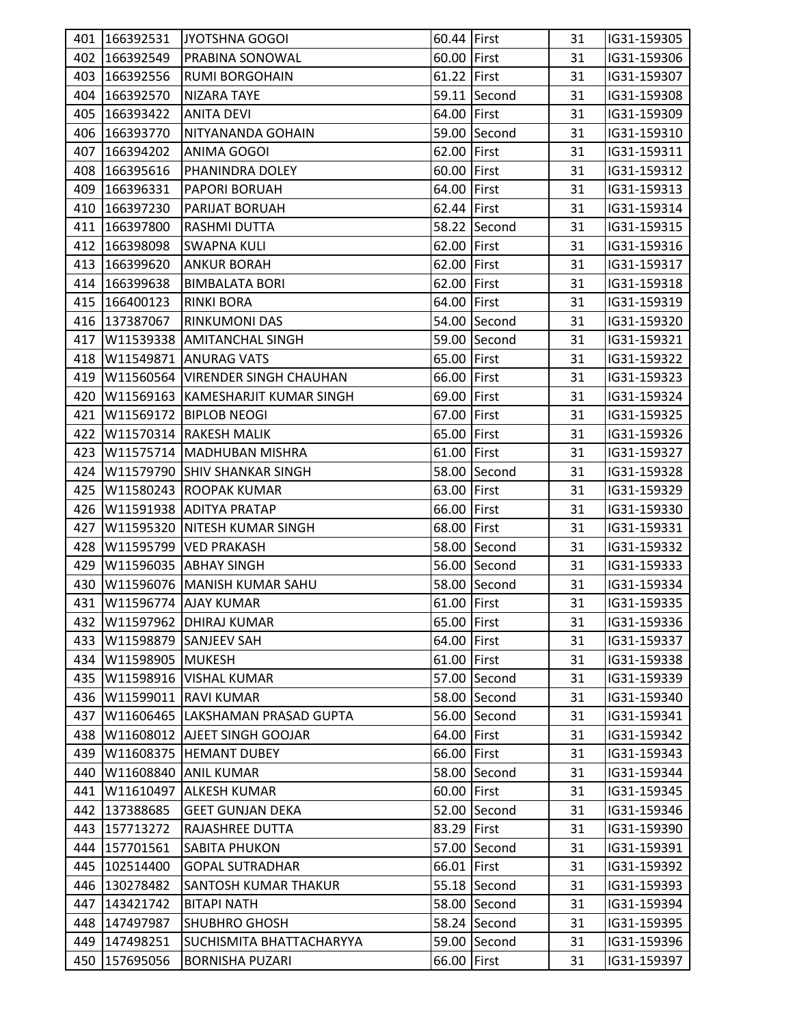|     | 401 166392531    | JYOTSHNA GOGOI                            | 60.44 First |              | 31 | IG31-159305 |
|-----|------------------|-------------------------------------------|-------------|--------------|----|-------------|
|     | 402 166392549    | <b>PRABINA SONOWAL</b>                    | 60.00 First |              | 31 | IG31-159306 |
|     | 403 166392556    | <b>RUMI BORGOHAIN</b>                     | 61.22 First |              | 31 | IG31-159307 |
| 404 | 166392570        | <b>NIZARA TAYE</b>                        |             | 59.11 Second | 31 | IG31-159308 |
| 405 | 166393422        | <b>ANITA DEVI</b>                         | 64.00 First |              | 31 | IG31-159309 |
|     | 406 166393770    | NITYANANDA GOHAIN                         |             | 59.00 Second | 31 | IG31-159310 |
| 407 | 166394202        | ANIMA GOGOI                               | 62.00 First |              | 31 | IG31-159311 |
| 408 | 166395616        | PHANINDRA DOLEY                           | 60.00 First |              | 31 | IG31-159312 |
| 409 | 166396331        | PAPORI BORUAH                             | 64.00 First |              | 31 | IG31-159313 |
|     | 410 166397230    | <b>PARIJAT BORUAH</b>                     | 62.44 First |              | 31 | IG31-159314 |
|     | 411 166397800    | <b>RASHMI DUTTA</b>                       |             | 58.22 Second | 31 | IG31-159315 |
|     | 412 166398098    | <b>SWAPNA KULI</b>                        | 62.00 First |              | 31 | IG31-159316 |
|     | 413 166399620    | <b>ANKUR BORAH</b>                        | 62.00 First |              | 31 | IG31-159317 |
|     | 414 166399638    | <b>BIMBALATA BORI</b>                     | 62.00 First |              | 31 | IG31-159318 |
|     | 415 166400123    | <b>RINKI BORA</b>                         | 64.00 First |              | 31 | IG31-159319 |
|     | 416 137387067    | <b>RINKUMONI DAS</b>                      |             | 54.00 Second | 31 | IG31-159320 |
| 417 |                  | W11539338 AMITANCHAL SINGH                |             | 59.00 Second | 31 | IG31-159321 |
| 418 |                  | W11549871 ANURAG VATS                     | 65.00 First |              | 31 | IG31-159322 |
| 419 |                  | W11560564 VIRENDER SINGH CHAUHAN          | 66.00 First |              | 31 | IG31-159323 |
|     |                  | 420   W11569163   KAMESHARJIT KUMAR SINGH | 69.00 First |              | 31 | IG31-159324 |
| 421 |                  | W11569172 BIPLOB NEOGI                    | 67.00 First |              | 31 | IG31-159325 |
| 422 |                  | W11570314 RAKESH MALIK                    | 65.00 First |              | 31 | IG31-159326 |
| 423 |                  | W11575714 MADHUBAN MISHRA                 | 61.00 First |              | 31 | IG31-159327 |
| 424 |                  | W11579790 SHIV SHANKAR SINGH              |             | 58.00 Second | 31 | IG31-159328 |
| 425 |                  | W11580243 ROOPAK KUMAR                    | 63.00 First |              | 31 | IG31-159329 |
| 426 |                  | W11591938 ADITYA PRATAP                   | 66.00 First |              | 31 | IG31-159330 |
| 427 |                  | W11595320 NITESH KUMAR SINGH              | 68.00 First |              | 31 | IG31-159331 |
| 428 |                  | W11595799 VED PRAKASH                     |             | 58.00 Second | 31 | IG31-159332 |
| 429 |                  | W11596035 ABHAY SINGH                     |             | 56.00 Second | 31 | IG31-159333 |
| 430 |                  | W11596076 MANISH KUMAR SAHU               |             | 58.00 Second | 31 | IG31-159334 |
|     |                  | 431   W11596774   AJAY KUMAR              | 61.00 First |              | 31 | IG31-159335 |
| 432 |                  | W11597962 DHIRAJ KUMAR                    | 65.00 First |              | 31 | IG31-159336 |
| 433 |                  | W11598879 SANJEEV SAH                     | 64.00 First |              | 31 | IG31-159337 |
| 434 | W11598905 MUKESH |                                           | 61.00 First |              | 31 | IG31-159338 |
| 435 |                  | W11598916 VISHAL KUMAR                    |             | 57.00 Second | 31 | IG31-159339 |
| 436 |                  | W11599011 RAVI KUMAR                      |             | 58.00 Second | 31 | IG31-159340 |
| 437 |                  | W11606465  LAKSHAMAN PRASAD GUPTA         |             | 56.00 Second | 31 | IG31-159341 |
| 438 |                  | W11608012 AJEET SINGH GOOJAR              | 64.00 First |              | 31 | IG31-159342 |
| 439 |                  | W11608375 HEMANT DUBEY                    | 66.00 First |              | 31 | IG31-159343 |
| 440 |                  | W11608840 ANIL KUMAR                      |             | 58.00 Second | 31 | IG31-159344 |
| 441 |                  | W11610497 ALKESH KUMAR                    | 60.00 First |              | 31 | IG31-159345 |
| 442 | 137388685        | <b>GEET GUNJAN DEKA</b>                   |             | 52.00 Second | 31 | IG31-159346 |
|     | 443 157713272    | RAJASHREE DUTTA                           | 83.29 First |              | 31 | IG31-159390 |
| 444 | 157701561        | <b>SABITA PHUKON</b>                      |             | 57.00 Second | 31 | IG31-159391 |
| 445 | 102514400        | <b>GOPAL SUTRADHAR</b>                    | 66.01 First |              | 31 | IG31-159392 |
| 446 | 130278482        | SANTOSH KUMAR THAKUR                      |             | 55.18 Second | 31 | IG31-159393 |
| 447 | 143421742        | <b>BITAPI NATH</b>                        |             | 58.00 Second | 31 | IG31-159394 |
| 448 | 147497987        | <b>SHUBHRO GHOSH</b>                      |             | 58.24 Second | 31 | IG31-159395 |
| 449 | 147498251        | SUCHISMITA BHATTACHARYYA                  |             | 59.00 Second | 31 | IG31-159396 |
| 450 | 157695056        | <b>BORNISHA PUZARI</b>                    | 66.00 First |              | 31 | IG31-159397 |
|     |                  |                                           |             |              |    |             |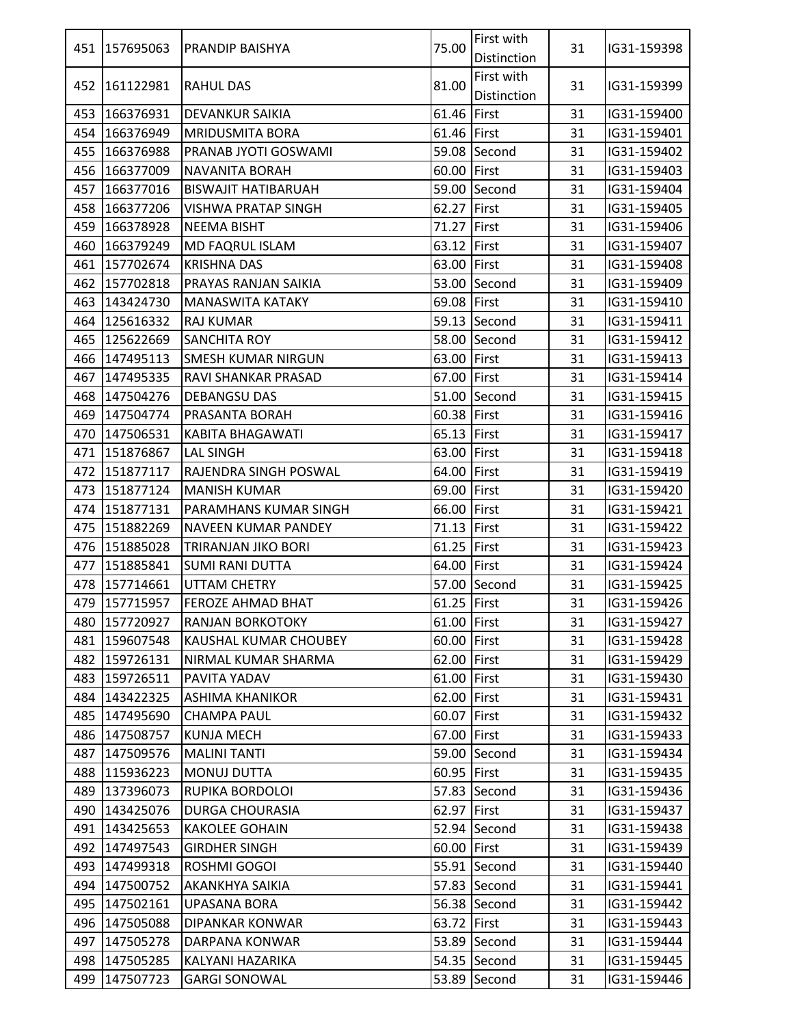|     | 451 157695063   | <b>PRANDIP BAISHYA</b>     | 75.00       | First with<br>Distinction | 31 | IG31-159398 |
|-----|-----------------|----------------------------|-------------|---------------------------|----|-------------|
|     | 452   161122981 | <b>RAHUL DAS</b>           | 81.00       | First with<br>Distinction | 31 | IG31-159399 |
| 453 | 166376931       | <b>DEVANKUR SAIKIA</b>     | 61.46 First |                           | 31 | IG31-159400 |
|     | 454 166376949   | <b>MRIDUSMITA BORA</b>     | 61.46 First |                           | 31 | IG31-159401 |
| 455 | 166376988       | IPRANAB JYOTI GOSWAMI      |             | 59.08 Second              | 31 | IG31-159402 |
| 456 | 166377009       | <b>NAVANITA BORAH</b>      | 60.00 First |                           | 31 | IG31-159403 |
| 457 | 166377016       | <b>BISWAJIT HATIBARUAH</b> |             | 59.00 Second              | 31 | IG31-159404 |
| 458 | 166377206       | VISHWA PRATAP SINGH        | 62.27 First |                           | 31 | IG31-159405 |
| 459 | 166378928       | <b>NEEMA BISHT</b>         | 71.27 First |                           | 31 | IG31-159406 |
| 460 | 166379249       | <b>MD FAQRUL ISLAM</b>     | 63.12 First |                           | 31 | IG31-159407 |
| 461 | 157702674       | <b>KRISHNA DAS</b>         | 63.00 First |                           | 31 | IG31-159408 |
|     | 462 157702818   | PRAYAS RANJAN SAIKIA       |             | 53.00 Second              | 31 | IG31-159409 |
| 463 | 143424730       | <b>MANASWITA KATAKY</b>    | 69.08 First |                           | 31 | IG31-159410 |
|     | 464 125616332   | <b>RAJ KUMAR</b>           |             | 59.13 Second              | 31 | IG31-159411 |
| 465 | 125622669       | <b>SANCHITA ROY</b>        |             | 58.00 Second              | 31 | IG31-159412 |
| 466 | 147495113       | <b>SMESH KUMAR NIRGUN</b>  | 63.00 First |                           | 31 | IG31-159413 |
| 467 | 147495335       | IRAVI SHANKAR PRASAD       | 67.00 First |                           | 31 | IG31-159414 |
|     | 468 147504276   | <b>DEBANGSU DAS</b>        |             | 51.00 Second              | 31 | IG31-159415 |
|     | 469 147504774   | <b>PRASANTA BORAH</b>      | 60.38 First |                           | 31 | IG31-159416 |
|     | 470 147506531   | KABITA BHAGAWATI           | 65.13 First |                           | 31 | IG31-159417 |
|     | 471 151876867   | <b>LAL SINGH</b>           | 63.00 First |                           | 31 | IG31-159418 |
| 472 | 151877117       | RAJENDRA SINGH POSWAL      | 64.00 First |                           | 31 | IG31-159419 |
|     | 473 151877124   | <b>MANISH KUMAR</b>        | 69.00 First |                           | 31 | IG31-159420 |
| 474 | 151877131       | PARAMHANS KUMAR SINGH      | 66.00 First |                           | 31 | IG31-159421 |
| 475 | 151882269       | <b>NAVEEN KUMAR PANDEY</b> | 71.13 First |                           | 31 | IG31-159422 |
|     | 476 151885028   | TRIRANJAN JIKO BORI        | 61.25 First |                           | 31 | IG31-159423 |
|     | 477 151885841   | ISUMI RANI DUTTA           | 64.00 First |                           | 31 | IG31-159424 |
|     | 478 157714661   | <b>UTTAM CHETRY</b>        |             | 57.00 Second              | 31 | IG31-159425 |
|     | 479 157715957   | <b>FEROZE AHMAD BHAT</b>   | 61.25 First |                           | 31 | IG31-159426 |
|     | 480 157720927   | <b>RANJAN BORKOTOKY</b>    | 61.00 First |                           | 31 | IG31-159427 |
|     | 481 159607548   | KAUSHAL KUMAR CHOUBEY      | 60.00 First |                           | 31 | IG31-159428 |
|     | 482 159726131   | NIRMAL KUMAR SHARMA        | 62.00 First |                           | 31 | IG31-159429 |
| 483 | 159726511       | PAVITA YADAV               | 61.00 First |                           | 31 | IG31-159430 |
| 484 | 143422325       | <b>ASHIMA KHANIKOR</b>     | 62.00 First |                           | 31 | IG31-159431 |
| 485 | 147495690       | <b>CHAMPA PAUL</b>         | 60.07 First |                           | 31 | IG31-159432 |
|     | 486 147508757   | <b>KUNJA MECH</b>          | 67.00 First |                           | 31 | IG31-159433 |
| 487 | 147509576       | <b>MALINI TANTI</b>        |             | 59.00 Second              | 31 | IG31-159434 |
| 488 | 115936223       | <b>MONUJ DUTTA</b>         | 60.95 First |                           | 31 | IG31-159435 |
|     | 489 137396073   | RUPIKA BORDOLOI            |             | 57.83 Second              | 31 | IG31-159436 |
|     | 490 143425076   | <b>DURGA CHOURASIA</b>     | 62.97 First |                           | 31 | IG31-159437 |
| 491 | 143425653       | <b>KAKOLEE GOHAIN</b>      |             | 52.94 Second              | 31 | IG31-159438 |
| 492 | 147497543       | <b>GIRDHER SINGH</b>       | 60.00 First |                           | 31 | IG31-159439 |
| 493 | 147499318       | ROSHMI GOGOI               |             | 55.91 Second              | 31 | IG31-159440 |
|     | 494 147500752   | <b>AKANKHYA SAIKIA</b>     |             | 57.83 Second              | 31 | IG31-159441 |
| 495 | 147502161       | <b>UPASANA BORA</b>        |             | 56.38 Second              | 31 | IG31-159442 |
| 496 | 147505088       | <b>DIPANKAR KONWAR</b>     | 63.72 First |                           | 31 | IG31-159443 |
|     | 497 147505278   | DARPANA KONWAR             |             | 53.89 Second              | 31 | IG31-159444 |
| 498 | 147505285       | KALYANI HAZARIKA           |             | 54.35 Second              | 31 | IG31-159445 |
| 499 | 147507723       | <b>GARGI SONOWAL</b>       |             | 53.89 Second              | 31 | IG31-159446 |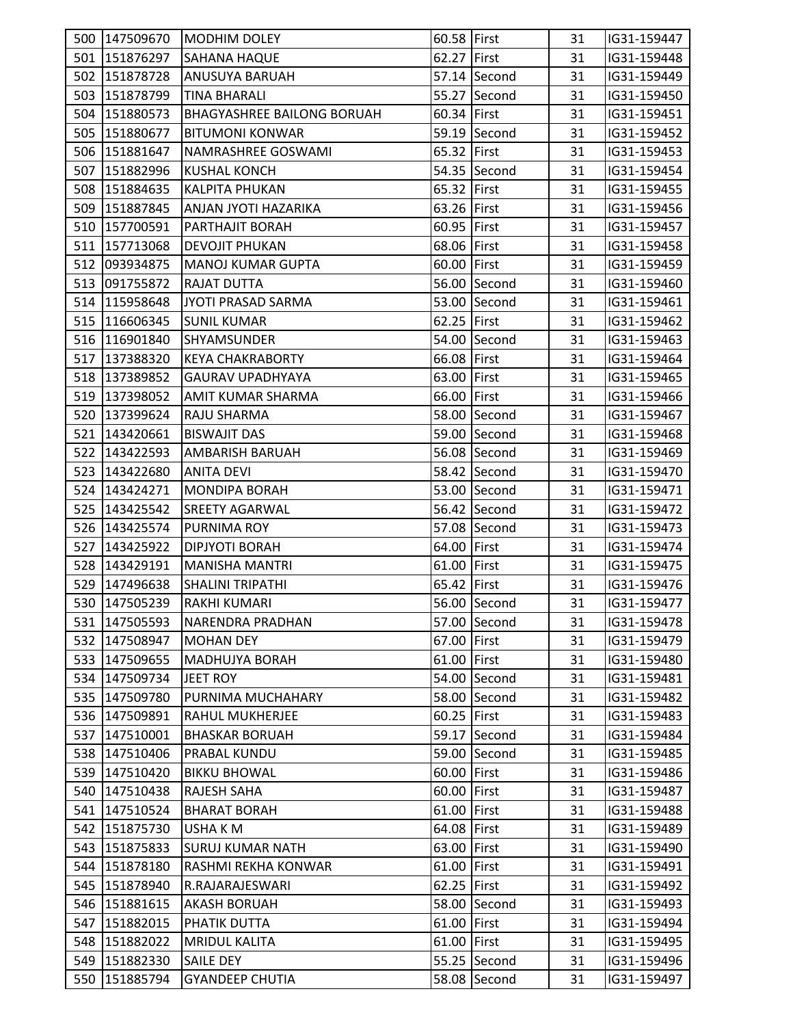|     | 500 147509670 | <b>MODHIM DOLEY</b>               | 60.58 First |              | 31 | IG31-159447 |  |
|-----|---------------|-----------------------------------|-------------|--------------|----|-------------|--|
|     | 501 151876297 | <b>SAHANA HAQUE</b>               | 62.27 First |              | 31 | IG31-159448 |  |
|     | 502 151878728 | <b>ANUSUYA BARUAH</b>             |             | 57.14 Second | 31 | IG31-159449 |  |
|     | 503 151878799 | <b>TINA BHARALI</b>               |             | 55.27 Second | 31 | IG31-159450 |  |
|     | 504 151880573 | <b>BHAGYASHREE BAILONG BORUAH</b> | 60.34 First |              | 31 | IG31-159451 |  |
|     | 505 151880677 | <b>BITUMONI KONWAR</b>            |             | 59.19 Second | 31 | IG31-159452 |  |
|     | 506 151881647 | NAMRASHREE GOSWAMI                | 65.32 First |              | 31 | IG31-159453 |  |
|     | 507 151882996 | <b>KUSHAL KONCH</b>               |             | 54.35 Second | 31 | IG31-159454 |  |
|     | 508 151884635 | <b>KALPITA PHUKAN</b>             | 65.32 First |              | 31 | IG31-159455 |  |
|     | 509 151887845 | ANJAN JYOTI HAZARIKA              | 63.26 First |              | 31 | IG31-159456 |  |
|     | 510 157700591 | <b>PARTHAJIT BORAH</b>            | 60.95 First |              | 31 | IG31-159457 |  |
|     | 511 157713068 | <b>DEVOJIT PHUKAN</b>             | 68.06 First |              | 31 | IG31-159458 |  |
|     | 512 093934875 | <b>MANOJ KUMAR GUPTA</b>          | 60.00 First |              | 31 | IG31-159459 |  |
|     | 513 091755872 | <b>RAJAT DUTTA</b>                |             | 56.00 Second | 31 | IG31-159460 |  |
|     | 514 115958648 | JYOTI PRASAD SARMA                |             | 53.00 Second | 31 | IG31-159461 |  |
|     | 515 116606345 | <b>SUNIL KUMAR</b>                | 62.25 First |              | 31 | IG31-159462 |  |
|     | 516 116901840 | <b>SHYAMSUNDER</b>                |             | 54.00 Second | 31 | IG31-159463 |  |
|     | 517 137388320 | <b>KEYA CHAKRABORTY</b>           | 66.08 First |              | 31 | IG31-159464 |  |
|     | 518 137389852 | <b>GAURAV UPADHYAYA</b>           | 63.00 First |              | 31 | IG31-159465 |  |
|     | 519 137398052 | AMIT KUMAR SHARMA                 | 66.00 First |              | 31 | IG31-159466 |  |
|     | 520 137399624 | RAJU SHARMA                       |             | 58.00 Second | 31 | IG31-159467 |  |
|     | 521 143420661 | <b>BISWAJIT DAS</b>               |             | 59.00 Second | 31 | IG31-159468 |  |
|     | 522 143422593 | <b>AMBARISH BARUAH</b>            |             | 56.08 Second | 31 | IG31-159469 |  |
|     | 523 143422680 | ANITA DEVI                        |             | 58.42 Second | 31 | IG31-159470 |  |
|     | 524 143424271 | <b>MONDIPA BORAH</b>              |             | 53.00 Second | 31 | IG31-159471 |  |
|     | 525 143425542 | <b>SREETY AGARWAL</b>             |             | 56.42 Second | 31 | IG31-159472 |  |
|     | 526 143425574 | PURNIMA ROY                       |             | 57.08 Second | 31 | IG31-159473 |  |
|     | 527 143425922 | <b>DIPJYOTI BORAH</b>             | 64.00 First |              | 31 | IG31-159474 |  |
|     | 528 143429191 | <b>MANISHA MANTRI</b>             | 61.00 First |              | 31 | IG31-159475 |  |
|     | 529 147496638 | <b>SHALINI TRIPATHI</b>           | 65.42 First |              | 31 | IG31-159476 |  |
|     | 530 147505239 | <b>RAKHI KUMARI</b>               |             | 56.00 Second | 31 | IG31-159477 |  |
|     | 531 147505593 | NARENDRA PRADHAN                  |             | 57.00 Second | 31 | IG31-159478 |  |
|     | 532 147508947 | <b>MOHAN DEY</b>                  | 67.00 First |              | 31 | IG31-159479 |  |
|     | 533 147509655 | <b>MADHUJYA BORAH</b>             | 61.00 First |              | 31 | IG31-159480 |  |
|     | 534 147509734 | <b>JEET ROY</b>                   |             | 54.00 Second | 31 | IG31-159481 |  |
| 535 | 147509780     | PURNIMA MUCHAHARY                 |             | 58.00 Second | 31 | IG31-159482 |  |
|     | 536 147509891 | <b>RAHUL MUKHERJEE</b>            | 60.25 First |              | 31 | IG31-159483 |  |
|     | 537 147510001 | <b>BHASKAR BORUAH</b>             |             | 59.17 Second | 31 | IG31-159484 |  |
|     | 538 147510406 | PRABAL KUNDU                      |             | 59.00 Second | 31 | IG31-159485 |  |
|     | 539 147510420 | <b>BIKKU BHOWAL</b>               | 60.00 First |              | 31 | IG31-159486 |  |
|     | 540 147510438 | RAJESH SAHA                       | 60.00 First |              | 31 | IG31-159487 |  |
|     | 541 147510524 | <b>BHARAT BORAH</b>               | 61.00 First |              | 31 | IG31-159488 |  |
|     | 542 151875730 | <b>USHAKM</b>                     | 64.08 First |              | 31 | IG31-159489 |  |
|     | 543 151875833 | <b>SURUJ KUMAR NATH</b>           | 63.00 First |              | 31 | IG31-159490 |  |
|     | 544 151878180 | RASHMI REKHA KONWAR               | 61.00 First |              | 31 | IG31-159491 |  |
|     | 545 151878940 | R.RAJARAJESWARI                   | 62.25 First |              | 31 | IG31-159492 |  |
|     | 546 151881615 | <b>AKASH BORUAH</b>               |             | 58.00 Second | 31 | IG31-159493 |  |
|     | 547 151882015 | PHATIK DUTTA                      | 61.00 First |              | 31 | IG31-159494 |  |
|     | 548 151882022 | <b>MRIDUL KALITA</b>              | 61.00 First |              | 31 | IG31-159495 |  |
| 549 | 151882330     | <b>SAILE DEY</b>                  |             | 55.25 Second | 31 | IG31-159496 |  |
|     | 550 151885794 | <b>GYANDEEP CHUTIA</b>            |             | 58.08 Second | 31 | IG31-159497 |  |
|     |               |                                   |             |              |    |             |  |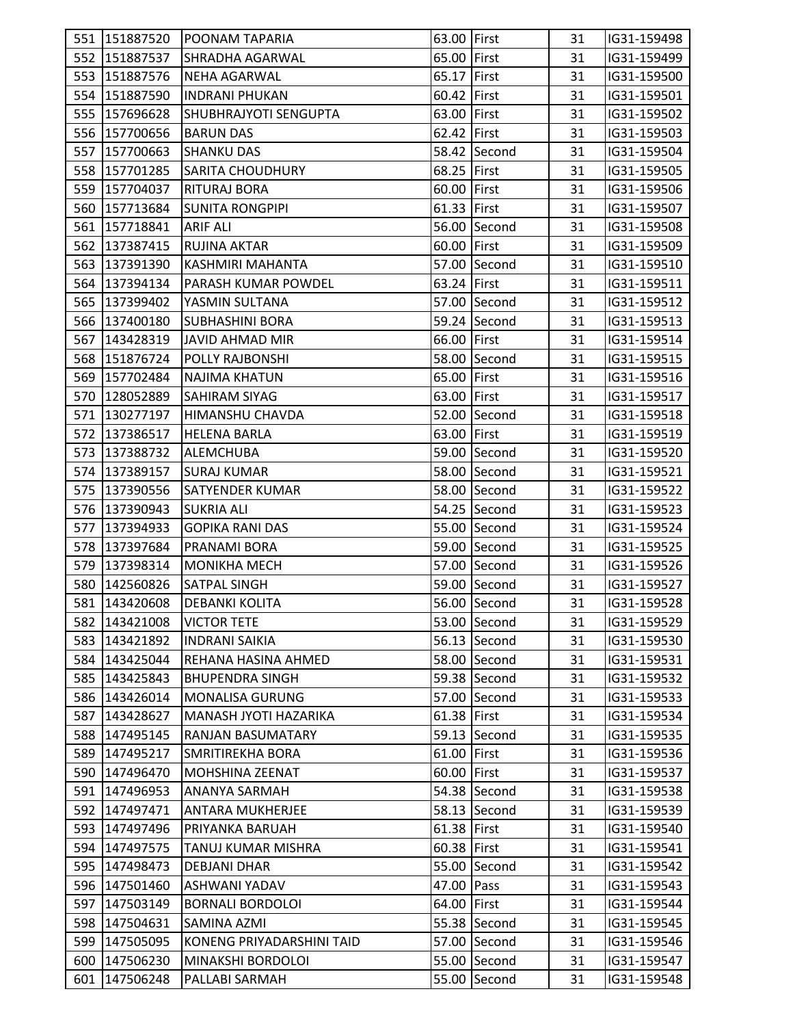|     |               | 551   151887520   POONAM TAPARIA | 63.00 First |              | 31 | IG31-159498 |  |
|-----|---------------|----------------------------------|-------------|--------------|----|-------------|--|
|     | 552 151887537 | ISHRADHA AGARWAL                 | 65.00 First |              | 31 | IG31-159499 |  |
|     | 553 151887576 | NEHA AGARWAL                     | 65.17 First |              | 31 | IG31-159500 |  |
|     | 554 151887590 | <b>INDRANI PHUKAN</b>            | 60.42 First |              | 31 | IG31-159501 |  |
|     | 555 157696628 | <b>SHUBHRAJYOTI SENGUPTA</b>     | 63.00 First |              | 31 | IG31-159502 |  |
|     |               |                                  |             |              |    |             |  |
|     | 556 157700656 | <b>BARUN DAS</b>                 | 62.42 First |              | 31 | IG31-159503 |  |
|     | 557 157700663 | <b>SHANKU DAS</b>                |             | 58.42 Second | 31 | IG31-159504 |  |
|     | 558 157701285 | <b>SARITA CHOUDHURY</b>          | 68.25 First |              | 31 | IG31-159505 |  |
|     | 559 157704037 | <b>RITURAJ BORA</b>              | 60.00 First |              | 31 | IG31-159506 |  |
|     | 560 157713684 | <b>SUNITA RONGPIPI</b>           | 61.33 First |              | 31 | IG31-159507 |  |
|     | 561 157718841 | <b>ARIF ALI</b>                  |             | 56.00 Second | 31 | IG31-159508 |  |
| 562 | 137387415     | <b>RUJINA AKTAR</b>              | 60.00 First |              | 31 | IG31-159509 |  |
|     | 563 137391390 | KASHMIRI MAHANTA                 |             | 57.00 Second | 31 | IG31-159510 |  |
|     | 564 137394134 | IPARASH KUMAR POWDEL             | 63.24 First |              | 31 | IG31-159511 |  |
|     | 565 137399402 | YASMIN SULTANA                   |             | 57.00 Second | 31 | IG31-159512 |  |
|     | 566 137400180 | <b>SUBHASHINI BORA</b>           |             | 59.24 Second | 31 | IG31-159513 |  |
|     | 567 143428319 | JAVID AHMAD MIR                  | 66.00 First |              | 31 | IG31-159514 |  |
|     | 568 151876724 | POLLY RAJBONSHI                  |             | 58.00 Second | 31 | IG31-159515 |  |
|     | 569 157702484 | <b>NAJIMA KHATUN</b>             | 65.00 First |              | 31 | IG31-159516 |  |
|     | 570 128052889 | <b>SAHIRAM SIYAG</b>             | 63.00 First |              | 31 | IG31-159517 |  |
|     | 571 130277197 | HIMANSHU CHAVDA                  |             | 52.00 Second | 31 | IG31-159518 |  |
|     | 572 137386517 | <b>HELENA BARLA</b>              | 63.00 First |              | 31 | IG31-159519 |  |
|     | 573 137388732 | <b>ALEMCHUBA</b>                 |             | 59.00 Second | 31 | IG31-159520 |  |
|     | 574 137389157 | <b>SURAJ KUMAR</b>               |             | 58.00 Second | 31 | IG31-159521 |  |
|     | 575 137390556 | <b>SATYENDER KUMAR</b>           |             | 58.00 Second | 31 | IG31-159522 |  |
|     | 576 137390943 | <b>SUKRIA ALI</b>                |             | 54.25 Second | 31 | IG31-159523 |  |
|     | 577 137394933 | <b>GOPIKA RANI DAS</b>           |             | 55.00 Second | 31 | IG31-159524 |  |
|     | 578 137397684 | <b>PRANAMI BORA</b>              |             | 59.00 Second | 31 | IG31-159525 |  |
|     | 579 137398314 | MONIKHA MECH                     |             | 57.00 Second | 31 | IG31-159526 |  |
|     | 580 142560826 | <b>SATPAL SINGH</b>              |             | 59.00 Second | 31 | IG31-159527 |  |
|     | 581 143420608 | <b>DEBANKI KOLITA</b>            |             | 56.00 Second | 31 | IG31-159528 |  |
|     | 582 143421008 | <b>VICTOR TETE</b>               |             | 53.00 Second | 31 | IG31-159529 |  |
|     | 583 143421892 | <b>INDRANI SAIKIA</b>            |             | 56.13 Second | 31 | IG31-159530 |  |
|     | 584 143425044 | REHANA HASINA AHMED              |             | 58.00 Second | 31 | IG31-159531 |  |
| 585 | 143425843     | <b>BHUPENDRA SINGH</b>           |             | 59.38 Second | 31 | IG31-159532 |  |
|     | 586 143426014 | <b>MONALISA GURUNG</b>           |             | 57.00 Second | 31 | IG31-159533 |  |
| 587 | 143428627     | MANASH JYOTI HAZARIKA            | 61.38 First |              | 31 | IG31-159534 |  |
| 588 | 147495145     | RANJAN BASUMATARY                |             | 59.13 Second | 31 | IG31-159535 |  |
| 589 | 147495217     | <b>SMRITIREKHA BORA</b>          | 61.00 First |              | 31 | IG31-159536 |  |
| 590 | 147496470     | <b>MOHSHINA ZEENAT</b>           | 60.00 First |              | 31 | IG31-159537 |  |
|     | 591 147496953 | <b>ANANYA SARMAH</b>             |             | 54.38 Second | 31 | IG31-159538 |  |
|     | 592 147497471 | <b>ANTARA MUKHERJEE</b>          |             | 58.13 Second | 31 | IG31-159539 |  |
| 593 | 147497496     | PRIYANKA BARUAH                  | 61.38 First |              | 31 | IG31-159540 |  |
| 594 | 147497575     | TANUJ KUMAR MISHRA               | 60.38 First |              | 31 | IG31-159541 |  |
| 595 | 147498473     | <b>DEBJANI DHAR</b>              |             | 55.00 Second | 31 | IG31-159542 |  |
|     | 596 147501460 | ASHWANI YADAV                    | 47.00 Pass  |              | 31 | IG31-159543 |  |
| 597 | 147503149     | <b>BORNALI BORDOLOI</b>          | 64.00 First |              | 31 | IG31-159544 |  |
| 598 | 147504631     | SAMINA AZMI                      |             | 55.38 Second | 31 | IG31-159545 |  |
| 599 | 147505095     | KONENG PRIYADARSHINI TAID        |             | 57.00 Second | 31 | IG31-159546 |  |
| 600 | 147506230     | MINAKSHI BORDOLOI                |             | 55.00 Second | 31 | IG31-159547 |  |
|     | 147506248     |                                  |             |              | 31 |             |  |
| 601 |               | PALLABI SARMAH                   |             | 55.00 Second |    | IG31-159548 |  |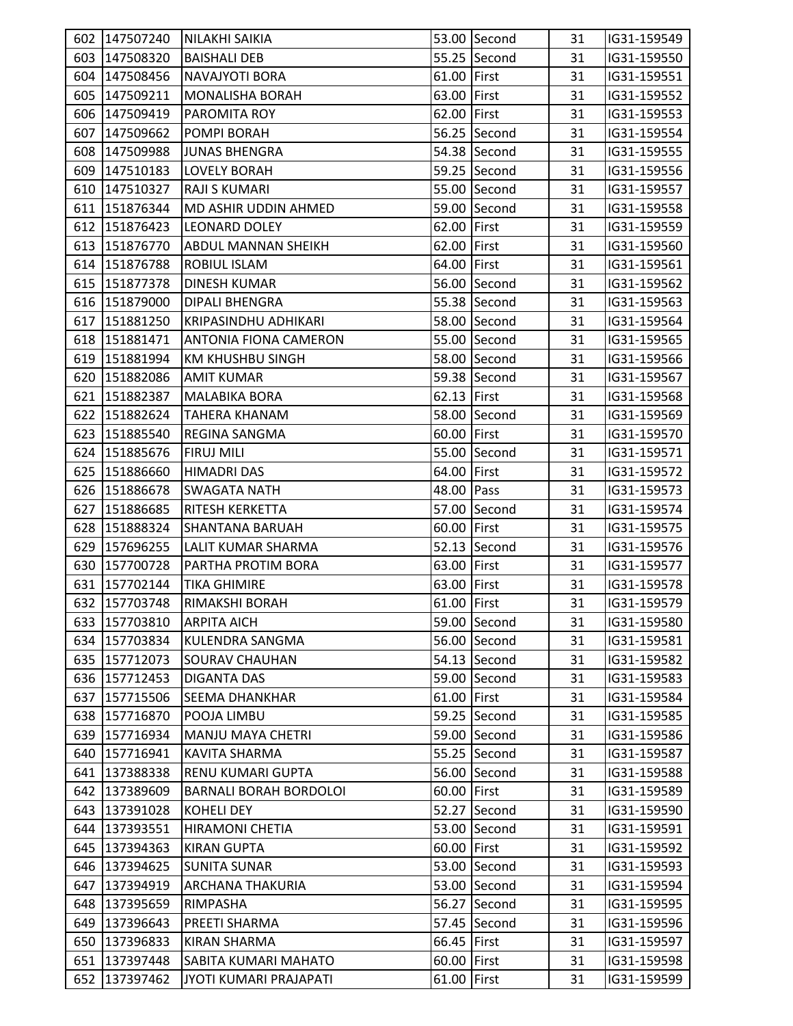|     | 602 147507240 | NILAKHI SAIKIA                |             | 53.00 Second | 31 | IG31-159549 |  |
|-----|---------------|-------------------------------|-------------|--------------|----|-------------|--|
|     | 603 147508320 | <b>BAISHALI DEB</b>           |             | 55.25 Second | 31 | IG31-159550 |  |
|     | 604 147508456 | <b>NAVAJYOTI BORA</b>         | 61.00 First |              | 31 | IG31-159551 |  |
|     | 605 147509211 | <b>MONALISHA BORAH</b>        | 63.00 First |              | 31 | IG31-159552 |  |
|     | 606 147509419 | <b>PAROMITA ROY</b>           | 62.00 First |              | 31 | IG31-159553 |  |
|     | 607 147509662 | POMPI BORAH                   |             | 56.25 Second | 31 | IG31-159554 |  |
|     | 608 147509988 | <b>JUNAS BHENGRA</b>          |             | 54.38 Second | 31 | IG31-159555 |  |
|     | 609 147510183 | <b>LOVELY BORAH</b>           |             | 59.25 Second | 31 | IG31-159556 |  |
|     | 610 147510327 | <b>RAJI S KUMARI</b>          |             | 55.00 Second | 31 | IG31-159557 |  |
|     | 611 151876344 | <b>MD ASHIR UDDIN AHMED</b>   |             | 59.00 Second | 31 | IG31-159558 |  |
|     | 612 151876423 | <b>LEONARD DOLEY</b>          | 62.00 First |              | 31 | IG31-159559 |  |
|     | 613 151876770 | <b>ABDUL MANNAN SHEIKH</b>    | 62.00 First |              | 31 | IG31-159560 |  |
|     | 614 151876788 | <b>ROBIUL ISLAM</b>           | 64.00 First |              | 31 | IG31-159561 |  |
|     | 615 151877378 | <b>DINESH KUMAR</b>           |             | 56.00 Second | 31 | IG31-159562 |  |
|     | 616 151879000 | <b>DIPALI BHENGRA</b>         |             | 55.38 Second | 31 | IG31-159563 |  |
|     | 617 151881250 | KRIPASINDHU ADHIKARI          |             | 58.00 Second | 31 | IG31-159564 |  |
|     | 618 151881471 | <b>ANTONIA FIONA CAMERON</b>  |             | 55.00 Second | 31 | IG31-159565 |  |
|     | 619 151881994 | <b>KM KHUSHBU SINGH</b>       |             | 58.00 Second | 31 | IG31-159566 |  |
|     | 620 151882086 | <b>AMIT KUMAR</b>             |             | 59.38 Second | 31 | IG31-159567 |  |
|     | 621 151882387 | <b>MALABIKA BORA</b>          | 62.13 First |              | 31 | IG31-159568 |  |
|     | 622 151882624 | TAHERA KHANAM                 |             | 58.00 Second | 31 | IG31-159569 |  |
|     | 623 151885540 | <b>REGINA SANGMA</b>          | 60.00 First |              | 31 | IG31-159570 |  |
|     | 624 151885676 | <b>FIRUJ MILI</b>             |             | 55.00 Second | 31 | IG31-159571 |  |
|     | 625 151886660 | HIMADRI DAS                   | 64.00 First |              | 31 | IG31-159572 |  |
|     | 626 151886678 | <b>SWAGATA NATH</b>           | 48.00 Pass  |              | 31 | IG31-159573 |  |
|     | 627 151886685 | <b>RITESH KERKETTA</b>        |             | 57.00 Second | 31 | IG31-159574 |  |
|     | 628 151888324 | <b>SHANTANA BARUAH</b>        | 60.00 First |              | 31 | IG31-159575 |  |
|     | 629 157696255 | LALIT KUMAR SHARMA            |             | 52.13 Second | 31 | IG31-159576 |  |
|     | 630 157700728 | PARTHA PROTIM BORA            | 63.00 First |              | 31 | IG31-159577 |  |
|     | 631 157702144 | <b>TIKA GHIMIRE</b>           | 63.00 First |              | 31 | IG31-159578 |  |
|     | 632 157703748 | RIMAKSHI BORAH                | 61.00 First |              | 31 | IG31-159579 |  |
|     | 633 157703810 | <b>ARPITA AICH</b>            |             | 59.00 Second | 31 | IG31-159580 |  |
|     | 634 157703834 | <b>KULENDRA SANGMA</b>        |             | 56.00 Second | 31 | IG31-159581 |  |
|     | 635 157712073 | <b>SOURAV CHAUHAN</b>         |             | 54.13 Second | 31 | IG31-159582 |  |
|     | 636 157712453 | <b>DIGANTA DAS</b>            |             | 59.00 Second | 31 | IG31-159583 |  |
|     | 637 157715506 | <b>SEEMA DHANKHAR</b>         | 61.00 First |              | 31 | IG31-159584 |  |
|     | 638 157716870 | POOJA LIMBU                   |             | 59.25 Second | 31 | IG31-159585 |  |
|     | 639 157716934 | <b>MANJU MAYA CHETRI</b>      |             | 59.00 Second | 31 | IG31-159586 |  |
|     | 640 157716941 | <b>KAVITA SHARMA</b>          |             | 55.25 Second | 31 | IG31-159587 |  |
|     | 641 137388338 | <b>RENU KUMARI GUPTA</b>      |             | 56.00 Second | 31 | IG31-159588 |  |
|     | 642 137389609 | <b>BARNALI BORAH BORDOLOI</b> | 60.00 First |              | 31 | IG31-159589 |  |
|     | 643 137391028 | <b>KOHELI DEY</b>             |             | 52.27 Second | 31 | IG31-159590 |  |
| 644 | 137393551     | <b>HIRAMONI CHETIA</b>        |             | 53.00 Second | 31 | IG31-159591 |  |
|     | 645 137394363 | <b>KIRAN GUPTA</b>            | 60.00 First |              | 31 | IG31-159592 |  |
|     | 646 137394625 | <b>SUNITA SUNAR</b>           |             | 53.00 Second | 31 | IG31-159593 |  |
|     | 647 137394919 | <b>ARCHANA THAKURIA</b>       |             | 53.00 Second | 31 | IG31-159594 |  |
|     | 648 137395659 | RIMPASHA                      |             | 56.27 Second | 31 | IG31-159595 |  |
|     | 649 137396643 | PREETI SHARMA                 |             | 57.45 Second | 31 | IG31-159596 |  |
| 650 | 137396833     | <b>KIRAN SHARMA</b>           | 66.45 First |              | 31 | IG31-159597 |  |
|     | 651 137397448 | SABITA KUMARI MAHATO          | 60.00 First |              | 31 | IG31-159598 |  |
|     | 652 137397462 | JYOTI KUMARI PRAJAPATI        | 61.00 First |              | 31 | IG31-159599 |  |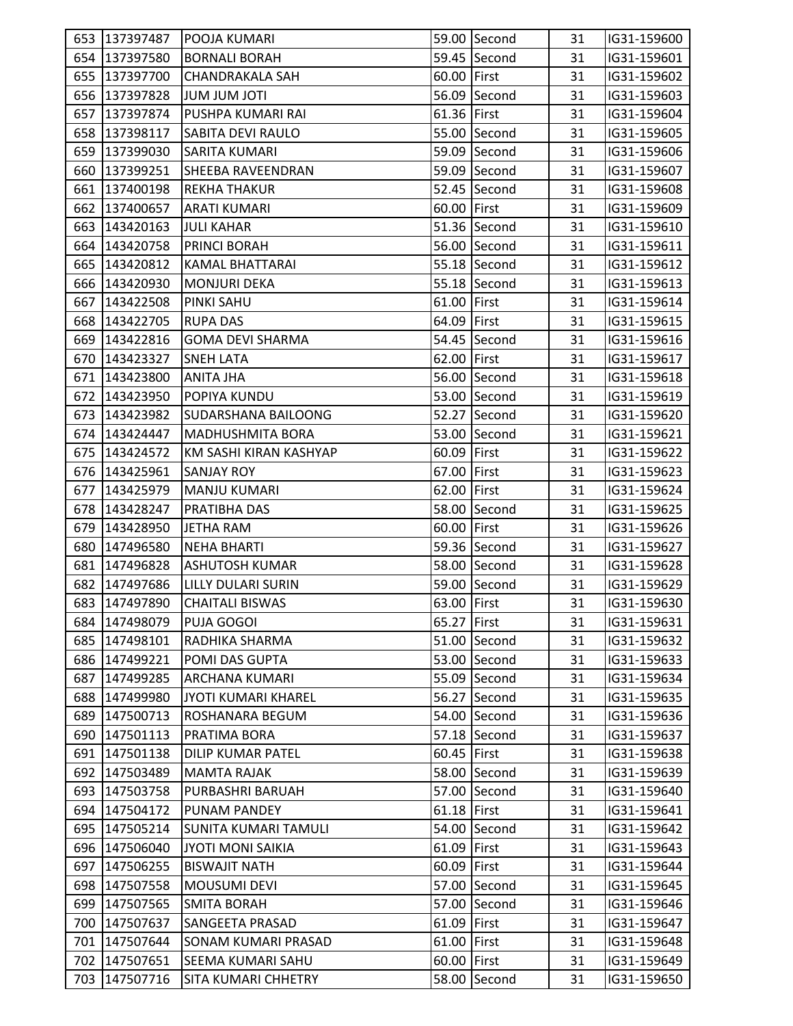|     | 653 137397487 | <b>POOJA KUMARI</b>        |               | 59.00 Second | 31 | IG31-159600 |
|-----|---------------|----------------------------|---------------|--------------|----|-------------|
|     | 654 137397580 | BORNALI BORAH              |               | 59.45 Second | 31 | IG31-159601 |
|     | 655 137397700 | <b>CHANDRAKALA SAH</b>     | 60.00 First   |              | 31 | IG31-159602 |
|     | 656 137397828 | <b>ITOL MUL MUL</b>        |               | 56.09 Second | 31 | IG31-159603 |
|     | 657 137397874 | PUSHPA KUMARI RAI          | 61.36 First   |              | 31 | IG31-159604 |
|     | 658 137398117 | <b>SABITA DEVI RAULO</b>   |               | 55.00 Second | 31 | IG31-159605 |
|     | 659 137399030 | SARITA KUMARI              |               | 59.09 Second | 31 | IG31-159606 |
|     | 660 137399251 | <b>SHEEBA RAVEENDRAN</b>   |               | 59.09 Second | 31 | IG31-159607 |
|     | 661 137400198 | <b>REKHA THAKUR</b>        |               | 52.45 Second | 31 | IG31-159608 |
|     | 662 137400657 | <b>ARATI KUMARI</b>        | 60.00 First   |              | 31 | IG31-159609 |
|     | 663 143420163 | <b>JULI KAHAR</b>          |               | 51.36 Second | 31 | IG31-159610 |
|     | 664 143420758 | <b>PRINCI BORAH</b>        |               | 56.00 Second | 31 | IG31-159611 |
|     | 665 143420812 | <b>KAMAL BHATTARAI</b>     |               | 55.18 Second | 31 | IG31-159612 |
|     | 666 143420930 | <b>MONJURI DEKA</b>        |               | 55.18 Second | 31 | IG31-159613 |
|     | 667 143422508 | <b>PINKI SAHU</b>          | 61.00 First   |              | 31 | IG31-159614 |
|     | 668 143422705 | <b>RUPA DAS</b>            | 64.09 First   |              | 31 | IG31-159615 |
|     | 669 143422816 | <b>GOMA DEVI SHARMA</b>    |               | 54.45 Second | 31 | IG31-159616 |
|     | 670 143423327 | <b>SNEH LATA</b>           | 62.00 First   |              | 31 | IG31-159617 |
|     | 671 143423800 | ANITA JHA                  |               | 56.00 Second | 31 | IG31-159618 |
|     | 672 143423950 | <b>POPIYA KUNDU</b>        |               | 53.00 Second | 31 | IG31-159619 |
|     | 673 143423982 | <b>SUDARSHANA BAILOONG</b> |               | 52.27 Second | 31 | IG31-159620 |
|     | 674 143424447 | <b>MADHUSHMITA BORA</b>    |               | 53.00 Second | 31 | IG31-159621 |
|     | 675 143424572 | KM SASHI KIRAN KASHYAP     | 60.09 First   |              | 31 | IG31-159622 |
|     | 676 143425961 | <b>SANJAY ROY</b>          | 67.00 First   |              | 31 | IG31-159623 |
|     | 677 143425979 | <b>MANJU KUMARI</b>        | 62.00 First   |              | 31 | IG31-159624 |
|     | 678 143428247 | <b>PRATIBHA DAS</b>        |               | 58.00 Second | 31 | IG31-159625 |
| 679 | 143428950     | JETHA RAM                  | 60.00 First   |              | 31 | IG31-159626 |
| 680 | 147496580     | <b>NEHA BHARTI</b>         |               | 59.36 Second | 31 | IG31-159627 |
|     | 681 147496828 | <b>ASHUTOSH KUMAR</b>      |               | 58.00 Second | 31 | IG31-159628 |
|     | 682 147497686 | LILLY DULARI SURIN         |               | 59.00 Second | 31 | IG31-159629 |
|     | 683 147497890 | <b>CHAITALI BISWAS</b>     | 63.00 First   |              | 31 | IG31-159630 |
|     | 684 147498079 | <b>PUJA GOGOI</b>          | 65.27 First   |              | 31 | IG31-159631 |
|     | 685 147498101 | RADHIKA SHARMA             |               | 51.00 Second | 31 | IG31-159632 |
|     | 686 147499221 | POMI DAS GUPTA             |               | 53.00 Second | 31 | IG31-159633 |
| 687 | 147499285     | <b>ARCHANA KUMARI</b>      |               | 55.09 Second | 31 | IG31-159634 |
| 688 | 147499980     | JYOTI KUMARI KHAREL        |               | 56.27 Second | 31 | IG31-159635 |
| 689 | 147500713     | ROSHANARA BEGUM            |               | 54.00 Second | 31 | IG31-159636 |
|     | 690 147501113 | PRATIMA BORA               |               | 57.18 Second | 31 | IG31-159637 |
|     | 691 147501138 | <b>DILIP KUMAR PATEL</b>   | 60.45 First   |              | 31 | IG31-159638 |
|     | 692 147503489 | <b>MAMTA RAJAK</b>         |               | 58.00 Second | 31 | IG31-159639 |
|     | 693 147503758 | PURBASHRI BARUAH           |               | 57.00 Second | 31 | IG31-159640 |
|     | 694 147504172 | <b>PUNAM PANDEY</b>        | $61.18$ First |              | 31 | IG31-159641 |
|     | 695 147505214 | SUNITA KUMARI TAMULI       |               | 54.00 Second | 31 | IG31-159642 |
|     | 696 147506040 | <b>JYOTI MONI SAIKIA</b>   | 61.09 First   |              | 31 | IG31-159643 |
| 697 | 147506255     | <b>BISWAJIT NATH</b>       | 60.09 First   |              | 31 | IG31-159644 |
| 698 | 147507558     | <b>MOUSUMI DEVI</b>        |               | 57.00 Second | 31 | IG31-159645 |
| 699 | 147507565     | <b>SMITA BORAH</b>         |               | 57.00 Second | 31 | IG31-159646 |
|     | 700 147507637 | <b>SANGEETA PRASAD</b>     | 61.09 First   |              | 31 | IG31-159647 |
| 701 | 147507644     | <b>SONAM KUMARI PRASAD</b> | 61.00 First   |              | 31 | IG31-159648 |
|     | 702 147507651 | <b>SEEMA KUMARI SAHU</b>   | 60.00 First   |              | 31 | IG31-159649 |
|     | 703 147507716 | <b>SITA KUMARI CHHETRY</b> |               | 58.00 Second | 31 | IG31-159650 |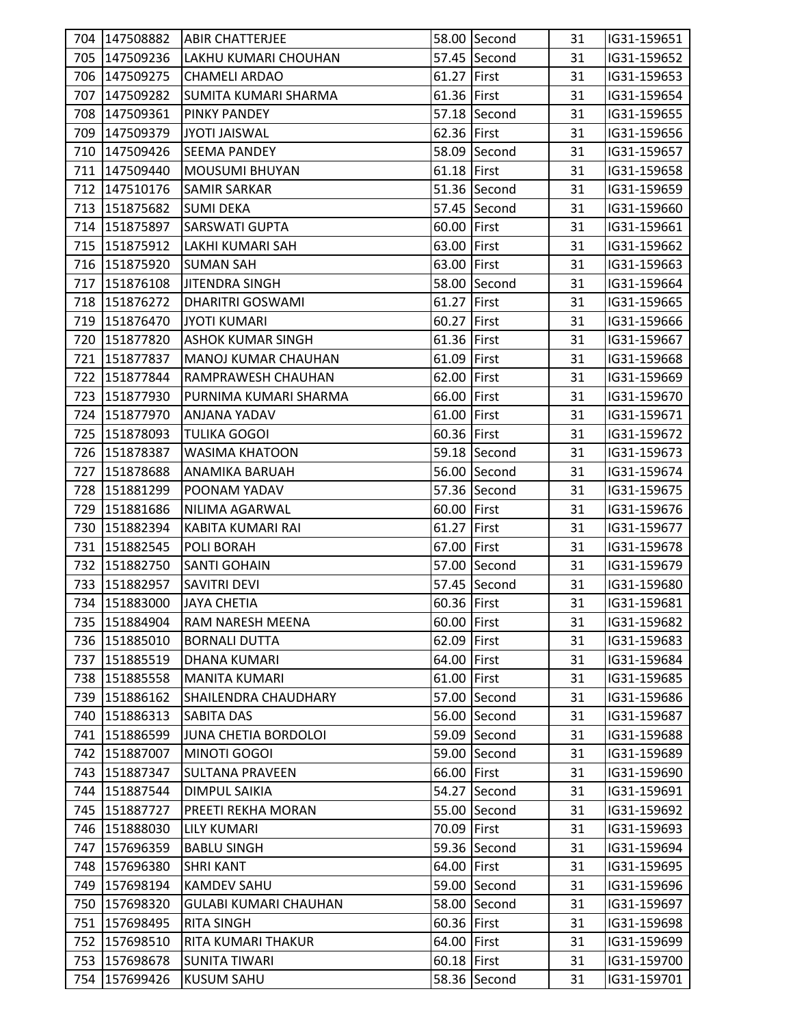|     | 704 147508882 | <b>ABIR CHATTERJEE</b>       |             | 58.00 Second | 31 | IG31-159651 |  |
|-----|---------------|------------------------------|-------------|--------------|----|-------------|--|
|     | 705 147509236 | LAKHU KUMARI CHOUHAN         |             | 57.45 Second | 31 | IG31-159652 |  |
|     | 706 147509275 | <b>CHAMELI ARDAO</b>         | 61.27 First |              | 31 | IG31-159653 |  |
|     | 707 147509282 | <b>SUMITA KUMARI SHARMA</b>  | 61.36 First |              | 31 | IG31-159654 |  |
|     | 708 147509361 | <b>PINKY PANDEY</b>          |             | 57.18 Second | 31 | IG31-159655 |  |
|     | 709 147509379 | JYOTI JAISWAL                | 62.36 First |              | 31 | IG31-159656 |  |
|     | 710 147509426 | <b>SEEMA PANDEY</b>          |             | 58.09 Second | 31 | IG31-159657 |  |
|     | 711 147509440 | <b>MOUSUMI BHUYAN</b>        | 61.18 First |              | 31 | IG31-159658 |  |
|     | 712 147510176 | <b>SAMIR SARKAR</b>          |             | 51.36 Second | 31 | IG31-159659 |  |
|     | 713 151875682 | <b>SUMI DEKA</b>             |             | 57.45 Second | 31 | IG31-159660 |  |
|     | 714 151875897 | <b>SARSWATI GUPTA</b>        | 60.00 First |              | 31 | IG31-159661 |  |
|     | 715 151875912 | LAKHI KUMARI SAH             | 63.00 First |              | 31 | IG31-159662 |  |
|     | 716 151875920 | <b>SUMAN SAH</b>             | 63.00 First |              | 31 | IG31-159663 |  |
|     | 717 151876108 | <b>JITENDRA SINGH</b>        |             | 58.00 Second | 31 | IG31-159664 |  |
|     | 718 151876272 | <b>DHARITRI GOSWAMI</b>      | 61.27 First |              | 31 | IG31-159665 |  |
|     | 719 151876470 | <b>JYOTI KUMARI</b>          | 60.27 First |              | 31 | IG31-159666 |  |
|     | 720 151877820 | <b>ASHOK KUMAR SINGH</b>     | 61.36 First |              | 31 | IG31-159667 |  |
|     | 721 151877837 | <b>MANOJ KUMAR CHAUHAN</b>   | 61.09 First |              | 31 | IG31-159668 |  |
|     | 722 151877844 | RAMPRAWESH CHAUHAN           | 62.00 First |              | 31 | IG31-159669 |  |
|     | 723 151877930 | PURNIMA KUMARI SHARMA        | 66.00 First |              | 31 | IG31-159670 |  |
|     | 724 151877970 | ANJANA YADAV                 | 61.00 First |              | 31 | IG31-159671 |  |
|     | 725 151878093 | <b>TULIKA GOGOI</b>          | 60.36 First |              | 31 | IG31-159672 |  |
|     | 726 151878387 | <b>WASIMA KHATOON</b>        |             | 59.18 Second | 31 | IG31-159673 |  |
|     | 727 151878688 | ANAMIKA BARUAH               |             | 56.00 Second | 31 | IG31-159674 |  |
|     | 728 151881299 | POONAM YADAV                 |             | 57.36 Second | 31 | IG31-159675 |  |
|     | 729 151881686 | NILIMA AGARWAL               | 60.00 First |              | 31 | IG31-159676 |  |
|     | 730 151882394 | KABITA KUMARI RAI            | 61.27 First |              | 31 | IG31-159677 |  |
|     | 731 151882545 | <b>POLI BORAH</b>            | 67.00 First |              | 31 | IG31-159678 |  |
|     | 732 151882750 | <b>SANTI GOHAIN</b>          |             | 57.00 Second | 31 | IG31-159679 |  |
|     | 733 151882957 | <b>SAVITRI DEVI</b>          |             | 57.45 Second | 31 | IG31-159680 |  |
|     | 734 151883000 | <b>JAYA CHETIA</b>           | 60.36 First |              | 31 | IG31-159681 |  |
|     | 735 151884904 | <b>RAM NARESH MEENA</b>      | 60.00 First |              | 31 | IG31-159682 |  |
|     | 736 151885010 | <b>BORNALI DUTTA</b>         | 62.09 First |              | 31 | IG31-159683 |  |
| 737 | 151885519     | <b>DHANA KUMARI</b>          | 64.00 First |              | 31 | IG31-159684 |  |
|     | 738 151885558 | <b>MANITA KUMARI</b>         | 61.00 First |              | 31 | IG31-159685 |  |
|     | 739 151886162 | SHAILENDRA CHAUDHARY         |             | 57.00 Second | 31 | IG31-159686 |  |
|     | 740 151886313 | <b>SABITA DAS</b>            |             | 56.00 Second | 31 | IG31-159687 |  |
| 741 | 151886599     | JUNA CHETIA BORDOLOI         |             | 59.09 Second | 31 | IG31-159688 |  |
| 742 | 151887007     | MINOTI GOGOI                 |             | 59.00 Second | 31 | IG31-159689 |  |
|     | 743 151887347 | <b>SULTANA PRAVEEN</b>       | 66.00 First |              | 31 | IG31-159690 |  |
|     | 744 151887544 | <b>DIMPUL SAIKIA</b>         |             | 54.27 Second | 31 | IG31-159691 |  |
|     | 745 151887727 | <b>PREETI REKHA MORAN</b>    |             | 55.00 Second | 31 | IG31-159692 |  |
|     | 746 151888030 | <b>LILY KUMARI</b>           | 70.09 First |              | 31 | IG31-159693 |  |
| 747 | 157696359     | <b>BABLU SINGH</b>           |             | 59.36 Second | 31 | IG31-159694 |  |
| 748 | 157696380     | <b>SHRI KANT</b>             | 64.00 First |              | 31 | IG31-159695 |  |
| 749 | 157698194     | <b>KAMDEV SAHU</b>           |             | 59.00 Second | 31 | IG31-159696 |  |
|     | 750 157698320 | <b>GULABI KUMARI CHAUHAN</b> |             | 58.00 Second | 31 | IG31-159697 |  |
|     | 751 157698495 | <b>RITA SINGH</b>            | 60.36 First |              | 31 | IG31-159698 |  |
| 752 | 157698510     | RITA KUMARI THAKUR           | 64.00 First |              | 31 | IG31-159699 |  |
| 753 | 157698678     | <b>SUNITA TIWARI</b>         | 60.18 First |              | 31 | IG31-159700 |  |
|     | 754 157699426 | <b>KUSUM SAHU</b>            |             | 58.36 Second | 31 | IG31-159701 |  |
|     |               |                              |             |              |    |             |  |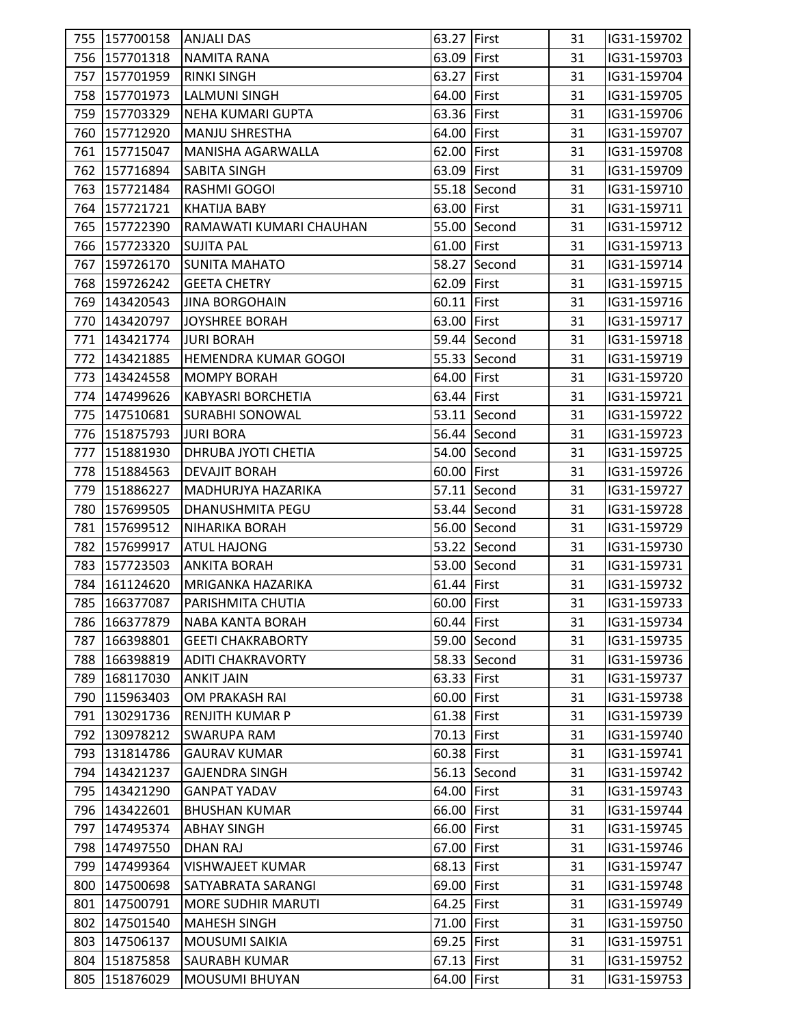|     | 755   157700158   ANJALI DAS |                             | 63.27 First |              | 31 | IG31-159702 |
|-----|------------------------------|-----------------------------|-------------|--------------|----|-------------|
|     | 756 157701318                | <b>NAMITA RANA</b>          | 63.09 First |              | 31 | IG31-159703 |
|     | 757 157701959                | <b>RINKI SINGH</b>          | 63.27 First |              | 31 | IG31-159704 |
|     | 758 157701973                | <b>LALMUNI SINGH</b>        | 64.00 First |              | 31 | IG31-159705 |
|     | 759 157703329                | NEHA KUMARI GUPTA           | 63.36 First |              | 31 | IG31-159706 |
|     | 760 157712920                | MANJU SHRESTHA              | 64.00 First |              | 31 | IG31-159707 |
|     | 761 157715047                | <b>MANISHA AGARWALLA</b>    | 62.00 First |              | 31 | IG31-159708 |
|     | 762 157716894                | <b>SABITA SINGH</b>         | 63.09 First |              | 31 | IG31-159709 |
|     | 763 157721484                | <b>RASHMI GOGOI</b>         |             | 55.18 Second | 31 | IG31-159710 |
|     | 764 157721721                | <b>KHATIJA BABY</b>         | 63.00 First |              | 31 | IG31-159711 |
|     | 765 157722390                | RAMAWATI KUMARI CHAUHAN     |             | 55.00 Second | 31 | IG31-159712 |
|     | 766 157723320                | <b>SUJITA PAL</b>           | 61.00 First |              | 31 | IG31-159713 |
|     | 767 159726170                | <b>SUNITA MAHATO</b>        |             | 58.27 Second | 31 | IG31-159714 |
|     | 768 159726242                | <b>GEETA CHETRY</b>         | 62.09 First |              | 31 | IG31-159715 |
|     | 769 143420543                | <b>JINA BORGOHAIN</b>       | 60.11 First |              | 31 | IG31-159716 |
|     | 770 143420797                | JOYSHREE BORAH              | 63.00 First |              | 31 | IG31-159717 |
|     | 771   143421774              | <b>JURI BORAH</b>           |             | 59.44 Second | 31 | IG31-159718 |
|     | 772 143421885                | <b>HEMENDRA KUMAR GOGOI</b> |             | 55.33 Second | 31 | IG31-159719 |
|     | 773 143424558                | <b>MOMPY BORAH</b>          | 64.00 First |              | 31 | IG31-159720 |
|     | 774 147499626                | <b>KABYASRI BORCHETIA</b>   | 63.44 First |              | 31 | IG31-159721 |
|     | 775 147510681                | <b>SURABHI SONOWAL</b>      |             | 53.11 Second | 31 | IG31-159722 |
|     | 776 151875793                | <b>JURI BORA</b>            |             | 56.44 Second | 31 | IG31-159723 |
|     | 777 151881930                | <b>DHRUBA JYOTI CHETIA</b>  |             | 54.00 Second | 31 | IG31-159725 |
|     | 778 151884563                | <b>DEVAJIT BORAH</b>        | 60.00 First |              | 31 | IG31-159726 |
|     | 779 151886227                | MADHURJYA HAZARIKA          |             | 57.11 Second | 31 | IG31-159727 |
|     | 780 157699505                | <b>DHANUSHMITA PEGU</b>     |             | 53.44 Second | 31 | IG31-159728 |
|     | 781 157699512                | <b>NIHARIKA BORAH</b>       |             | 56.00 Second | 31 | IG31-159729 |
|     | 782 157699917                | ATUL HAJONG                 |             | 53.22 Second | 31 | IG31-159730 |
|     | 783 157723503                | <b>ANKITA BORAH</b>         |             | 53.00 Second | 31 | IG31-159731 |
|     | 784 161124620                | MRIGANKA HAZARIKA           | 61.44 First |              | 31 | IG31-159732 |
|     | 785 166377087                | <b>PARISHMITA CHUTIA</b>    | 60.00 First |              | 31 | IG31-159733 |
|     | 786 166377879                | NABA KANTA BORAH            | 60.44 First |              | 31 | IG31-159734 |
|     | 787 166398801                | <b>GEETI CHAKRABORTY</b>    |             | 59.00 Second | 31 | IG31-159735 |
| 788 | 166398819                    | <b>ADITI CHAKRAVORTY</b>    |             | 58.33 Second | 31 | IG31-159736 |
| 789 | 168117030                    | <b>ANKIT JAIN</b>           | 63.33 First |              | 31 | IG31-159737 |
|     | 790 115963403                | OM PRAKASH RAI              | 60.00 First |              | 31 | IG31-159738 |
| 791 | 130291736                    | <b>RENJITH KUMAR P</b>      | 61.38 First |              | 31 | IG31-159739 |
| 792 | 130978212                    | <b>SWARUPA RAM</b>          | 70.13 First |              | 31 | IG31-159740 |
|     | 793 131814786                | <b>GAURAV KUMAR</b>         | 60.38 First |              | 31 | IG31-159741 |
|     | 794 143421237                | <b>GAJENDRA SINGH</b>       |             | 56.13 Second | 31 | IG31-159742 |
|     | 795 143421290                | <b>GANPAT YADAV</b>         | 64.00 First |              | 31 | IG31-159743 |
|     | 796 143422601                | <b>BHUSHAN KUMAR</b>        | 66.00 First |              | 31 | IG31-159744 |
|     | 797 147495374                | <b>ABHAY SINGH</b>          | 66.00 First |              | 31 | IG31-159745 |
| 798 | 147497550                    | <b>DHAN RAJ</b>             | 67.00 First |              | 31 | IG31-159746 |
| 799 | 147499364                    | <b>VISHWAJEET KUMAR</b>     | 68.13 First |              | 31 | IG31-159747 |
|     | 800 147500698                | SATYABRATA SARANGI          | 69.00 First |              | 31 | IG31-159748 |
|     | 801 147500791                | <b>MORE SUDHIR MARUTI</b>   | 64.25 First |              | 31 | IG31-159749 |
| 802 | 147501540                    | <b>MAHESH SINGH</b>         | 71.00 First |              | 31 | IG31-159750 |
| 803 | 147506137                    | <b>MOUSUMI SAIKIA</b>       | 69.25 First |              | 31 | IG31-159751 |
| 804 | 151875858                    | <b>SAURABH KUMAR</b>        | 67.13 First |              | 31 | IG31-159752 |
|     | 805 151876029                | <b>MOUSUMI BHUYAN</b>       | 64.00 First |              | 31 | IG31-159753 |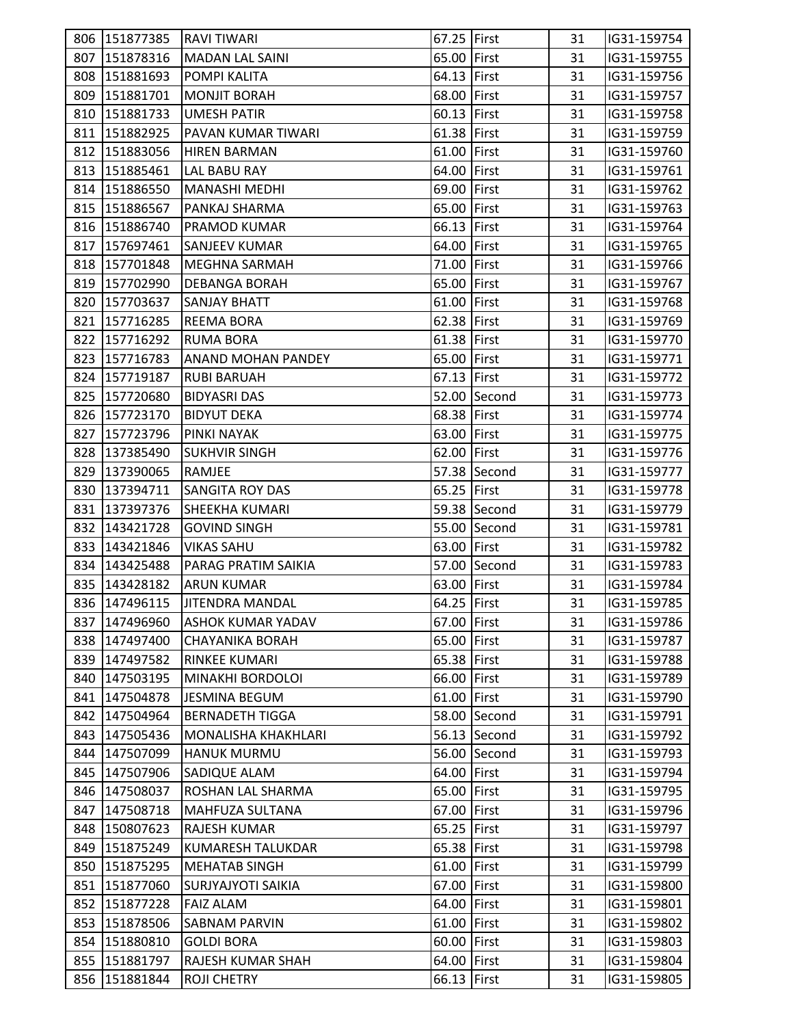|     | 806 151877385 | <b>RAVI TIWARI</b>         | 67.25 First |              | 31 | IG31-159754 |  |
|-----|---------------|----------------------------|-------------|--------------|----|-------------|--|
|     | 807 151878316 | <b>MADAN LAL SAINI</b>     | 65.00 First |              | 31 | IG31-159755 |  |
|     | 808 151881693 | <b>POMPI KALITA</b>        | 64.13 First |              | 31 | IG31-159756 |  |
|     | 809 151881701 | <b>MONJIT BORAH</b>        | 68.00 First |              | 31 | IG31-159757 |  |
|     | 810 151881733 | <b>UMESH PATIR</b>         | 60.13 First |              | 31 | IG31-159758 |  |
|     | 811 151882925 | PAVAN KUMAR TIWARI         | 61.38 First |              | 31 | IG31-159759 |  |
|     | 812 151883056 | <b>HIREN BARMAN</b>        | 61.00 First |              | 31 | IG31-159760 |  |
|     | 813 151885461 | <b>LAL BABU RAY</b>        | 64.00 First |              | 31 | IG31-159761 |  |
|     | 814 151886550 | MANASHI MEDHI              | 69.00 First |              | 31 | IG31-159762 |  |
|     | 815 151886567 | PANKAJ SHARMA              | 65.00 First |              | 31 | IG31-159763 |  |
|     | 816 151886740 | <b>PRAMOD KUMAR</b>        | 66.13 First |              | 31 | IG31-159764 |  |
|     | 817 157697461 | <b>SANJEEV KUMAR</b>       | 64.00 First |              | 31 | IG31-159765 |  |
|     | 818 157701848 | <b>MEGHNA SARMAH</b>       | 71.00 First |              | 31 | IG31-159766 |  |
|     | 819 157702990 | <b>DEBANGA BORAH</b>       | 65.00 First |              | 31 | IG31-159767 |  |
|     | 820 157703637 | <b>SANJAY BHATT</b>        | 61.00 First |              | 31 | IG31-159768 |  |
|     | 821 157716285 | <b>REEMA BORA</b>          | 62.38 First |              | 31 | IG31-159769 |  |
|     | 822 157716292 | <b>RUMA BORA</b>           | 61.38 First |              | 31 | IG31-159770 |  |
|     | 823 157716783 | <b>ANAND MOHAN PANDEY</b>  | 65.00 First |              | 31 | IG31-159771 |  |
|     | 824 157719187 | <b>RUBI BARUAH</b>         | 67.13 First |              | 31 | IG31-159772 |  |
|     | 825 157720680 | <b>BIDYASRI DAS</b>        |             | 52.00 Second | 31 | IG31-159773 |  |
|     | 826 157723170 | <b>BIDYUT DEKA</b>         | 68.38 First |              | 31 | IG31-159774 |  |
|     | 827 157723796 | <b>PINKI NAYAK</b>         | 63.00 First |              | 31 | IG31-159775 |  |
|     | 828 137385490 | <b>SUKHVIR SINGH</b>       | 62.00 First |              | 31 | IG31-159776 |  |
|     | 829 137390065 | RAMJEE                     |             | 57.38 Second | 31 | IG31-159777 |  |
|     | 830 137394711 | <b>SANGITA ROY DAS</b>     | 65.25 First |              | 31 | IG31-159778 |  |
|     | 831 137397376 | <b>SHEEKHA KUMARI</b>      |             | 59.38 Second | 31 | IG31-159779 |  |
|     | 832 143421728 | <b>GOVIND SINGH</b>        |             | 55.00 Second | 31 | IG31-159781 |  |
|     | 833 143421846 | <b>VIKAS SAHU</b>          | 63.00 First |              | 31 | IG31-159782 |  |
|     | 834 143425488 | PARAG PRATIM SAIKIA        |             | 57.00 Second | 31 | IG31-159783 |  |
|     | 835 143428182 | <b>ARUN KUMAR</b>          | 63.00 First |              | 31 | IG31-159784 |  |
|     | 836 147496115 | <b>JITENDRA MANDAL</b>     | 64.25 First |              | 31 | IG31-159785 |  |
|     | 837 147496960 | <b>ASHOK KUMAR YADAV</b>   | 67.00 First |              | 31 | IG31-159786 |  |
| 838 | 147497400     | <b>CHAYANIKA BORAH</b>     | 65.00 First |              | 31 | IG31-159787 |  |
| 839 | 147497582     | <b>RINKEE KUMARI</b>       | 65.38 First |              | 31 | IG31-159788 |  |
|     | 840 147503195 | <b>MINAKHI BORDOLOI</b>    | 66.00 First |              | 31 | IG31-159789 |  |
|     | 841 147504878 | <b>JESMINA BEGUM</b>       | 61.00 First |              | 31 | IG31-159790 |  |
| 842 | 147504964     | <b>BERNADETH TIGGA</b>     |             | 58.00 Second | 31 | IG31-159791 |  |
| 843 | 147505436     | <b>MONALISHA KHAKHLARI</b> |             | 56.13 Second | 31 | IG31-159792 |  |
| 844 | 147507099     | <b>HANUK MURMU</b>         |             | 56.00 Second | 31 | IG31-159793 |  |
|     | 845 147507906 | SADIQUE ALAM               | 64.00 First |              | 31 | IG31-159794 |  |
|     | 846 147508037 | ROSHAN LAL SHARMA          | 65.00 First |              | 31 | IG31-159795 |  |
|     | 847 147508718 | <b>MAHFUZA SULTANA</b>     | 67.00 First |              | 31 | IG31-159796 |  |
| 848 | 150807623     | <b>RAJESH KUMAR</b>        | 65.25 First |              | 31 | IG31-159797 |  |
| 849 | 151875249     | <b>KUMARESH TALUKDAR</b>   | 65.38 First |              | 31 | IG31-159798 |  |
|     | 850 151875295 | <b>MEHATAB SINGH</b>       | 61.00 First |              | 31 | IG31-159799 |  |
|     | 851 151877060 | <b>SURJYAJYOTI SAIKIA</b>  | 67.00 First |              | 31 | IG31-159800 |  |
|     | 852 151877228 | <b>FAIZ ALAM</b>           | 64.00 First |              | 31 | IG31-159801 |  |
| 853 | 151878506     | <b>SABNAM PARVIN</b>       | 61.00 First |              | 31 | IG31-159802 |  |
| 854 | 151880810     | <b>GOLDI BORA</b>          | 60.00 First |              | 31 | IG31-159803 |  |
| 855 | 151881797     | RAJESH KUMAR SHAH          | 64.00 First |              | 31 | IG31-159804 |  |
|     | 856 151881844 | <b>ROJI CHETRY</b>         | 66.13 First |              | 31 | IG31-159805 |  |
|     |               |                            |             |              |    |             |  |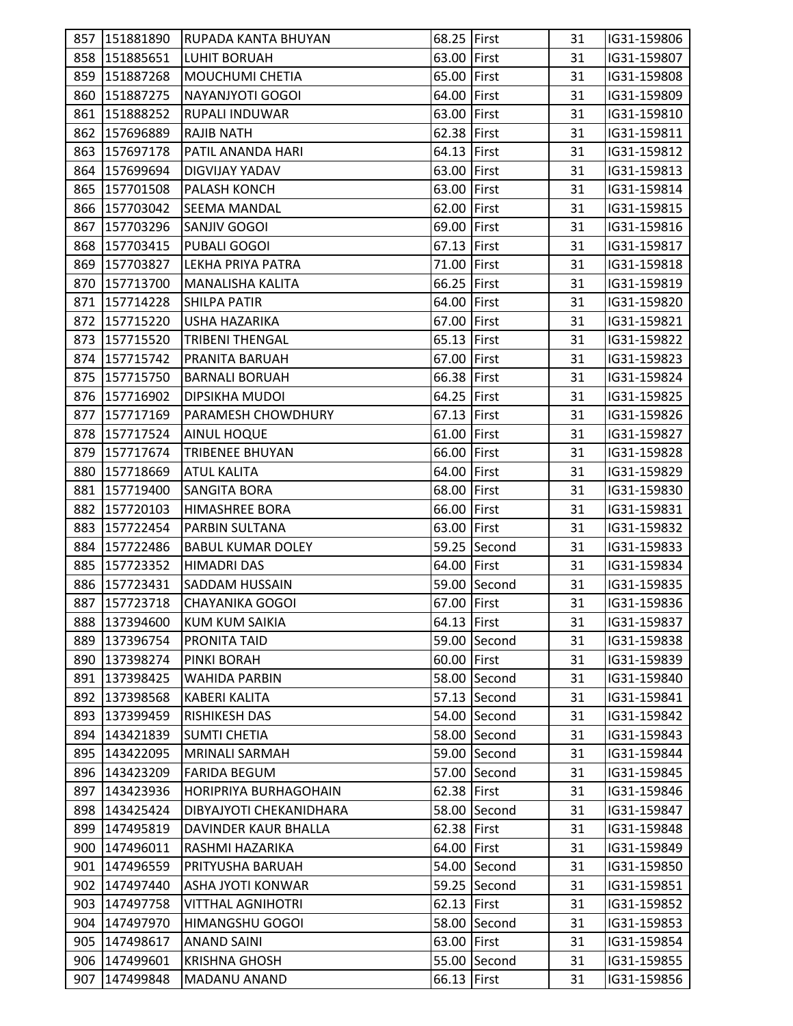| 858 151885651<br>63.00 First<br>31<br><b>LUHIT BORUAH</b><br>IG31-159807<br>65.00 First<br>859 151887268<br><b>MOUCHUMI CHETIA</b><br>31<br>IG31-159808<br>64.00 First<br>860<br>151887275<br>NAYANJYOTI GOGOI<br>31<br>IG31-159809<br>63.00 First<br>861 151888252<br><b>RUPALI INDUWAR</b><br>31<br>IG31-159810<br>862 157696889<br>62.38 First<br><b>RAJIB NATH</b><br>31<br>IG31-159811<br>64.13 First<br>863 157697178<br>31<br>IG31-159812<br>PATIL ANANDA HARI<br>63.00 First<br>864<br>157699694<br><b>DIGVIJAY YADAV</b><br>31<br>IG31-159813<br>865<br>63.00 First<br>157701508<br><b>PALASH KONCH</b><br>31<br>IG31-159814<br>62.00 First<br>866 157703042<br>31<br>IG31-159815<br><b>SEEMA MANDAL</b><br>69.00 First<br>867<br>157703296<br>31<br>IG31-159816<br>SANJIV GOGOI<br>67.13 First<br>868<br>157703415<br>PUBALI GOGOI<br>31<br>IG31-159817<br>869<br>71.00 First<br>157703827<br>LEKHA PRIYA PATRA<br>IG31-159818<br>31<br>66.25 First<br>870 157713700<br>31<br>IG31-159819<br><b>MANALISHA KALITA</b><br>64.00 First<br>871 157714228<br><b>SHILPA PATIR</b><br>31<br>IG31-159820<br>872 157715220<br>67.00 First<br><b>USHA HAZARIKA</b><br>31<br>IG31-159821<br>65.13 First<br>873 157715520<br><b>TRIBENI THENGAL</b><br>31<br>IG31-159822<br>874<br>157715742<br>67.00 First<br>31<br>IG31-159823<br>PRANITA BARUAH<br>66.38 First<br>875 157715750<br>31<br>IG31-159824<br><b>BARNALI BORUAH</b><br>64.25 First<br>876 157716902<br>31<br>IG31-159825<br><b>DIPSIKHA MUDOI</b><br>67.13 First<br>877 157717169<br>31<br>IG31-159826<br><b>PARAMESH CHOWDHURY</b><br>61.00 First<br>878 157717524<br>31<br>IG31-159827<br><b>AINUL HOQUE</b><br>879 157717674<br><b>TRIBENEE BHUYAN</b><br>66.00 First<br>31<br>IG31-159828<br>64.00 First<br>880 157718669<br><b>ATUL KALITA</b><br>31<br>IG31-159829<br>881 157719400<br>68.00 First<br><b>SANGITA BORA</b><br>31<br>IG31-159830<br>66.00 First<br>882<br>157720103<br><b>HIMASHREE BORA</b><br>31<br>IG31-159831<br>883<br>63.00 First<br>157722454<br>PARBIN SULTANA<br>31<br>IG31-159832<br>59.25 Second<br>884 157722486<br><b>BABUL KUMAR DOLEY</b><br>31<br>IG31-159833<br>885 157723352<br>64.00 First<br><b>HIMADRI DAS</b><br>31<br>IG31-159834<br>886<br><b>SADDAM HUSSAIN</b><br>59.00 Second<br>31<br>IG31-159835<br>157723431<br>67.00 First<br>887 157723718<br><b>CHAYANIKA GOGOI</b><br>31<br>IG31-159836<br>888 137394600<br><b>KUM KUM SAIKIA</b><br>64.13 First<br>IG31-159837<br>31<br>59.00 Second<br>889<br>137396754<br>31<br>IG31-159838<br><b>PRONITA TAID</b><br>890 137398274<br>PINKI BORAH<br>60.00 First<br>31<br>IG31-159839<br>891 137398425<br>58.00 Second<br>31<br>IG31-159840<br><b>WAHIDA PARBIN</b><br>892<br>137398568<br><b>KABERI KALITA</b><br>57.13 Second<br>31<br>IG31-159841<br>893<br>137399459<br><b>RISHIKESH DAS</b><br>54.00 Second<br>31<br>IG31-159842<br>894<br>143421839<br>58.00 Second<br>31<br>IG31-159843<br><b>SUMTI CHETIA</b><br>143422095<br>59.00 Second<br>895<br><b>MRINALI SARMAH</b><br>31<br>IG31-159844<br>896 143423209<br><b>FARIDA BEGUM</b><br>57.00 Second<br>31<br>IG31-159845<br>897 143423936<br><b>HORIPRIYA BURHAGOHAIN</b><br>62.38 First<br>31<br>IG31-159846<br>898 143425424<br>58.00 Second<br>31<br>DIBYAJYOTI CHEKANIDHARA<br>IG31-159847<br>62.38 First<br>899 147495819<br>DAVINDER KAUR BHALLA<br>31<br>IG31-159848<br>147496011<br>64.00 First<br>900<br>RASHMI HAZARIKA<br>31<br>IG31-159849<br>901 147496559<br>54.00 Second<br>31<br>IG31-159850<br>PRITYUSHA BARUAH<br>902 147497440<br><b>ASHA JYOTI KONWAR</b><br>59.25 Second<br>31<br>IG31-159851<br>903 147497758<br><b>VITTHAL AGNIHOTRI</b><br>62.13 First<br>31<br>IG31-159852<br>58.00 Second<br>904 147497970<br>HIMANGSHU GOGOI<br>31<br>IG31-159853<br>905<br>147498617<br>63.00 First<br><b>ANAND SAINI</b><br>31<br>IG31-159854<br>55.00 Second<br>906<br><b>KRISHNA GHOSH</b><br>31<br>IG31-159855<br>147499601<br>907<br>147499848<br>66.13 First<br><b>MADANU ANAND</b><br>31<br>IG31-159856 | 857 151881890 | <b>RUPADA KANTA BHUYAN</b> | 68.25 First | 31 | IG31-159806 |
|---------------------------------------------------------------------------------------------------------------------------------------------------------------------------------------------------------------------------------------------------------------------------------------------------------------------------------------------------------------------------------------------------------------------------------------------------------------------------------------------------------------------------------------------------------------------------------------------------------------------------------------------------------------------------------------------------------------------------------------------------------------------------------------------------------------------------------------------------------------------------------------------------------------------------------------------------------------------------------------------------------------------------------------------------------------------------------------------------------------------------------------------------------------------------------------------------------------------------------------------------------------------------------------------------------------------------------------------------------------------------------------------------------------------------------------------------------------------------------------------------------------------------------------------------------------------------------------------------------------------------------------------------------------------------------------------------------------------------------------------------------------------------------------------------------------------------------------------------------------------------------------------------------------------------------------------------------------------------------------------------------------------------------------------------------------------------------------------------------------------------------------------------------------------------------------------------------------------------------------------------------------------------------------------------------------------------------------------------------------------------------------------------------------------------------------------------------------------------------------------------------------------------------------------------------------------------------------------------------------------------------------------------------------------------------------------------------------------------------------------------------------------------------------------------------------------------------------------------------------------------------------------------------------------------------------------------------------------------------------------------------------------------------------------------------------------------------------------------------------------------------------------------------------------------------------------------------------------------------------------------------------------------------------------------------------------------------------------------------------------------------------------------------------------------------------------------------------------------------------------------------------------------------------------------------------------------------------------------------------------------------------------------------------------------------------------------------------------------------------------------------------------------------------------------------------------------------------------------------------------------------------------------------------------------------------------------------------------------------------------------------------------------------------------|---------------|----------------------------|-------------|----|-------------|
|                                                                                                                                                                                                                                                                                                                                                                                                                                                                                                                                                                                                                                                                                                                                                                                                                                                                                                                                                                                                                                                                                                                                                                                                                                                                                                                                                                                                                                                                                                                                                                                                                                                                                                                                                                                                                                                                                                                                                                                                                                                                                                                                                                                                                                                                                                                                                                                                                                                                                                                                                                                                                                                                                                                                                                                                                                                                                                                                                                                                                                                                                                                                                                                                                                                                                                                                                                                                                                                                                                                                                                                                                                                                                                                                                                                                                                                                                                                                                                                                                                             |               |                            |             |    |             |
|                                                                                                                                                                                                                                                                                                                                                                                                                                                                                                                                                                                                                                                                                                                                                                                                                                                                                                                                                                                                                                                                                                                                                                                                                                                                                                                                                                                                                                                                                                                                                                                                                                                                                                                                                                                                                                                                                                                                                                                                                                                                                                                                                                                                                                                                                                                                                                                                                                                                                                                                                                                                                                                                                                                                                                                                                                                                                                                                                                                                                                                                                                                                                                                                                                                                                                                                                                                                                                                                                                                                                                                                                                                                                                                                                                                                                                                                                                                                                                                                                                             |               |                            |             |    |             |
|                                                                                                                                                                                                                                                                                                                                                                                                                                                                                                                                                                                                                                                                                                                                                                                                                                                                                                                                                                                                                                                                                                                                                                                                                                                                                                                                                                                                                                                                                                                                                                                                                                                                                                                                                                                                                                                                                                                                                                                                                                                                                                                                                                                                                                                                                                                                                                                                                                                                                                                                                                                                                                                                                                                                                                                                                                                                                                                                                                                                                                                                                                                                                                                                                                                                                                                                                                                                                                                                                                                                                                                                                                                                                                                                                                                                                                                                                                                                                                                                                                             |               |                            |             |    |             |
|                                                                                                                                                                                                                                                                                                                                                                                                                                                                                                                                                                                                                                                                                                                                                                                                                                                                                                                                                                                                                                                                                                                                                                                                                                                                                                                                                                                                                                                                                                                                                                                                                                                                                                                                                                                                                                                                                                                                                                                                                                                                                                                                                                                                                                                                                                                                                                                                                                                                                                                                                                                                                                                                                                                                                                                                                                                                                                                                                                                                                                                                                                                                                                                                                                                                                                                                                                                                                                                                                                                                                                                                                                                                                                                                                                                                                                                                                                                                                                                                                                             |               |                            |             |    |             |
|                                                                                                                                                                                                                                                                                                                                                                                                                                                                                                                                                                                                                                                                                                                                                                                                                                                                                                                                                                                                                                                                                                                                                                                                                                                                                                                                                                                                                                                                                                                                                                                                                                                                                                                                                                                                                                                                                                                                                                                                                                                                                                                                                                                                                                                                                                                                                                                                                                                                                                                                                                                                                                                                                                                                                                                                                                                                                                                                                                                                                                                                                                                                                                                                                                                                                                                                                                                                                                                                                                                                                                                                                                                                                                                                                                                                                                                                                                                                                                                                                                             |               |                            |             |    |             |
|                                                                                                                                                                                                                                                                                                                                                                                                                                                                                                                                                                                                                                                                                                                                                                                                                                                                                                                                                                                                                                                                                                                                                                                                                                                                                                                                                                                                                                                                                                                                                                                                                                                                                                                                                                                                                                                                                                                                                                                                                                                                                                                                                                                                                                                                                                                                                                                                                                                                                                                                                                                                                                                                                                                                                                                                                                                                                                                                                                                                                                                                                                                                                                                                                                                                                                                                                                                                                                                                                                                                                                                                                                                                                                                                                                                                                                                                                                                                                                                                                                             |               |                            |             |    |             |
|                                                                                                                                                                                                                                                                                                                                                                                                                                                                                                                                                                                                                                                                                                                                                                                                                                                                                                                                                                                                                                                                                                                                                                                                                                                                                                                                                                                                                                                                                                                                                                                                                                                                                                                                                                                                                                                                                                                                                                                                                                                                                                                                                                                                                                                                                                                                                                                                                                                                                                                                                                                                                                                                                                                                                                                                                                                                                                                                                                                                                                                                                                                                                                                                                                                                                                                                                                                                                                                                                                                                                                                                                                                                                                                                                                                                                                                                                                                                                                                                                                             |               |                            |             |    |             |
|                                                                                                                                                                                                                                                                                                                                                                                                                                                                                                                                                                                                                                                                                                                                                                                                                                                                                                                                                                                                                                                                                                                                                                                                                                                                                                                                                                                                                                                                                                                                                                                                                                                                                                                                                                                                                                                                                                                                                                                                                                                                                                                                                                                                                                                                                                                                                                                                                                                                                                                                                                                                                                                                                                                                                                                                                                                                                                                                                                                                                                                                                                                                                                                                                                                                                                                                                                                                                                                                                                                                                                                                                                                                                                                                                                                                                                                                                                                                                                                                                                             |               |                            |             |    |             |
|                                                                                                                                                                                                                                                                                                                                                                                                                                                                                                                                                                                                                                                                                                                                                                                                                                                                                                                                                                                                                                                                                                                                                                                                                                                                                                                                                                                                                                                                                                                                                                                                                                                                                                                                                                                                                                                                                                                                                                                                                                                                                                                                                                                                                                                                                                                                                                                                                                                                                                                                                                                                                                                                                                                                                                                                                                                                                                                                                                                                                                                                                                                                                                                                                                                                                                                                                                                                                                                                                                                                                                                                                                                                                                                                                                                                                                                                                                                                                                                                                                             |               |                            |             |    |             |
|                                                                                                                                                                                                                                                                                                                                                                                                                                                                                                                                                                                                                                                                                                                                                                                                                                                                                                                                                                                                                                                                                                                                                                                                                                                                                                                                                                                                                                                                                                                                                                                                                                                                                                                                                                                                                                                                                                                                                                                                                                                                                                                                                                                                                                                                                                                                                                                                                                                                                                                                                                                                                                                                                                                                                                                                                                                                                                                                                                                                                                                                                                                                                                                                                                                                                                                                                                                                                                                                                                                                                                                                                                                                                                                                                                                                                                                                                                                                                                                                                                             |               |                            |             |    |             |
|                                                                                                                                                                                                                                                                                                                                                                                                                                                                                                                                                                                                                                                                                                                                                                                                                                                                                                                                                                                                                                                                                                                                                                                                                                                                                                                                                                                                                                                                                                                                                                                                                                                                                                                                                                                                                                                                                                                                                                                                                                                                                                                                                                                                                                                                                                                                                                                                                                                                                                                                                                                                                                                                                                                                                                                                                                                                                                                                                                                                                                                                                                                                                                                                                                                                                                                                                                                                                                                                                                                                                                                                                                                                                                                                                                                                                                                                                                                                                                                                                                             |               |                            |             |    |             |
|                                                                                                                                                                                                                                                                                                                                                                                                                                                                                                                                                                                                                                                                                                                                                                                                                                                                                                                                                                                                                                                                                                                                                                                                                                                                                                                                                                                                                                                                                                                                                                                                                                                                                                                                                                                                                                                                                                                                                                                                                                                                                                                                                                                                                                                                                                                                                                                                                                                                                                                                                                                                                                                                                                                                                                                                                                                                                                                                                                                                                                                                                                                                                                                                                                                                                                                                                                                                                                                                                                                                                                                                                                                                                                                                                                                                                                                                                                                                                                                                                                             |               |                            |             |    |             |
|                                                                                                                                                                                                                                                                                                                                                                                                                                                                                                                                                                                                                                                                                                                                                                                                                                                                                                                                                                                                                                                                                                                                                                                                                                                                                                                                                                                                                                                                                                                                                                                                                                                                                                                                                                                                                                                                                                                                                                                                                                                                                                                                                                                                                                                                                                                                                                                                                                                                                                                                                                                                                                                                                                                                                                                                                                                                                                                                                                                                                                                                                                                                                                                                                                                                                                                                                                                                                                                                                                                                                                                                                                                                                                                                                                                                                                                                                                                                                                                                                                             |               |                            |             |    |             |
|                                                                                                                                                                                                                                                                                                                                                                                                                                                                                                                                                                                                                                                                                                                                                                                                                                                                                                                                                                                                                                                                                                                                                                                                                                                                                                                                                                                                                                                                                                                                                                                                                                                                                                                                                                                                                                                                                                                                                                                                                                                                                                                                                                                                                                                                                                                                                                                                                                                                                                                                                                                                                                                                                                                                                                                                                                                                                                                                                                                                                                                                                                                                                                                                                                                                                                                                                                                                                                                                                                                                                                                                                                                                                                                                                                                                                                                                                                                                                                                                                                             |               |                            |             |    |             |
|                                                                                                                                                                                                                                                                                                                                                                                                                                                                                                                                                                                                                                                                                                                                                                                                                                                                                                                                                                                                                                                                                                                                                                                                                                                                                                                                                                                                                                                                                                                                                                                                                                                                                                                                                                                                                                                                                                                                                                                                                                                                                                                                                                                                                                                                                                                                                                                                                                                                                                                                                                                                                                                                                                                                                                                                                                                                                                                                                                                                                                                                                                                                                                                                                                                                                                                                                                                                                                                                                                                                                                                                                                                                                                                                                                                                                                                                                                                                                                                                                                             |               |                            |             |    |             |
|                                                                                                                                                                                                                                                                                                                                                                                                                                                                                                                                                                                                                                                                                                                                                                                                                                                                                                                                                                                                                                                                                                                                                                                                                                                                                                                                                                                                                                                                                                                                                                                                                                                                                                                                                                                                                                                                                                                                                                                                                                                                                                                                                                                                                                                                                                                                                                                                                                                                                                                                                                                                                                                                                                                                                                                                                                                                                                                                                                                                                                                                                                                                                                                                                                                                                                                                                                                                                                                                                                                                                                                                                                                                                                                                                                                                                                                                                                                                                                                                                                             |               |                            |             |    |             |
|                                                                                                                                                                                                                                                                                                                                                                                                                                                                                                                                                                                                                                                                                                                                                                                                                                                                                                                                                                                                                                                                                                                                                                                                                                                                                                                                                                                                                                                                                                                                                                                                                                                                                                                                                                                                                                                                                                                                                                                                                                                                                                                                                                                                                                                                                                                                                                                                                                                                                                                                                                                                                                                                                                                                                                                                                                                                                                                                                                                                                                                                                                                                                                                                                                                                                                                                                                                                                                                                                                                                                                                                                                                                                                                                                                                                                                                                                                                                                                                                                                             |               |                            |             |    |             |
|                                                                                                                                                                                                                                                                                                                                                                                                                                                                                                                                                                                                                                                                                                                                                                                                                                                                                                                                                                                                                                                                                                                                                                                                                                                                                                                                                                                                                                                                                                                                                                                                                                                                                                                                                                                                                                                                                                                                                                                                                                                                                                                                                                                                                                                                                                                                                                                                                                                                                                                                                                                                                                                                                                                                                                                                                                                                                                                                                                                                                                                                                                                                                                                                                                                                                                                                                                                                                                                                                                                                                                                                                                                                                                                                                                                                                                                                                                                                                                                                                                             |               |                            |             |    |             |
|                                                                                                                                                                                                                                                                                                                                                                                                                                                                                                                                                                                                                                                                                                                                                                                                                                                                                                                                                                                                                                                                                                                                                                                                                                                                                                                                                                                                                                                                                                                                                                                                                                                                                                                                                                                                                                                                                                                                                                                                                                                                                                                                                                                                                                                                                                                                                                                                                                                                                                                                                                                                                                                                                                                                                                                                                                                                                                                                                                                                                                                                                                                                                                                                                                                                                                                                                                                                                                                                                                                                                                                                                                                                                                                                                                                                                                                                                                                                                                                                                                             |               |                            |             |    |             |
|                                                                                                                                                                                                                                                                                                                                                                                                                                                                                                                                                                                                                                                                                                                                                                                                                                                                                                                                                                                                                                                                                                                                                                                                                                                                                                                                                                                                                                                                                                                                                                                                                                                                                                                                                                                                                                                                                                                                                                                                                                                                                                                                                                                                                                                                                                                                                                                                                                                                                                                                                                                                                                                                                                                                                                                                                                                                                                                                                                                                                                                                                                                                                                                                                                                                                                                                                                                                                                                                                                                                                                                                                                                                                                                                                                                                                                                                                                                                                                                                                                             |               |                            |             |    |             |
|                                                                                                                                                                                                                                                                                                                                                                                                                                                                                                                                                                                                                                                                                                                                                                                                                                                                                                                                                                                                                                                                                                                                                                                                                                                                                                                                                                                                                                                                                                                                                                                                                                                                                                                                                                                                                                                                                                                                                                                                                                                                                                                                                                                                                                                                                                                                                                                                                                                                                                                                                                                                                                                                                                                                                                                                                                                                                                                                                                                                                                                                                                                                                                                                                                                                                                                                                                                                                                                                                                                                                                                                                                                                                                                                                                                                                                                                                                                                                                                                                                             |               |                            |             |    |             |
|                                                                                                                                                                                                                                                                                                                                                                                                                                                                                                                                                                                                                                                                                                                                                                                                                                                                                                                                                                                                                                                                                                                                                                                                                                                                                                                                                                                                                                                                                                                                                                                                                                                                                                                                                                                                                                                                                                                                                                                                                                                                                                                                                                                                                                                                                                                                                                                                                                                                                                                                                                                                                                                                                                                                                                                                                                                                                                                                                                                                                                                                                                                                                                                                                                                                                                                                                                                                                                                                                                                                                                                                                                                                                                                                                                                                                                                                                                                                                                                                                                             |               |                            |             |    |             |
|                                                                                                                                                                                                                                                                                                                                                                                                                                                                                                                                                                                                                                                                                                                                                                                                                                                                                                                                                                                                                                                                                                                                                                                                                                                                                                                                                                                                                                                                                                                                                                                                                                                                                                                                                                                                                                                                                                                                                                                                                                                                                                                                                                                                                                                                                                                                                                                                                                                                                                                                                                                                                                                                                                                                                                                                                                                                                                                                                                                                                                                                                                                                                                                                                                                                                                                                                                                                                                                                                                                                                                                                                                                                                                                                                                                                                                                                                                                                                                                                                                             |               |                            |             |    |             |
|                                                                                                                                                                                                                                                                                                                                                                                                                                                                                                                                                                                                                                                                                                                                                                                                                                                                                                                                                                                                                                                                                                                                                                                                                                                                                                                                                                                                                                                                                                                                                                                                                                                                                                                                                                                                                                                                                                                                                                                                                                                                                                                                                                                                                                                                                                                                                                                                                                                                                                                                                                                                                                                                                                                                                                                                                                                                                                                                                                                                                                                                                                                                                                                                                                                                                                                                                                                                                                                                                                                                                                                                                                                                                                                                                                                                                                                                                                                                                                                                                                             |               |                            |             |    |             |
|                                                                                                                                                                                                                                                                                                                                                                                                                                                                                                                                                                                                                                                                                                                                                                                                                                                                                                                                                                                                                                                                                                                                                                                                                                                                                                                                                                                                                                                                                                                                                                                                                                                                                                                                                                                                                                                                                                                                                                                                                                                                                                                                                                                                                                                                                                                                                                                                                                                                                                                                                                                                                                                                                                                                                                                                                                                                                                                                                                                                                                                                                                                                                                                                                                                                                                                                                                                                                                                                                                                                                                                                                                                                                                                                                                                                                                                                                                                                                                                                                                             |               |                            |             |    |             |
|                                                                                                                                                                                                                                                                                                                                                                                                                                                                                                                                                                                                                                                                                                                                                                                                                                                                                                                                                                                                                                                                                                                                                                                                                                                                                                                                                                                                                                                                                                                                                                                                                                                                                                                                                                                                                                                                                                                                                                                                                                                                                                                                                                                                                                                                                                                                                                                                                                                                                                                                                                                                                                                                                                                                                                                                                                                                                                                                                                                                                                                                                                                                                                                                                                                                                                                                                                                                                                                                                                                                                                                                                                                                                                                                                                                                                                                                                                                                                                                                                                             |               |                            |             |    |             |
|                                                                                                                                                                                                                                                                                                                                                                                                                                                                                                                                                                                                                                                                                                                                                                                                                                                                                                                                                                                                                                                                                                                                                                                                                                                                                                                                                                                                                                                                                                                                                                                                                                                                                                                                                                                                                                                                                                                                                                                                                                                                                                                                                                                                                                                                                                                                                                                                                                                                                                                                                                                                                                                                                                                                                                                                                                                                                                                                                                                                                                                                                                                                                                                                                                                                                                                                                                                                                                                                                                                                                                                                                                                                                                                                                                                                                                                                                                                                                                                                                                             |               |                            |             |    |             |
|                                                                                                                                                                                                                                                                                                                                                                                                                                                                                                                                                                                                                                                                                                                                                                                                                                                                                                                                                                                                                                                                                                                                                                                                                                                                                                                                                                                                                                                                                                                                                                                                                                                                                                                                                                                                                                                                                                                                                                                                                                                                                                                                                                                                                                                                                                                                                                                                                                                                                                                                                                                                                                                                                                                                                                                                                                                                                                                                                                                                                                                                                                                                                                                                                                                                                                                                                                                                                                                                                                                                                                                                                                                                                                                                                                                                                                                                                                                                                                                                                                             |               |                            |             |    |             |
|                                                                                                                                                                                                                                                                                                                                                                                                                                                                                                                                                                                                                                                                                                                                                                                                                                                                                                                                                                                                                                                                                                                                                                                                                                                                                                                                                                                                                                                                                                                                                                                                                                                                                                                                                                                                                                                                                                                                                                                                                                                                                                                                                                                                                                                                                                                                                                                                                                                                                                                                                                                                                                                                                                                                                                                                                                                                                                                                                                                                                                                                                                                                                                                                                                                                                                                                                                                                                                                                                                                                                                                                                                                                                                                                                                                                                                                                                                                                                                                                                                             |               |                            |             |    |             |
|                                                                                                                                                                                                                                                                                                                                                                                                                                                                                                                                                                                                                                                                                                                                                                                                                                                                                                                                                                                                                                                                                                                                                                                                                                                                                                                                                                                                                                                                                                                                                                                                                                                                                                                                                                                                                                                                                                                                                                                                                                                                                                                                                                                                                                                                                                                                                                                                                                                                                                                                                                                                                                                                                                                                                                                                                                                                                                                                                                                                                                                                                                                                                                                                                                                                                                                                                                                                                                                                                                                                                                                                                                                                                                                                                                                                                                                                                                                                                                                                                                             |               |                            |             |    |             |
|                                                                                                                                                                                                                                                                                                                                                                                                                                                                                                                                                                                                                                                                                                                                                                                                                                                                                                                                                                                                                                                                                                                                                                                                                                                                                                                                                                                                                                                                                                                                                                                                                                                                                                                                                                                                                                                                                                                                                                                                                                                                                                                                                                                                                                                                                                                                                                                                                                                                                                                                                                                                                                                                                                                                                                                                                                                                                                                                                                                                                                                                                                                                                                                                                                                                                                                                                                                                                                                                                                                                                                                                                                                                                                                                                                                                                                                                                                                                                                                                                                             |               |                            |             |    |             |
|                                                                                                                                                                                                                                                                                                                                                                                                                                                                                                                                                                                                                                                                                                                                                                                                                                                                                                                                                                                                                                                                                                                                                                                                                                                                                                                                                                                                                                                                                                                                                                                                                                                                                                                                                                                                                                                                                                                                                                                                                                                                                                                                                                                                                                                                                                                                                                                                                                                                                                                                                                                                                                                                                                                                                                                                                                                                                                                                                                                                                                                                                                                                                                                                                                                                                                                                                                                                                                                                                                                                                                                                                                                                                                                                                                                                                                                                                                                                                                                                                                             |               |                            |             |    |             |
|                                                                                                                                                                                                                                                                                                                                                                                                                                                                                                                                                                                                                                                                                                                                                                                                                                                                                                                                                                                                                                                                                                                                                                                                                                                                                                                                                                                                                                                                                                                                                                                                                                                                                                                                                                                                                                                                                                                                                                                                                                                                                                                                                                                                                                                                                                                                                                                                                                                                                                                                                                                                                                                                                                                                                                                                                                                                                                                                                                                                                                                                                                                                                                                                                                                                                                                                                                                                                                                                                                                                                                                                                                                                                                                                                                                                                                                                                                                                                                                                                                             |               |                            |             |    |             |
|                                                                                                                                                                                                                                                                                                                                                                                                                                                                                                                                                                                                                                                                                                                                                                                                                                                                                                                                                                                                                                                                                                                                                                                                                                                                                                                                                                                                                                                                                                                                                                                                                                                                                                                                                                                                                                                                                                                                                                                                                                                                                                                                                                                                                                                                                                                                                                                                                                                                                                                                                                                                                                                                                                                                                                                                                                                                                                                                                                                                                                                                                                                                                                                                                                                                                                                                                                                                                                                                                                                                                                                                                                                                                                                                                                                                                                                                                                                                                                                                                                             |               |                            |             |    |             |
|                                                                                                                                                                                                                                                                                                                                                                                                                                                                                                                                                                                                                                                                                                                                                                                                                                                                                                                                                                                                                                                                                                                                                                                                                                                                                                                                                                                                                                                                                                                                                                                                                                                                                                                                                                                                                                                                                                                                                                                                                                                                                                                                                                                                                                                                                                                                                                                                                                                                                                                                                                                                                                                                                                                                                                                                                                                                                                                                                                                                                                                                                                                                                                                                                                                                                                                                                                                                                                                                                                                                                                                                                                                                                                                                                                                                                                                                                                                                                                                                                                             |               |                            |             |    |             |
|                                                                                                                                                                                                                                                                                                                                                                                                                                                                                                                                                                                                                                                                                                                                                                                                                                                                                                                                                                                                                                                                                                                                                                                                                                                                                                                                                                                                                                                                                                                                                                                                                                                                                                                                                                                                                                                                                                                                                                                                                                                                                                                                                                                                                                                                                                                                                                                                                                                                                                                                                                                                                                                                                                                                                                                                                                                                                                                                                                                                                                                                                                                                                                                                                                                                                                                                                                                                                                                                                                                                                                                                                                                                                                                                                                                                                                                                                                                                                                                                                                             |               |                            |             |    |             |
|                                                                                                                                                                                                                                                                                                                                                                                                                                                                                                                                                                                                                                                                                                                                                                                                                                                                                                                                                                                                                                                                                                                                                                                                                                                                                                                                                                                                                                                                                                                                                                                                                                                                                                                                                                                                                                                                                                                                                                                                                                                                                                                                                                                                                                                                                                                                                                                                                                                                                                                                                                                                                                                                                                                                                                                                                                                                                                                                                                                                                                                                                                                                                                                                                                                                                                                                                                                                                                                                                                                                                                                                                                                                                                                                                                                                                                                                                                                                                                                                                                             |               |                            |             |    |             |
|                                                                                                                                                                                                                                                                                                                                                                                                                                                                                                                                                                                                                                                                                                                                                                                                                                                                                                                                                                                                                                                                                                                                                                                                                                                                                                                                                                                                                                                                                                                                                                                                                                                                                                                                                                                                                                                                                                                                                                                                                                                                                                                                                                                                                                                                                                                                                                                                                                                                                                                                                                                                                                                                                                                                                                                                                                                                                                                                                                                                                                                                                                                                                                                                                                                                                                                                                                                                                                                                                                                                                                                                                                                                                                                                                                                                                                                                                                                                                                                                                                             |               |                            |             |    |             |
|                                                                                                                                                                                                                                                                                                                                                                                                                                                                                                                                                                                                                                                                                                                                                                                                                                                                                                                                                                                                                                                                                                                                                                                                                                                                                                                                                                                                                                                                                                                                                                                                                                                                                                                                                                                                                                                                                                                                                                                                                                                                                                                                                                                                                                                                                                                                                                                                                                                                                                                                                                                                                                                                                                                                                                                                                                                                                                                                                                                                                                                                                                                                                                                                                                                                                                                                                                                                                                                                                                                                                                                                                                                                                                                                                                                                                                                                                                                                                                                                                                             |               |                            |             |    |             |
|                                                                                                                                                                                                                                                                                                                                                                                                                                                                                                                                                                                                                                                                                                                                                                                                                                                                                                                                                                                                                                                                                                                                                                                                                                                                                                                                                                                                                                                                                                                                                                                                                                                                                                                                                                                                                                                                                                                                                                                                                                                                                                                                                                                                                                                                                                                                                                                                                                                                                                                                                                                                                                                                                                                                                                                                                                                                                                                                                                                                                                                                                                                                                                                                                                                                                                                                                                                                                                                                                                                                                                                                                                                                                                                                                                                                                                                                                                                                                                                                                                             |               |                            |             |    |             |
|                                                                                                                                                                                                                                                                                                                                                                                                                                                                                                                                                                                                                                                                                                                                                                                                                                                                                                                                                                                                                                                                                                                                                                                                                                                                                                                                                                                                                                                                                                                                                                                                                                                                                                                                                                                                                                                                                                                                                                                                                                                                                                                                                                                                                                                                                                                                                                                                                                                                                                                                                                                                                                                                                                                                                                                                                                                                                                                                                                                                                                                                                                                                                                                                                                                                                                                                                                                                                                                                                                                                                                                                                                                                                                                                                                                                                                                                                                                                                                                                                                             |               |                            |             |    |             |
|                                                                                                                                                                                                                                                                                                                                                                                                                                                                                                                                                                                                                                                                                                                                                                                                                                                                                                                                                                                                                                                                                                                                                                                                                                                                                                                                                                                                                                                                                                                                                                                                                                                                                                                                                                                                                                                                                                                                                                                                                                                                                                                                                                                                                                                                                                                                                                                                                                                                                                                                                                                                                                                                                                                                                                                                                                                                                                                                                                                                                                                                                                                                                                                                                                                                                                                                                                                                                                                                                                                                                                                                                                                                                                                                                                                                                                                                                                                                                                                                                                             |               |                            |             |    |             |
|                                                                                                                                                                                                                                                                                                                                                                                                                                                                                                                                                                                                                                                                                                                                                                                                                                                                                                                                                                                                                                                                                                                                                                                                                                                                                                                                                                                                                                                                                                                                                                                                                                                                                                                                                                                                                                                                                                                                                                                                                                                                                                                                                                                                                                                                                                                                                                                                                                                                                                                                                                                                                                                                                                                                                                                                                                                                                                                                                                                                                                                                                                                                                                                                                                                                                                                                                                                                                                                                                                                                                                                                                                                                                                                                                                                                                                                                                                                                                                                                                                             |               |                            |             |    |             |
|                                                                                                                                                                                                                                                                                                                                                                                                                                                                                                                                                                                                                                                                                                                                                                                                                                                                                                                                                                                                                                                                                                                                                                                                                                                                                                                                                                                                                                                                                                                                                                                                                                                                                                                                                                                                                                                                                                                                                                                                                                                                                                                                                                                                                                                                                                                                                                                                                                                                                                                                                                                                                                                                                                                                                                                                                                                                                                                                                                                                                                                                                                                                                                                                                                                                                                                                                                                                                                                                                                                                                                                                                                                                                                                                                                                                                                                                                                                                                                                                                                             |               |                            |             |    |             |
|                                                                                                                                                                                                                                                                                                                                                                                                                                                                                                                                                                                                                                                                                                                                                                                                                                                                                                                                                                                                                                                                                                                                                                                                                                                                                                                                                                                                                                                                                                                                                                                                                                                                                                                                                                                                                                                                                                                                                                                                                                                                                                                                                                                                                                                                                                                                                                                                                                                                                                                                                                                                                                                                                                                                                                                                                                                                                                                                                                                                                                                                                                                                                                                                                                                                                                                                                                                                                                                                                                                                                                                                                                                                                                                                                                                                                                                                                                                                                                                                                                             |               |                            |             |    |             |
|                                                                                                                                                                                                                                                                                                                                                                                                                                                                                                                                                                                                                                                                                                                                                                                                                                                                                                                                                                                                                                                                                                                                                                                                                                                                                                                                                                                                                                                                                                                                                                                                                                                                                                                                                                                                                                                                                                                                                                                                                                                                                                                                                                                                                                                                                                                                                                                                                                                                                                                                                                                                                                                                                                                                                                                                                                                                                                                                                                                                                                                                                                                                                                                                                                                                                                                                                                                                                                                                                                                                                                                                                                                                                                                                                                                                                                                                                                                                                                                                                                             |               |                            |             |    |             |
|                                                                                                                                                                                                                                                                                                                                                                                                                                                                                                                                                                                                                                                                                                                                                                                                                                                                                                                                                                                                                                                                                                                                                                                                                                                                                                                                                                                                                                                                                                                                                                                                                                                                                                                                                                                                                                                                                                                                                                                                                                                                                                                                                                                                                                                                                                                                                                                                                                                                                                                                                                                                                                                                                                                                                                                                                                                                                                                                                                                                                                                                                                                                                                                                                                                                                                                                                                                                                                                                                                                                                                                                                                                                                                                                                                                                                                                                                                                                                                                                                                             |               |                            |             |    |             |
|                                                                                                                                                                                                                                                                                                                                                                                                                                                                                                                                                                                                                                                                                                                                                                                                                                                                                                                                                                                                                                                                                                                                                                                                                                                                                                                                                                                                                                                                                                                                                                                                                                                                                                                                                                                                                                                                                                                                                                                                                                                                                                                                                                                                                                                                                                                                                                                                                                                                                                                                                                                                                                                                                                                                                                                                                                                                                                                                                                                                                                                                                                                                                                                                                                                                                                                                                                                                                                                                                                                                                                                                                                                                                                                                                                                                                                                                                                                                                                                                                                             |               |                            |             |    |             |
|                                                                                                                                                                                                                                                                                                                                                                                                                                                                                                                                                                                                                                                                                                                                                                                                                                                                                                                                                                                                                                                                                                                                                                                                                                                                                                                                                                                                                                                                                                                                                                                                                                                                                                                                                                                                                                                                                                                                                                                                                                                                                                                                                                                                                                                                                                                                                                                                                                                                                                                                                                                                                                                                                                                                                                                                                                                                                                                                                                                                                                                                                                                                                                                                                                                                                                                                                                                                                                                                                                                                                                                                                                                                                                                                                                                                                                                                                                                                                                                                                                             |               |                            |             |    |             |
|                                                                                                                                                                                                                                                                                                                                                                                                                                                                                                                                                                                                                                                                                                                                                                                                                                                                                                                                                                                                                                                                                                                                                                                                                                                                                                                                                                                                                                                                                                                                                                                                                                                                                                                                                                                                                                                                                                                                                                                                                                                                                                                                                                                                                                                                                                                                                                                                                                                                                                                                                                                                                                                                                                                                                                                                                                                                                                                                                                                                                                                                                                                                                                                                                                                                                                                                                                                                                                                                                                                                                                                                                                                                                                                                                                                                                                                                                                                                                                                                                                             |               |                            |             |    |             |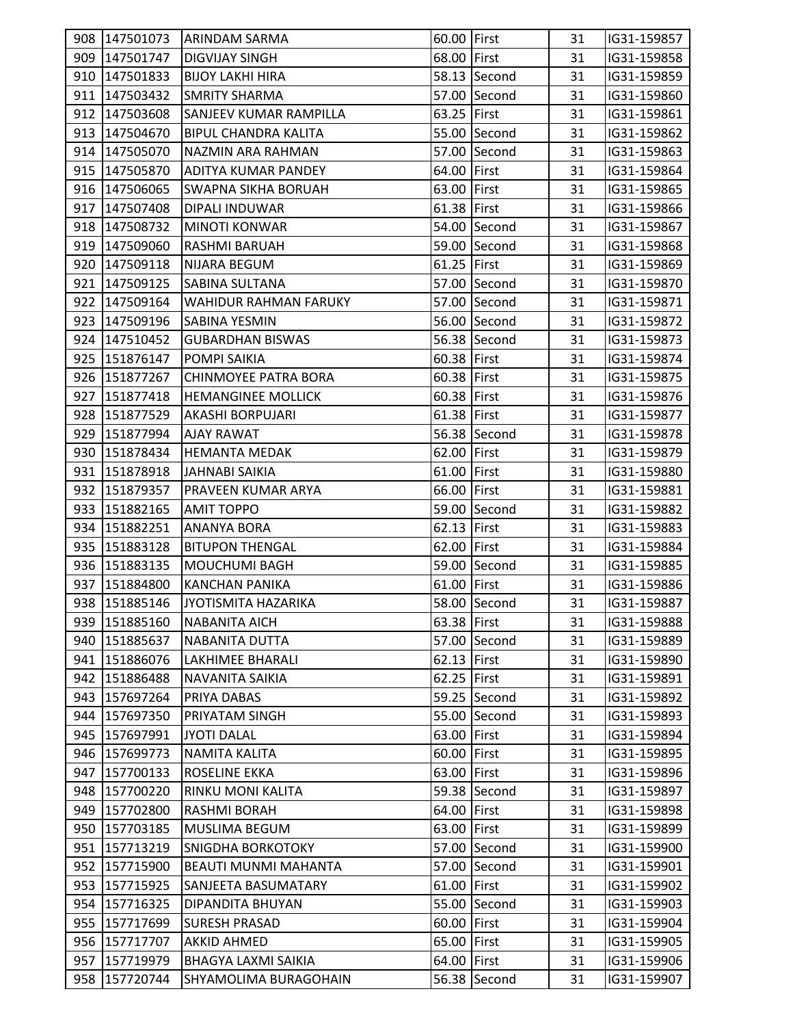|     | 908 147501073 | ARINDAM SARMA                | 60.00 First |              | 31 | IG31-159857 |  |
|-----|---------------|------------------------------|-------------|--------------|----|-------------|--|
|     | 909 147501747 | <b>DIGVIJAY SINGH</b>        | 68.00 First |              | 31 | IG31-159858 |  |
|     | 910 147501833 | <b>BIJOY LAKHI HIRA</b>      |             | 58.13 Second | 31 | IG31-159859 |  |
|     | 911 147503432 | <b>SMRITY SHARMA</b>         |             | 57.00 Second | 31 | IG31-159860 |  |
|     | 912 147503608 | SANJEEV KUMAR RAMPILLA       | 63.25 First |              | 31 | IG31-159861 |  |
|     | 913 147504670 | <b>BIPUL CHANDRA KALITA</b>  |             | 55.00 Second | 31 | IG31-159862 |  |
|     | 914 147505070 | NAZMIN ARA RAHMAN            |             | 57.00 Second | 31 | IG31-159863 |  |
|     | 915 147505870 | <b>ADITYA KUMAR PANDEY</b>   | 64.00 First |              | 31 | IG31-159864 |  |
|     | 916 147506065 | <b>SWAPNA SIKHA BORUAH</b>   | 63.00 First |              | 31 | IG31-159865 |  |
|     | 917 147507408 | DIPALI INDUWAR               | 61.38 First |              | 31 | IG31-159866 |  |
|     | 918 147508732 | MINOTI KONWAR                |             | 54.00 Second | 31 | IG31-159867 |  |
|     | 919 147509060 | RASHMI BARUAH                |             | 59.00 Second | 31 | IG31-159868 |  |
|     | 920 147509118 | <b>NIJARA BEGUM</b>          | 61.25 First |              | 31 | IG31-159869 |  |
|     | 921 147509125 | <b>SABINA SULTANA</b>        |             | 57.00 Second | 31 | IG31-159870 |  |
|     | 922 147509164 | <b>WAHIDUR RAHMAN FARUKY</b> |             | 57.00 Second | 31 | IG31-159871 |  |
|     | 923 147509196 | <b>SABINA YESMIN</b>         |             | 56.00 Second | 31 | IG31-159872 |  |
|     | 924 147510452 | <b>GUBARDHAN BISWAS</b>      |             | 56.38 Second | 31 | IG31-159873 |  |
|     | 925 151876147 | POMPI SAIKIA                 | 60.38 First |              | 31 | IG31-159874 |  |
|     | 926 151877267 | CHINMOYEE PATRA BORA         | 60.38 First |              | 31 | IG31-159875 |  |
|     | 927 151877418 | <b>HEMANGINEE MOLLICK</b>    | 60.38 First |              | 31 | IG31-159876 |  |
|     | 928 151877529 | AKASHI BORPUJARI             | 61.38 First |              | 31 | IG31-159877 |  |
|     | 929 151877994 | <b>AJAY RAWAT</b>            |             | 56.38 Second | 31 | IG31-159878 |  |
|     | 930 151878434 | <b>HEMANTA MEDAK</b>         | 62.00 First |              | 31 | IG31-159879 |  |
|     | 931 151878918 | JAHNABI SAIKIA               | 61.00 First |              | 31 | IG31-159880 |  |
|     | 932 151879357 | PRAVEEN KUMAR ARYA           | 66.00 First |              | 31 | IG31-159881 |  |
|     | 933 151882165 | <b>AMIT TOPPO</b>            |             | 59.00 Second | 31 | IG31-159882 |  |
|     | 934 151882251 | ANANYA BORA                  | 62.13 First |              | 31 | IG31-159883 |  |
|     | 935 151883128 | <b>BITUPON THENGAL</b>       | 62.00 First |              | 31 | IG31-159884 |  |
|     | 936 151883135 | <b>MOUCHUMI BAGH</b>         |             | 59.00 Second | 31 | IG31-159885 |  |
|     | 937 151884800 | <b>KANCHAN PANIKA</b>        | 61.00 First |              | 31 | IG31-159886 |  |
|     | 938 151885146 | JYOTISMITA HAZARIKA          |             | 58.00 Second | 31 | IG31-159887 |  |
|     | 939 151885160 | <b>NABANITA AICH</b>         | 63.38 First |              | 31 | IG31-159888 |  |
|     | 940 151885637 | <b>NABANITA DUTTA</b>        |             | 57.00 Second | 31 | IG31-159889 |  |
|     | 941 151886076 | <b>LAKHIMEE BHARALI</b>      | 62.13 First |              | 31 | IG31-159890 |  |
| 942 | 151886488     | <b>NAVANITA SAIKIA</b>       | 62.25 First |              | 31 | IG31-159891 |  |
| 943 | 157697264     | <b>PRIYA DABAS</b>           |             | 59.25 Second | 31 | IG31-159892 |  |
|     | 944 157697350 | PRIYATAM SINGH               |             | 55.00 Second | 31 | IG31-159893 |  |
|     | 945 157697991 | <b>JYOTI DALAL</b>           | 63.00 First |              | 31 | IG31-159894 |  |
|     | 946 157699773 | <b>NAMITA KALITA</b>         | 60.00 First |              | 31 | IG31-159895 |  |
|     | 947 157700133 | <b>ROSELINE EKKA</b>         | 63.00 First |              | 31 | IG31-159896 |  |
|     | 948 157700220 | RINKU MONI KALITA            |             | 59.38 Second | 31 | IG31-159897 |  |
|     | 949 157702800 | RASHMI BORAH                 | 64.00 First |              | 31 | IG31-159898 |  |
|     | 950 157703185 | <b>MUSLIMA BEGUM</b>         | 63.00 First |              | 31 | IG31-159899 |  |
| 951 | 157713219     | <b>SNIGDHA BORKOTOKY</b>     |             | 57.00 Second | 31 | IG31-159900 |  |
|     | 952 157715900 | <b>BEAUTI MUNMI MAHANTA</b>  |             | 57.00 Second | 31 | IG31-159901 |  |
|     | 953 157715925 | SANJEETA BASUMATARY          | 61.00 First |              | 31 | IG31-159902 |  |
|     | 954 157716325 | <b>DIPANDITA BHUYAN</b>      |             | 55.00 Second | 31 | IG31-159903 |  |
|     | 955 157717699 | <b>SURESH PRASAD</b>         | 60.00 First |              | 31 | IG31-159904 |  |
|     | 956 157717707 | <b>AKKID AHMED</b>           | 65.00 First |              | 31 | IG31-159905 |  |
| 957 | 157719979     | <b>BHAGYA LAXMI SAIKIA</b>   | 64.00 First |              | 31 | IG31-159906 |  |
|     | 958 157720744 | SHYAMOLIMA BURAGOHAIN        |             | 56.38 Second | 31 | IG31-159907 |  |
|     |               |                              |             |              |    |             |  |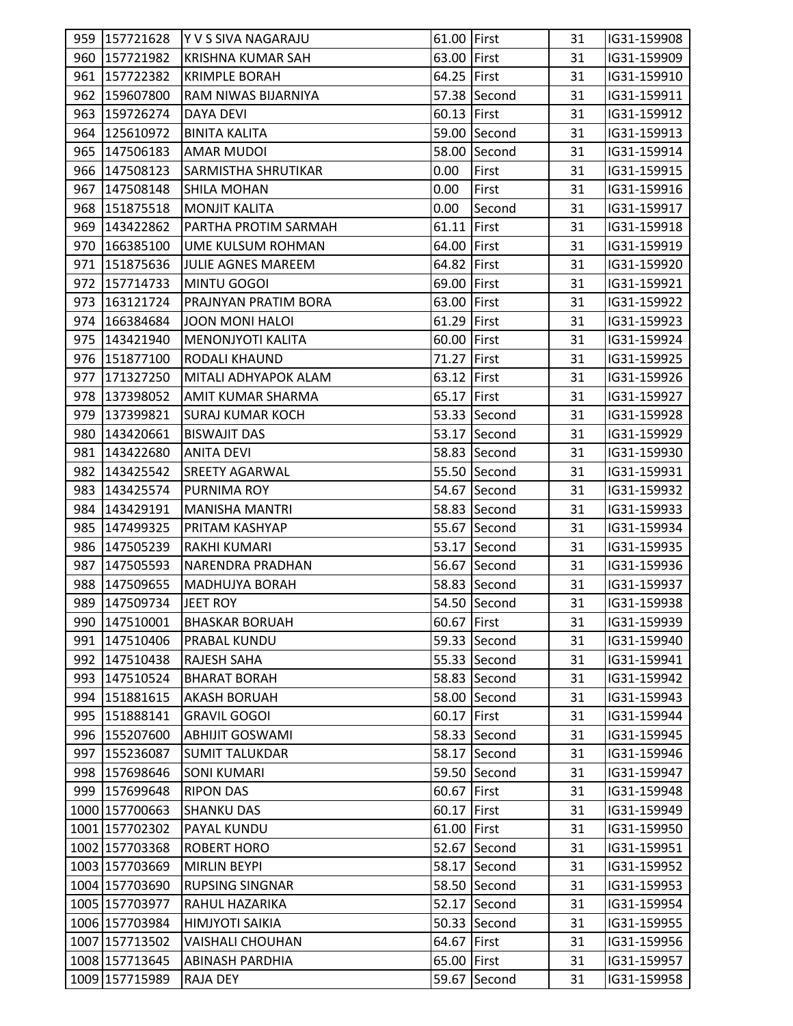|                | 959 157721628 Y V S SIVA NAGARAJU | 61.00 First |              | 31 | IG31-159908 |  |
|----------------|-----------------------------------|-------------|--------------|----|-------------|--|
| 960 157721982  | <b>KRISHNA KUMAR SAH</b>          | 63.00 First |              | 31 | IG31-159909 |  |
| 961 157722382  | <b>KRIMPLE BORAH</b>              | 64.25 First |              | 31 | IG31-159910 |  |
| 962 159607800  | RAM NIWAS BIJARNIYA               |             | 57.38 Second | 31 | IG31-159911 |  |
| 963 159726274  | DAYA DEVI                         | 60.13 First |              | 31 | IG31-159912 |  |
| 964 125610972  | <b>BINITA KALITA</b>              |             | 59.00 Second | 31 | IG31-159913 |  |
| 965 147506183  | <b>AMAR MUDOI</b>                 |             | 58.00 Second | 31 | IG31-159914 |  |
| 966 147508123  | <b>SARMISTHA SHRUTIKAR</b>        | 0.00        | First        | 31 | IG31-159915 |  |
| 967 147508148  | <b>SHILA MOHAN</b>                | 0.00        | First        | 31 | IG31-159916 |  |
| 968 151875518  | <b>MONJIT KALITA</b>              | 0.00        | Second       | 31 | IG31-159917 |  |
| 969 143422862  | PARTHA PROTIM SARMAH              | 61.11 First |              | 31 | IG31-159918 |  |
| 970 166385100  | <b>UME KULSUM ROHMAN</b>          | 64.00 First |              | 31 | IG31-159919 |  |
| 971 151875636  | JULIE AGNES MAREEM                | 64.82 First |              | 31 | IG31-159920 |  |
| 972 157714733  | MINTU GOGOI                       | 69.00 First |              | 31 | IG31-159921 |  |
| 973 163121724  | PRAJNYAN PRATIM BORA              | 63.00 First |              | 31 | IG31-159922 |  |
| 974 166384684  | JOON MONI HALOI                   | 61.29 First |              | 31 | IG31-159923 |  |
| 975 143421940  | <b>MENONJYOTI KALITA</b>          | 60.00 First |              | 31 | IG31-159924 |  |
| 976 151877100  | <b>RODALI KHAUND</b>              | 71.27 First |              | 31 | IG31-159925 |  |
| 977 171327250  | MITALI ADHYAPOK ALAM              | 63.12 First |              | 31 | IG31-159926 |  |
| 978 137398052  | AMIT KUMAR SHARMA                 | 65.17 First |              | 31 | IG31-159927 |  |
| 979 137399821  | <b>SURAJ KUMAR KOCH</b>           |             | 53.33 Second | 31 | IG31-159928 |  |
| 980 143420661  | <b>BISWAJIT DAS</b>               |             | 53.17 Second | 31 | IG31-159929 |  |
| 981 143422680  | <b>ANITA DEVI</b>                 |             | 58.83 Second | 31 | IG31-159930 |  |
| 982 143425542  | <b>SREETY AGARWAL</b>             |             | 55.50 Second | 31 | IG31-159931 |  |
| 983 143425574  | <b>PURNIMA ROY</b>                |             | 54.67 Second | 31 | IG31-159932 |  |
| 984 143429191  | MANISHA MANTRI                    |             | 58.83 Second | 31 | IG31-159933 |  |
| 985 147499325  | PRITAM KASHYAP                    |             | 55.67 Second | 31 | IG31-159934 |  |
| 986 147505239  | RAKHI KUMARI                      |             | 53.17 Second | 31 | IG31-159935 |  |
| 987 147505593  | INARENDRA PRADHAN                 |             | 56.67 Second | 31 | IG31-159936 |  |
| 988 147509655  | <b>MADHUJYA BORAH</b>             |             | 58.83 Second | 31 | IG31-159937 |  |
| 989 147509734  | JEET ROY                          |             | 54.50 Second | 31 | IG31-159938 |  |
| 990 147510001  | <b>BHASKAR BORUAH</b>             | 60.67 First |              | 31 | IG31-159939 |  |
| 991 147510406  | PRABAL KUNDU                      |             | 59.33 Second | 31 | IG31-159940 |  |
| 992 147510438  | <b>RAJESH SAHA</b>                |             | 55.33 Second | 31 | IG31-159941 |  |
| 993 147510524  | <b>BHARAT BORAH</b>               |             | 58.83 Second | 31 | IG31-159942 |  |
| 994 151881615  | <b>AKASH BORUAH</b>               |             | 58.00 Second | 31 | IG31-159943 |  |
| 995 151888141  | <b>GRAVIL GOGOI</b>               | 60.17 First |              | 31 | IG31-159944 |  |
| 996 155207600  | <b>ABHIJIT GOSWAMI</b>            |             | 58.33 Second | 31 | IG31-159945 |  |
| 997 155236087  | <b>SUMIT TALUKDAR</b>             |             | 58.17 Second | 31 | IG31-159946 |  |
| 998 157698646  | <b>SONI KUMARI</b>                |             | 59.50 Second | 31 | IG31-159947 |  |
| 999 157699648  | <b>RIPON DAS</b>                  | 60.67 First |              | 31 | IG31-159948 |  |
| 1000 157700663 | <b>SHANKU DAS</b>                 | 60.17 First |              | 31 | IG31-159949 |  |
| 1001 157702302 | PAYAL KUNDU                       | 61.00 First |              | 31 | IG31-159950 |  |
| 1002 157703368 | <b>ROBERT HORO</b>                |             | 52.67 Second | 31 | IG31-159951 |  |
| 1003 157703669 | <b>MIRLIN BEYPI</b>               |             | 58.17 Second | 31 | IG31-159952 |  |
| 1004 157703690 | <b>RUPSING SINGNAR</b>            |             | 58.50 Second | 31 | IG31-159953 |  |
| 1005 157703977 | RAHUL HAZARIKA                    |             | 52.17 Second | 31 | IG31-159954 |  |
| 1006 157703984 | <b>HIMJYOTI SAIKIA</b>            |             | 50.33 Second | 31 | IG31-159955 |  |
| 1007 157713502 | <b>VAISHALI CHOUHAN</b>           | 64.67 First |              | 31 | IG31-159956 |  |
| 1008 157713645 | ABINASH PARDHIA                   | 65.00 First |              | 31 | IG31-159957 |  |
| 1009 157715989 | RAJA DEY                          |             | 59.67 Second | 31 | IG31-159958 |  |
|                |                                   |             |              |    |             |  |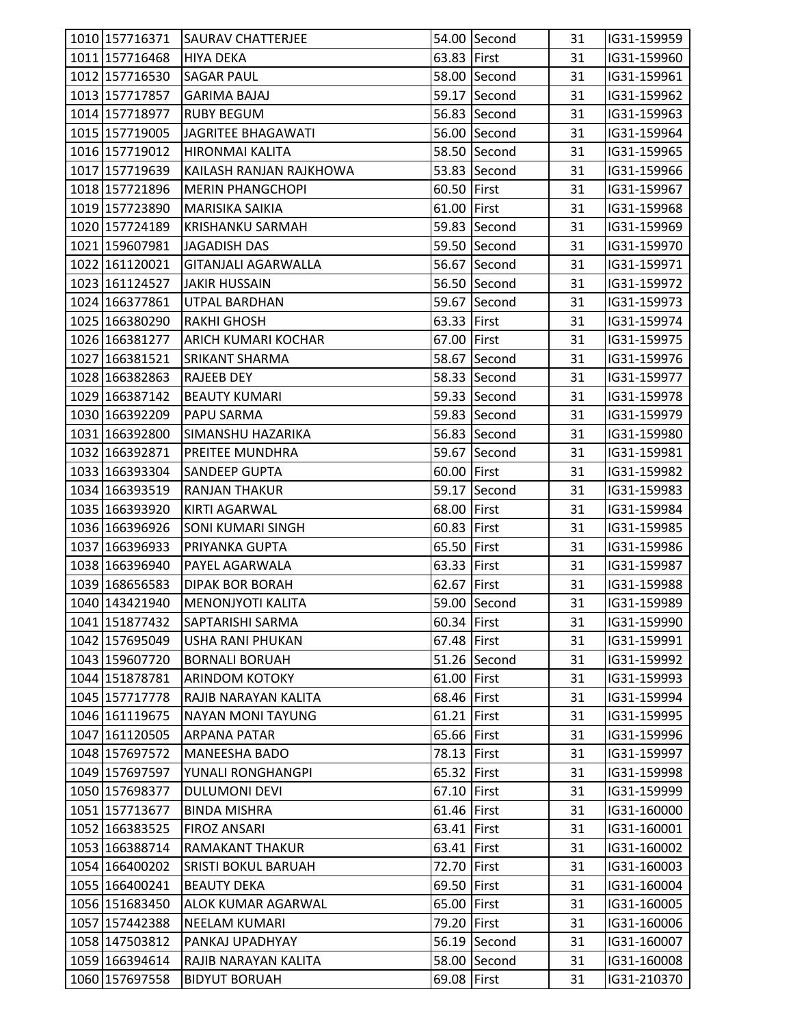| 1010 157716371 | <b>SAURAV CHATTERJEE</b>   |             | 54.00 Second | 31 | IG31-159959 |  |
|----------------|----------------------------|-------------|--------------|----|-------------|--|
| 1011 157716468 | <b>HIYA DEKA</b>           | 63.83 First |              | 31 | IG31-159960 |  |
| 1012 157716530 | <b>SAGAR PAUL</b>          |             | 58.00 Second | 31 | IG31-159961 |  |
| 1013 157717857 | <b>GARIMA BAJAJ</b>        |             | 59.17 Second | 31 | IG31-159962 |  |
| 1014 157718977 | <b>RUBY BEGUM</b>          |             | 56.83 Second | 31 | IG31-159963 |  |
| 1015 157719005 | JAGRITEE BHAGAWATI         |             | 56.00 Second | 31 | IG31-159964 |  |
| 1016 157719012 |                            |             | 58.50 Second |    |             |  |
|                | <b>HIRONMAI KALITA</b>     |             |              | 31 | IG31-159965 |  |
| 1017 157719639 | KAILASH RANJAN RAJKHOWA    |             | 53.83 Second | 31 | IG31-159966 |  |
| 1018 157721896 | MERIN PHANGCHOPI           | 60.50 First |              | 31 | IG31-159967 |  |
| 1019 157723890 | <b>MARISIKA SAIKIA</b>     | 61.00 First |              | 31 | IG31-159968 |  |
| 1020 157724189 | <b>KRISHANKU SARMAH</b>    |             | 59.83 Second | 31 | IG31-159969 |  |
| 1021 159607981 | <b>JAGADISH DAS</b>        |             | 59.50 Second | 31 | IG31-159970 |  |
| 1022 161120021 | <b>GITANJALI AGARWALLA</b> |             | 56.67 Second | 31 | IG31-159971 |  |
| 1023 161124527 | <b>JAKIR HUSSAIN</b>       |             | 56.50 Second | 31 | IG31-159972 |  |
| 1024 166377861 | UTPAL BARDHAN              |             | 59.67 Second | 31 | IG31-159973 |  |
| 1025 166380290 | <b>RAKHI GHOSH</b>         | 63.33 First |              | 31 | IG31-159974 |  |
| 1026 166381277 | ARICH KUMARI KOCHAR        | 67.00 First |              | 31 | IG31-159975 |  |
| 1027 166381521 | <b>SRIKANT SHARMA</b>      |             | 58.67 Second | 31 | IG31-159976 |  |
| 1028 166382863 | <b>RAJEEB DEY</b>          |             | 58.33 Second | 31 | IG31-159977 |  |
| 1029 166387142 | <b>BEAUTY KUMARI</b>       |             | 59.33 Second | 31 | IG31-159978 |  |
| 1030 166392209 | <b>PAPU SARMA</b>          |             | 59.83 Second | 31 | IG31-159979 |  |
| 1031 166392800 | SIMANSHU HAZARIKA          |             | 56.83 Second | 31 | IG31-159980 |  |
| 1032 166392871 | <b>PREITEE MUNDHRA</b>     |             | 59.67 Second | 31 | IG31-159981 |  |
| 1033 166393304 | <b>SANDEEP GUPTA</b>       | 60.00 First |              | 31 | IG31-159982 |  |
| 1034 166393519 | <b>RANJAN THAKUR</b>       |             | 59.17 Second | 31 | IG31-159983 |  |
| 1035 166393920 | <b>KIRTI AGARWAL</b>       | 68.00 First |              | 31 | IG31-159984 |  |
| 1036 166396926 | <b>SONI KUMARI SINGH</b>   | 60.83 First |              | 31 | IG31-159985 |  |
| 1037 166396933 | <b>PRIYANKA GUPTA</b>      | 65.50 First |              | 31 | IG31-159986 |  |
| 1038 166396940 | <b>PAYEL AGARWALA</b>      | 63.33 First |              | 31 | IG31-159987 |  |
| 1039 168656583 | <b>DIPAK BOR BORAH</b>     | 62.67 First |              | 31 | IG31-159988 |  |
| 1040 143421940 | <b>MENONJYOTI KALITA</b>   |             | 59.00 Second | 31 | IG31-159989 |  |
| 1041 151877432 | <b>SAPTARISHI SARMA</b>    | 60.34 First |              | 31 | IG31-159990 |  |
| 1042 157695049 | <b>USHA RANI PHUKAN</b>    | 67.48 First |              | 31 | IG31-159991 |  |
| 1043 159607720 | <b>BORNALI BORUAH</b>      |             | 51.26 Second | 31 | IG31-159992 |  |
| 1044 151878781 | <b>ARINDOM KOTOKY</b>      | 61.00 First |              | 31 | IG31-159993 |  |
| 1045 157717778 | RAJIB NARAYAN KALITA       | 68.46 First |              | 31 | IG31-159994 |  |
| 1046 161119675 | <b>NAYAN MONI TAYUNG</b>   | 61.21 First |              | 31 | IG31-159995 |  |
| 1047 161120505 | <b>ARPANA PATAR</b>        | 65.66 First |              | 31 | IG31-159996 |  |
| 1048 157697572 | <b>MANEESHA BADO</b>       | 78.13 First |              | 31 | IG31-159997 |  |
| 1049 157697597 | YUNALI RONGHANGPI          | 65.32 First |              | 31 | IG31-159998 |  |
| 1050 157698377 | <b>DULUMONI DEVI</b>       | 67.10 First |              | 31 | IG31-159999 |  |
| 1051 157713677 | <b>BINDA MISHRA</b>        | 61.46 First |              | 31 | IG31-160000 |  |
| 1052 166383525 | <b>FIROZ ANSARI</b>        | 63.41 First |              | 31 | IG31-160001 |  |
| 1053 166388714 | <b>RAMAKANT THAKUR</b>     | 63.41 First |              | 31 | IG31-160002 |  |
| 1054 166400202 | <b>SRISTI BOKUL BARUAH</b> | 72.70 First |              | 31 | IG31-160003 |  |
| 1055 166400241 | <b>BEAUTY DEKA</b>         | 69.50 First |              | 31 | IG31-160004 |  |
| 1056 151683450 | <b>ALOK KUMAR AGARWAL</b>  | 65.00 First |              | 31 | IG31-160005 |  |
| 1057 157442388 | <b>NEELAM KUMARI</b>       | 79.20 First |              | 31 | IG31-160006 |  |
| 1058 147503812 | PANKAJ UPADHYAY            |             | 56.19 Second | 31 | IG31-160007 |  |
| 1059 166394614 | RAJIB NARAYAN KALITA       |             | 58.00 Second | 31 | IG31-160008 |  |
| 1060 157697558 | <b>BIDYUT BORUAH</b>       | 69.08 First |              | 31 | IG31-210370 |  |
|                |                            |             |              |    |             |  |